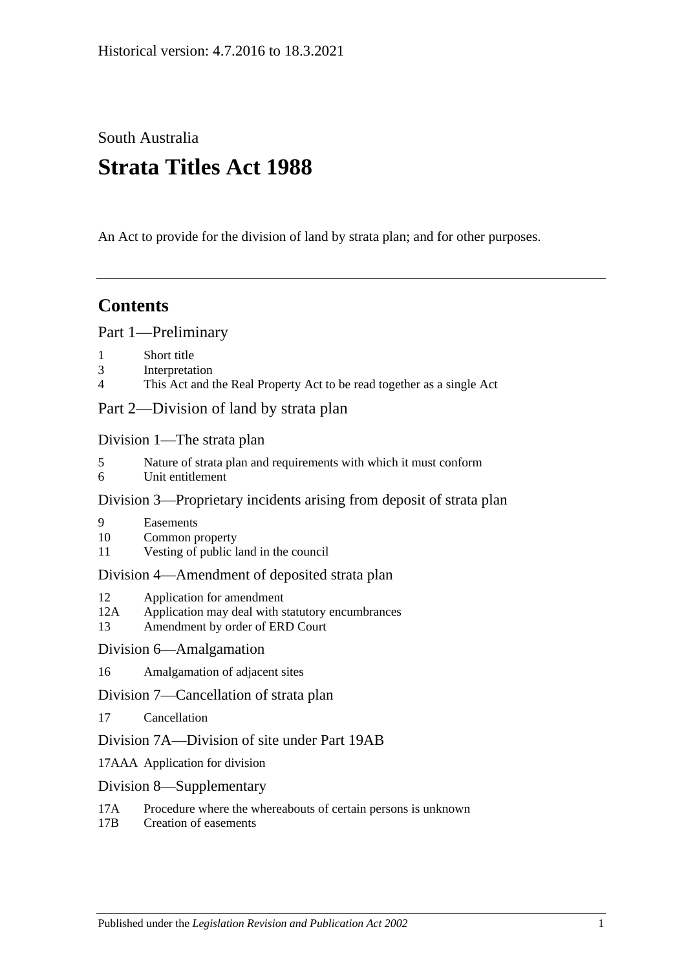South Australia

# **Strata Titles Act 1988**

An Act to provide for the division of land by strata plan; and for other purposes.

## **Contents**

[Part 1—Preliminary](#page-3-0)

- 1 [Short title](#page-3-1)
- 3 [Interpretation](#page-3-2)
- 4 [This Act and the Real Property Act to be read together as a single Act](#page-6-0)

[Part 2—Division of land by strata plan](#page-6-1)

[Division 1—The strata plan](#page-6-2)

- 5 [Nature of strata plan and requirements with which it must conform](#page-6-3)
- 6 [Unit entitlement](#page-7-0)

## [Division 3—Proprietary incidents arising from deposit of strata plan](#page-7-1)

- 9 [Easements](#page-7-2)
- 10 [Common property](#page-8-0)
- 11 [Vesting of public land in the council](#page-8-1)

## [Division 4—Amendment of deposited strata plan](#page-8-2)

- 12 [Application for amendment](#page-8-3)
- 12A [Application may deal with statutory encumbrances](#page-11-0)
- 13 [Amendment by order of ERD Court](#page-11-1)

## [Division 6—Amalgamation](#page-12-0)

16 [Amalgamation of adjacent sites](#page-12-1)

## [Division 7—Cancellation of strata plan](#page-13-0)

17 [Cancellation](#page-13-1)

## [Division 7A—Division of site under Part 19AB](#page-14-0)

- 17AAA [Application for division](#page-14-1)
- [Division 8—Supplementary](#page-15-0)
- 17A [Procedure where the whereabouts of certain persons is unknown](#page-15-1)
- 17B [Creation of easements](#page-16-0)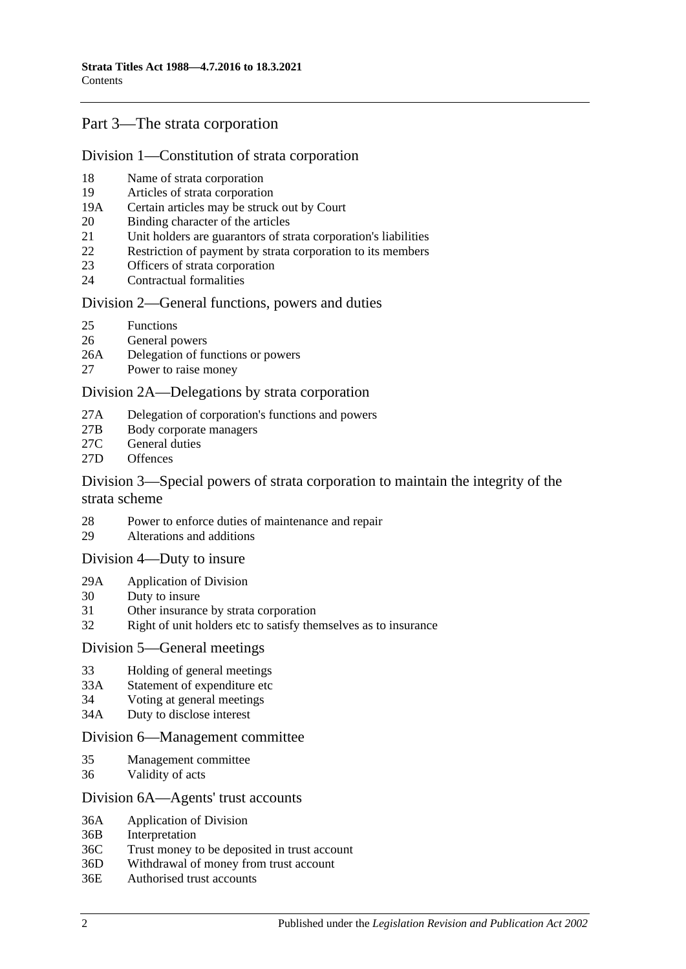## [Part 3—The strata corporation](#page-16-1)

#### [Division 1—Constitution of strata corporation](#page-16-2)

- 18 [Name of strata corporation](#page-16-3)
- 19 [Articles of strata corporation](#page-16-4)
- 19A [Certain articles may be struck out by Court](#page-18-0)
- 20 [Binding character of the articles](#page-19-0)
- 21 [Unit holders are guarantors of strata corporation's liabilities](#page-19-1)
- 22 [Restriction of payment by strata corporation to its members](#page-19-2)
- 23 [Officers of strata corporation](#page-19-3)
- 24 [Contractual formalities](#page-20-0)

#### [Division 2—General functions, powers and duties](#page-20-1)

- 25 [Functions](#page-20-2)
- 26 [General powers](#page-20-3)
- 26A [Delegation of functions or powers](#page-21-0)
- 27 [Power to raise money](#page-21-1)

#### [Division 2A—Delegations by strata corporation](#page-22-0)

- 27A [Delegation of corporation's functions and powers](#page-22-1)
- 27B [Body corporate managers](#page-23-0)
- 27C [General duties](#page-24-0)
- 27D [Offences](#page-25-0)

#### [Division 3—Special powers of strata corporation to maintain the integrity of the](#page-26-0)  [strata scheme](#page-26-0)

- 28 [Power to enforce duties of maintenance and repair](#page-26-1)
- 29 [Alterations and additions](#page-27-0)

#### [Division 4—Duty to insure](#page-27-1)

- 29A [Application of Division](#page-27-2)
- 30 [Duty to insure](#page-27-3)
- 31 [Other insurance by strata corporation](#page-28-0)
- 32 [Right of unit holders etc to satisfy themselves as to insurance](#page-28-1)

#### [Division 5—General meetings](#page-28-2)

- 33 [Holding of general meetings](#page-28-3)
- 33A [Statement of expenditure etc](#page-30-0)
- 34 [Voting at general meetings](#page-30-1)
- 34A [Duty to disclose interest](#page-32-0)

#### [Division 6—Management committee](#page-33-0)

- 35 [Management committee](#page-33-1)
- 36 [Validity of acts](#page-34-0)

#### [Division 6A—Agents' trust accounts](#page-34-1)

- 36A [Application of](#page-34-2) Division
- 36B [Interpretation](#page-34-3)
- 36C [Trust money to be deposited in trust account](#page-35-0)
- 36D [Withdrawal of money from trust account](#page-35-1)
- 36E [Authorised trust accounts](#page-35-2)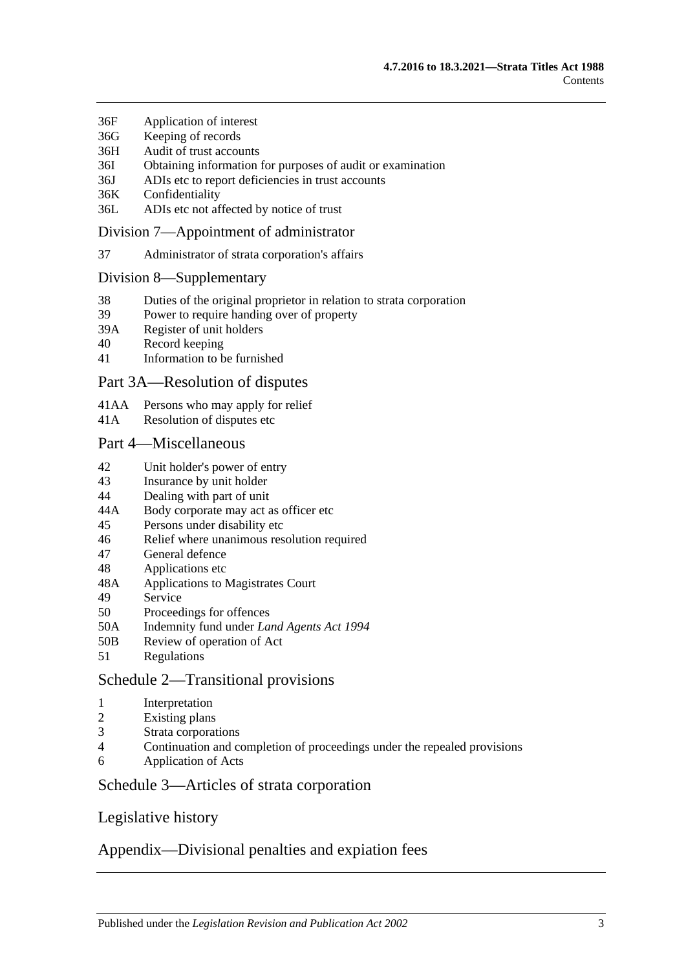- 36F [Application of interest](#page-35-3)
- 36G [Keeping of](#page-35-4) records
- 36H [Audit of trust accounts](#page-36-0)
- 36I [Obtaining information for purposes of audit or examination](#page-36-1)
- 36J [ADIs etc to report deficiencies in trust accounts](#page-37-0)
- 36K [Confidentiality](#page-37-1)
- 36L [ADIs etc not affected by notice of trust](#page-37-2)

#### [Division 7—Appointment of administrator](#page-37-3)

37 [Administrator of strata corporation's affairs](#page-37-4)

#### [Division 8—Supplementary](#page-38-0)

- 38 [Duties of the original proprietor in relation to strata corporation](#page-38-1)
- 39 [Power to require handing over of property](#page-39-0)
- 39A [Register of unit holders](#page-39-1)
- 40 [Record keeping](#page-39-2)
- 41 [Information to be furnished](#page-40-0)

#### [Part 3A—Resolution of disputes](#page-41-0)

- 41AA [Persons who may apply for relief](#page-41-1)
- 41A [Resolution of disputes etc](#page-41-2)

#### [Part 4—Miscellaneous](#page-44-0)

- 42 [Unit holder's power of entry](#page-44-1)
- 43 [Insurance by unit holder](#page-44-2)
- 44 [Dealing with part of unit](#page-45-0)
- 44A [Body corporate may act as officer etc](#page-45-1)
- 45 [Persons under disability etc](#page-46-0)
- 46 [Relief where unanimous resolution required](#page-46-1)
- 47 [General defence](#page-46-2)
- 48 [Applications etc](#page-46-3)
- 48A [Applications to Magistrates Court](#page-47-0)
- 49 [Service](#page-47-1)
- 50 [Proceedings for offences](#page-47-2)
- 50A [Indemnity fund under](#page-48-0) *Land Agents Act 1994*
- 50B [Review of operation of Act](#page-48-1)
- 51 [Regulations](#page-48-2)

## [Schedule 2—Transitional provisions](#page-49-0)

- 1 [Interpretation](#page-49-1)
- 2 [Existing plans](#page-49-2)
- 3 [Strata corporations](#page-49-3)
- 4 [Continuation and completion of proceedings under the repealed provisions](#page-49-4)
- 6 [Application of Acts](#page-49-5)

#### [Schedule 3—Articles of strata corporation](#page-49-6)

## [Legislative history](#page-52-0)

## [Appendix—Divisional penalties and expiation fees](#page-61-0)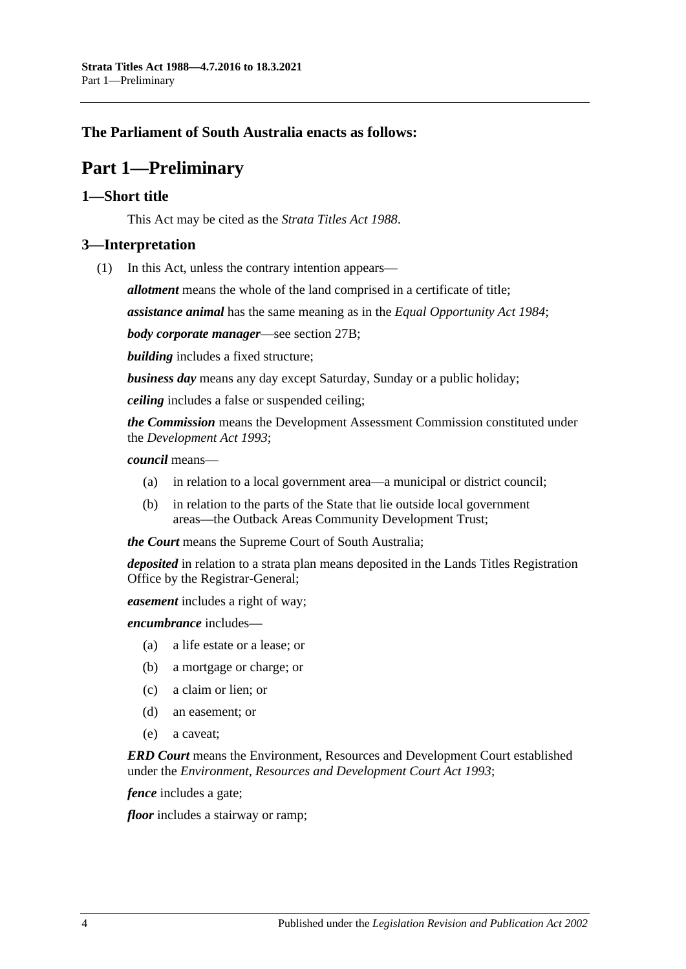## <span id="page-3-0"></span>**The Parliament of South Australia enacts as follows:**

## **Part 1—Preliminary**

#### <span id="page-3-1"></span>**1—Short title**

This Act may be cited as the *Strata Titles Act 1988*.

## <span id="page-3-2"></span>**3—Interpretation**

(1) In this Act, unless the contrary intention appears—

*allotment* means the whole of the land comprised in a certificate of title;

*assistance animal* has the same meaning as in the *[Equal Opportunity Act](http://www.legislation.sa.gov.au/index.aspx?action=legref&type=act&legtitle=Equal%20Opportunity%20Act%201984) 1984*;

*body corporate manager*—see [section](#page-23-0) 27B;

*building* includes a fixed structure;

*business day* means any day except Saturday, Sunday or a public holiday;

*ceiling* includes a false or suspended ceiling;

*the Commission* means the Development Assessment Commission constituted under the *[Development Act](http://www.legislation.sa.gov.au/index.aspx?action=legref&type=act&legtitle=Development%20Act%201993) 1993*;

#### *council* means—

- (a) in relation to a local government area—a municipal or district council;
- (b) in relation to the parts of the State that lie outside local government areas—the Outback Areas Community Development Trust;

*the Court* means the Supreme Court of South Australia;

*deposited* in relation to a strata plan means deposited in the Lands Titles Registration Office by the Registrar-General;

*easement* includes a right of way;

*encumbrance* includes—

- (a) a life estate or a lease; or
- (b) a mortgage or charge; or
- (c) a claim or lien; or
- (d) an easement; or
- (e) a caveat;

*ERD Court* means the Environment, Resources and Development Court established under the *[Environment, Resources and Development Court Act](http://www.legislation.sa.gov.au/index.aspx?action=legref&type=act&legtitle=Environment%20Resources%20and%20Development%20Court%20Act%201993) 1993*;

*fence* includes a gate;

*floor* includes a stairway or ramp;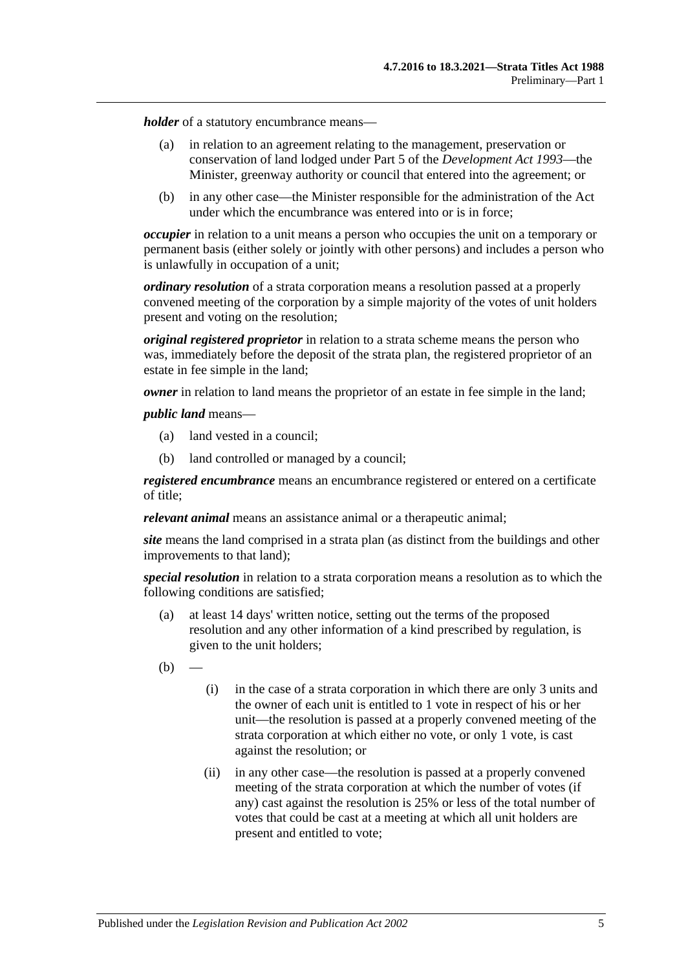*holder* of a statutory encumbrance means—

- (a) in relation to an agreement relating to the management, preservation or conservation of land lodged under Part 5 of the *[Development Act](http://www.legislation.sa.gov.au/index.aspx?action=legref&type=act&legtitle=Development%20Act%201993) 1993*—the Minister, greenway authority or council that entered into the agreement; or
- (b) in any other case—the Minister responsible for the administration of the Act under which the encumbrance was entered into or is in force;

*occupier* in relation to a unit means a person who occupies the unit on a temporary or permanent basis (either solely or jointly with other persons) and includes a person who is unlawfully in occupation of a unit;

*ordinary resolution* of a strata corporation means a resolution passed at a properly convened meeting of the corporation by a simple majority of the votes of unit holders present and voting on the resolution;

*original registered proprietor* in relation to a strata scheme means the person who was, immediately before the deposit of the strata plan, the registered proprietor of an estate in fee simple in the land;

*owner* in relation to land means the proprietor of an estate in fee simple in the land;

*public land* means—

- (a) land vested in a council;
- (b) land controlled or managed by a council;

*registered encumbrance* means an encumbrance registered or entered on a certificate of title;

*relevant animal* means an assistance animal or a therapeutic animal;

*site* means the land comprised in a strata plan (as distinct from the buildings and other improvements to that land);

*special resolution* in relation to a strata corporation means a resolution as to which the following conditions are satisfied;

- (a) at least 14 days' written notice, setting out the terms of the proposed resolution and any other information of a kind prescribed by regulation, is given to the unit holders;
- $(b)$
- (i) in the case of a strata corporation in which there are only 3 units and the owner of each unit is entitled to 1 vote in respect of his or her unit—the resolution is passed at a properly convened meeting of the strata corporation at which either no vote, or only 1 vote, is cast against the resolution; or
- (ii) in any other case—the resolution is passed at a properly convened meeting of the strata corporation at which the number of votes (if any) cast against the resolution is 25% or less of the total number of votes that could be cast at a meeting at which all unit holders are present and entitled to vote;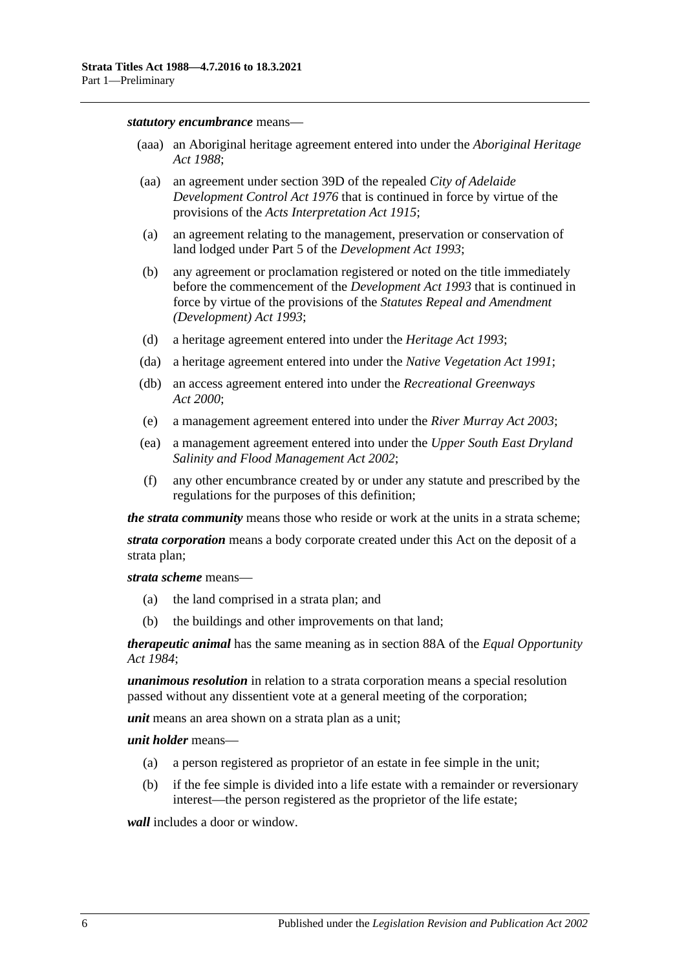#### *statutory encumbrance* means—

- (aaa) an Aboriginal heritage agreement entered into under the *[Aboriginal Heritage](http://www.legislation.sa.gov.au/index.aspx?action=legref&type=act&legtitle=Aboriginal%20Heritage%20Act%201988)  Act [1988](http://www.legislation.sa.gov.au/index.aspx?action=legref&type=act&legtitle=Aboriginal%20Heritage%20Act%201988)*;
- (aa) an agreement under section 39D of the repealed *[City of Adelaide](http://www.legislation.sa.gov.au/index.aspx?action=legref&type=act&legtitle=City%20of%20Adelaide%20Development%20Control%20Act%201976)  [Development Control Act](http://www.legislation.sa.gov.au/index.aspx?action=legref&type=act&legtitle=City%20of%20Adelaide%20Development%20Control%20Act%201976) 1976* that is continued in force by virtue of the provisions of the *[Acts Interpretation Act](http://www.legislation.sa.gov.au/index.aspx?action=legref&type=act&legtitle=Acts%20Interpretation%20Act%201915) 1915*;
- (a) an agreement relating to the management, preservation or conservation of land lodged under Part 5 of the *[Development Act](http://www.legislation.sa.gov.au/index.aspx?action=legref&type=act&legtitle=Development%20Act%201993) 1993*;
- (b) any agreement or proclamation registered or noted on the title immediately before the commencement of the *[Development Act](http://www.legislation.sa.gov.au/index.aspx?action=legref&type=act&legtitle=Development%20Act%201993) 1993* that is continued in force by virtue of the provisions of the *[Statutes Repeal and Amendment](http://www.legislation.sa.gov.au/index.aspx?action=legref&type=act&legtitle=Statutes%20Repeal%20and%20Amendment%20(Development)%20Act%201993)  [\(Development\) Act](http://www.legislation.sa.gov.au/index.aspx?action=legref&type=act&legtitle=Statutes%20Repeal%20and%20Amendment%20(Development)%20Act%201993) 1993*;
- (d) a heritage agreement entered into under the *[Heritage Act](http://www.legislation.sa.gov.au/index.aspx?action=legref&type=act&legtitle=Heritage%20Act%201993) 1993*;
- (da) a heritage agreement entered into under the *[Native Vegetation Act](http://www.legislation.sa.gov.au/index.aspx?action=legref&type=act&legtitle=Native%20Vegetation%20Act%201991) 1991*;
- (db) an access agreement entered into under the *[Recreational Greenways](http://www.legislation.sa.gov.au/index.aspx?action=legref&type=act&legtitle=Recreational%20Greenways%20Act%202000)  Act [2000](http://www.legislation.sa.gov.au/index.aspx?action=legref&type=act&legtitle=Recreational%20Greenways%20Act%202000)*;
- (e) a management agreement entered into under the *[River Murray Act](http://www.legislation.sa.gov.au/index.aspx?action=legref&type=act&legtitle=River%20Murray%20Act%202003) 2003*;
- (ea) a management agreement entered into under the *[Upper South East Dryland](http://www.legislation.sa.gov.au/index.aspx?action=legref&type=act&legtitle=Upper%20South%20East%20Dryland%20Salinity%20and%20Flood%20Management%20Act%202002)  [Salinity and Flood Management Act](http://www.legislation.sa.gov.au/index.aspx?action=legref&type=act&legtitle=Upper%20South%20East%20Dryland%20Salinity%20and%20Flood%20Management%20Act%202002) 2002*;
- (f) any other encumbrance created by or under any statute and prescribed by the regulations for the purposes of this definition;

*the strata community* means those who reside or work at the units in a strata scheme;

*strata corporation* means a body corporate created under this Act on the deposit of a strata plan;

*strata scheme* means—

- (a) the land comprised in a strata plan; and
- (b) the buildings and other improvements on that land;

*therapeutic animal* has the same meaning as in section 88A of the *[Equal Opportunity](http://www.legislation.sa.gov.au/index.aspx?action=legref&type=act&legtitle=Equal%20Opportunity%20Act%201984)  Act [1984](http://www.legislation.sa.gov.au/index.aspx?action=legref&type=act&legtitle=Equal%20Opportunity%20Act%201984)*;

*unanimous resolution* in relation to a strata corporation means a special resolution passed without any dissentient vote at a general meeting of the corporation;

*unit* means an area shown on a strata plan as a unit;

*unit holder* means—

- (a) a person registered as proprietor of an estate in fee simple in the unit;
- (b) if the fee simple is divided into a life estate with a remainder or reversionary interest—the person registered as the proprietor of the life estate;

*wall* includes a door or window.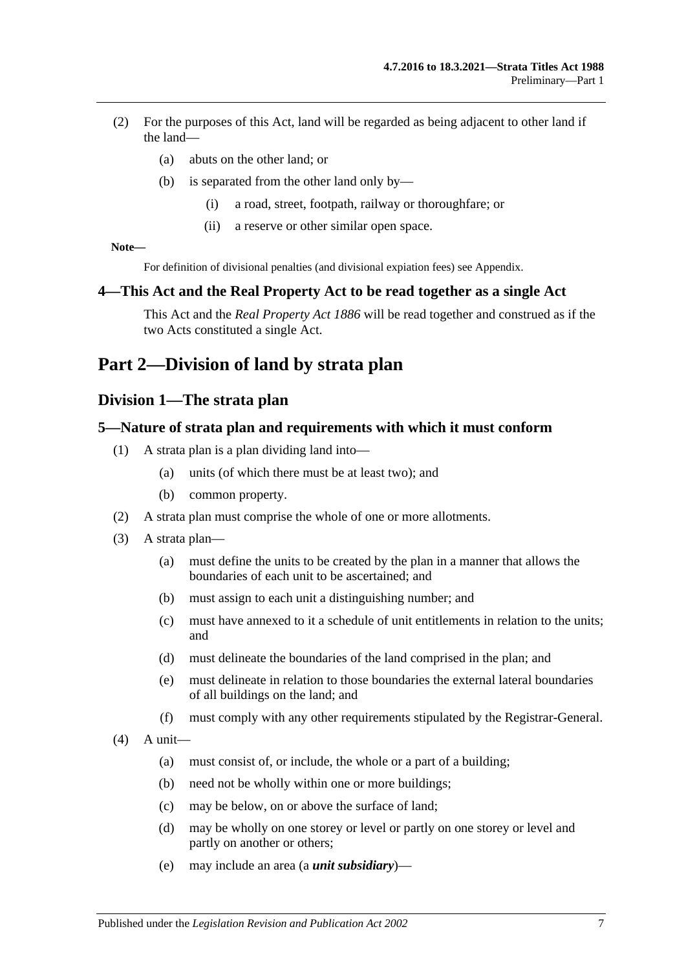- (2) For the purposes of this Act, land will be regarded as being adjacent to other land if the land—
	- (a) abuts on the other land; or
	- (b) is separated from the other land only by—
		- (i) a road, street, footpath, railway or thoroughfare; or
		- (ii) a reserve or other similar open space.

**Note—**

For definition of divisional penalties (and divisional expiation fees) see Appendix.

#### <span id="page-6-0"></span>**4—This Act and the Real Property Act to be read together as a single Act**

This Act and the *[Real Property Act](http://www.legislation.sa.gov.au/index.aspx?action=legref&type=act&legtitle=Real%20Property%20Act%201886) 1886* will be read together and construed as if the two Acts constituted a single Act.

## <span id="page-6-2"></span><span id="page-6-1"></span>**Part 2—Division of land by strata plan**

## **Division 1—The strata plan**

#### <span id="page-6-3"></span>**5—Nature of strata plan and requirements with which it must conform**

- (1) A strata plan is a plan dividing land into—
	- (a) units (of which there must be at least two); and
	- (b) common property.
- (2) A strata plan must comprise the whole of one or more allotments.
- (3) A strata plan—
	- (a) must define the units to be created by the plan in a manner that allows the boundaries of each unit to be ascertained; and
	- (b) must assign to each unit a distinguishing number; and
	- (c) must have annexed to it a schedule of unit entitlements in relation to the units; and
	- (d) must delineate the boundaries of the land comprised in the plan; and
	- (e) must delineate in relation to those boundaries the external lateral boundaries of all buildings on the land; and
	- (f) must comply with any other requirements stipulated by the Registrar-General.
- $(4)$  A unit—
	- (a) must consist of, or include, the whole or a part of a building;
	- (b) need not be wholly within one or more buildings;
	- (c) may be below, on or above the surface of land;
	- (d) may be wholly on one storey or level or partly on one storey or level and partly on another or others;
	- (e) may include an area (a *unit subsidiary*)—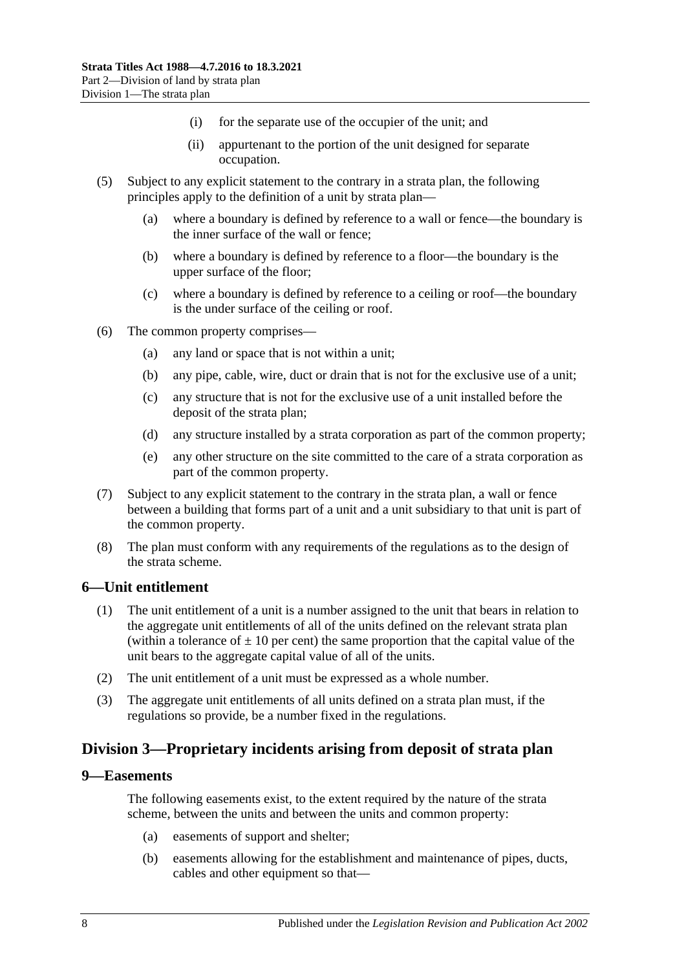- (i) for the separate use of the occupier of the unit; and
- (ii) appurtenant to the portion of the unit designed for separate occupation.
- (5) Subject to any explicit statement to the contrary in a strata plan, the following principles apply to the definition of a unit by strata plan—
	- (a) where a boundary is defined by reference to a wall or fence—the boundary is the inner surface of the wall or fence;
	- (b) where a boundary is defined by reference to a floor—the boundary is the upper surface of the floor;
	- (c) where a boundary is defined by reference to a ceiling or roof—the boundary is the under surface of the ceiling or roof.
- (6) The common property comprises—
	- (a) any land or space that is not within a unit;
	- (b) any pipe, cable, wire, duct or drain that is not for the exclusive use of a unit;
	- (c) any structure that is not for the exclusive use of a unit installed before the deposit of the strata plan;
	- (d) any structure installed by a strata corporation as part of the common property;
	- (e) any other structure on the site committed to the care of a strata corporation as part of the common property.
- (7) Subject to any explicit statement to the contrary in the strata plan, a wall or fence between a building that forms part of a unit and a unit subsidiary to that unit is part of the common property.
- (8) The plan must conform with any requirements of the regulations as to the design of the strata scheme.

#### <span id="page-7-0"></span>**6—Unit entitlement**

- (1) The unit entitlement of a unit is a number assigned to the unit that bears in relation to the aggregate unit entitlements of all of the units defined on the relevant strata plan (within a tolerance of  $\pm 10$  per cent) the same proportion that the capital value of the unit bears to the aggregate capital value of all of the units.
- (2) The unit entitlement of a unit must be expressed as a whole number.
- (3) The aggregate unit entitlements of all units defined on a strata plan must, if the regulations so provide, be a number fixed in the regulations.

## <span id="page-7-1"></span>**Division 3—Proprietary incidents arising from deposit of strata plan**

#### <span id="page-7-2"></span>**9—Easements**

The following easements exist, to the extent required by the nature of the strata scheme, between the units and between the units and common property:

- (a) easements of support and shelter;
- (b) easements allowing for the establishment and maintenance of pipes, ducts, cables and other equipment so that—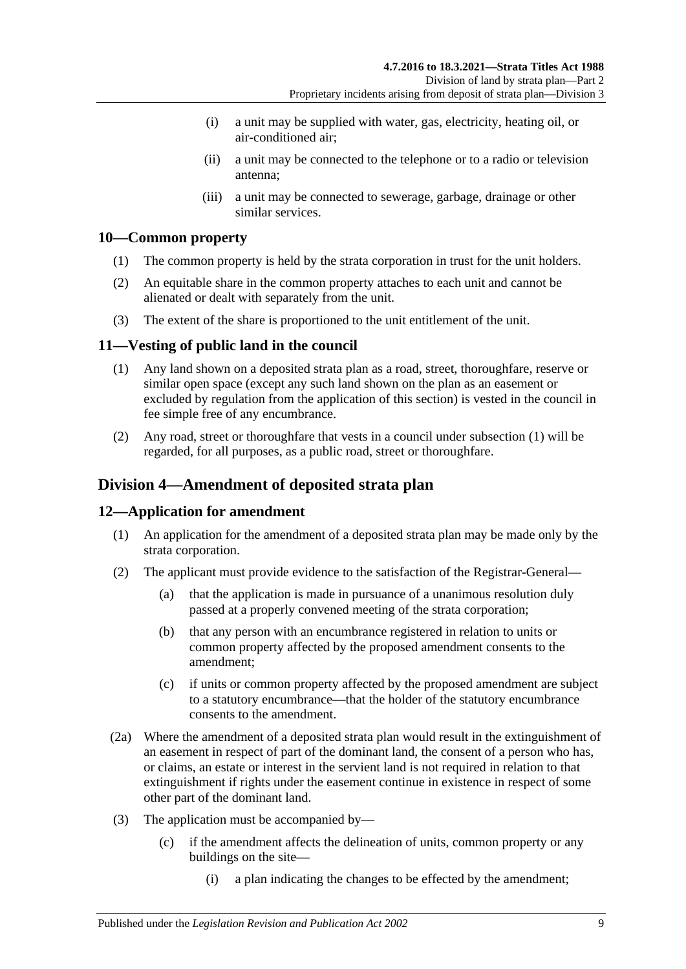- (i) a unit may be supplied with water, gas, electricity, heating oil, or air-conditioned air;
- (ii) a unit may be connected to the telephone or to a radio or television antenna;
- (iii) a unit may be connected to sewerage, garbage, drainage or other similar services.

## <span id="page-8-0"></span>**10—Common property**

- (1) The common property is held by the strata corporation in trust for the unit holders.
- (2) An equitable share in the common property attaches to each unit and cannot be alienated or dealt with separately from the unit.
- (3) The extent of the share is proportioned to the unit entitlement of the unit.

## <span id="page-8-4"></span><span id="page-8-1"></span>**11—Vesting of public land in the council**

- (1) Any land shown on a deposited strata plan as a road, street, thoroughfare, reserve or similar open space (except any such land shown on the plan as an easement or excluded by regulation from the application of this section) is vested in the council in fee simple free of any encumbrance.
- (2) Any road, street or thoroughfare that vests in a council under [subsection](#page-8-4) (1) will be regarded, for all purposes, as a public road, street or thoroughfare.

## <span id="page-8-2"></span>**Division 4—Amendment of deposited strata plan**

## <span id="page-8-3"></span>**12—Application for amendment**

- (1) An application for the amendment of a deposited strata plan may be made only by the strata corporation.
- (2) The applicant must provide evidence to the satisfaction of the Registrar-General—
	- (a) that the application is made in pursuance of a unanimous resolution duly passed at a properly convened meeting of the strata corporation;
	- (b) that any person with an encumbrance registered in relation to units or common property affected by the proposed amendment consents to the amendment;
	- (c) if units or common property affected by the proposed amendment are subject to a statutory encumbrance—that the holder of the statutory encumbrance consents to the amendment.
- (2a) Where the amendment of a deposited strata plan would result in the extinguishment of an easement in respect of part of the dominant land, the consent of a person who has, or claims, an estate or interest in the servient land is not required in relation to that extinguishment if rights under the easement continue in existence in respect of some other part of the dominant land.
- (3) The application must be accompanied by—
	- (c) if the amendment affects the delineation of units, common property or any buildings on the site—
		- (i) a plan indicating the changes to be effected by the amendment;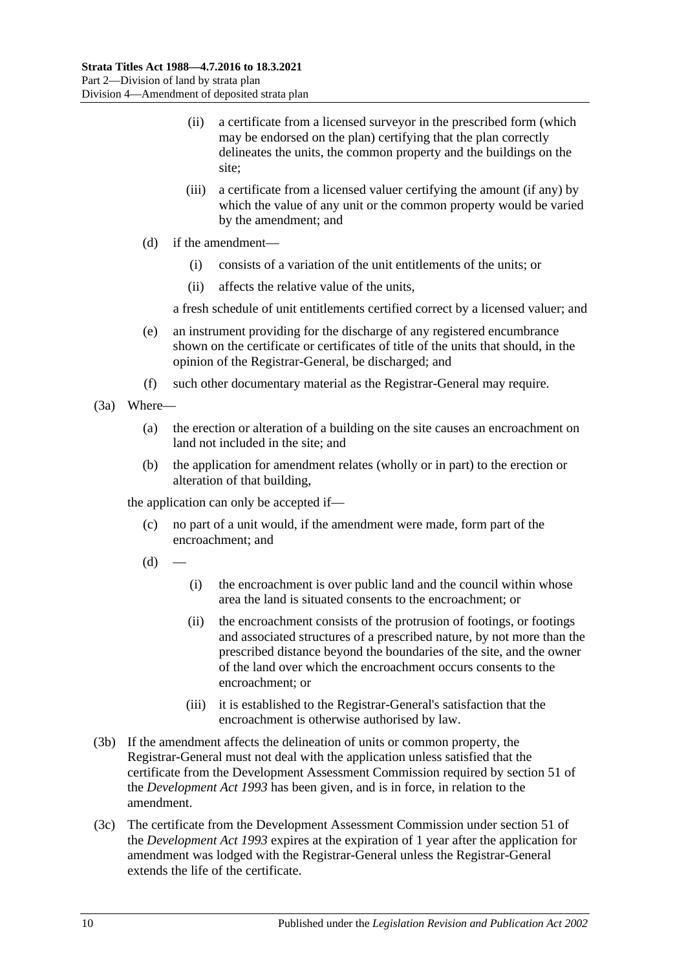- (ii) a certificate from a licensed surveyor in the prescribed form (which may be endorsed on the plan) certifying that the plan correctly delineates the units, the common property and the buildings on the site;
- (iii) a certificate from a licensed valuer certifying the amount (if any) by which the value of any unit or the common property would be varied by the amendment; and
- (d) if the amendment—
	- (i) consists of a variation of the unit entitlements of the units; or
	- (ii) affects the relative value of the units,

a fresh schedule of unit entitlements certified correct by a licensed valuer; and

- (e) an instrument providing for the discharge of any registered encumbrance shown on the certificate or certificates of title of the units that should, in the opinion of the Registrar-General, be discharged; and
- (f) such other documentary material as the Registrar-General may require.
- (3a) Where—
	- (a) the erection or alteration of a building on the site causes an encroachment on land not included in the site; and
	- (b) the application for amendment relates (wholly or in part) to the erection or alteration of that building,

the application can only be accepted if—

- (c) no part of a unit would, if the amendment were made, form part of the encroachment; and
- $(d)$
- (i) the encroachment is over public land and the council within whose area the land is situated consents to the encroachment; or
- (ii) the encroachment consists of the protrusion of footings, or footings and associated structures of a prescribed nature, by not more than the prescribed distance beyond the boundaries of the site, and the owner of the land over which the encroachment occurs consents to the encroachment; or
- (iii) it is established to the Registrar-General's satisfaction that the encroachment is otherwise authorised by law.
- (3b) If the amendment affects the delineation of units or common property, the Registrar-General must not deal with the application unless satisfied that the certificate from the Development Assessment Commission required by section 51 of the *[Development Act](http://www.legislation.sa.gov.au/index.aspx?action=legref&type=act&legtitle=Development%20Act%201993) 1993* has been given, and is in force, in relation to the amendment.
- (3c) The certificate from the Development Assessment Commission under section 51 of the *[Development Act](http://www.legislation.sa.gov.au/index.aspx?action=legref&type=act&legtitle=Development%20Act%201993) 1993* expires at the expiration of 1 year after the application for amendment was lodged with the Registrar-General unless the Registrar-General extends the life of the certificate.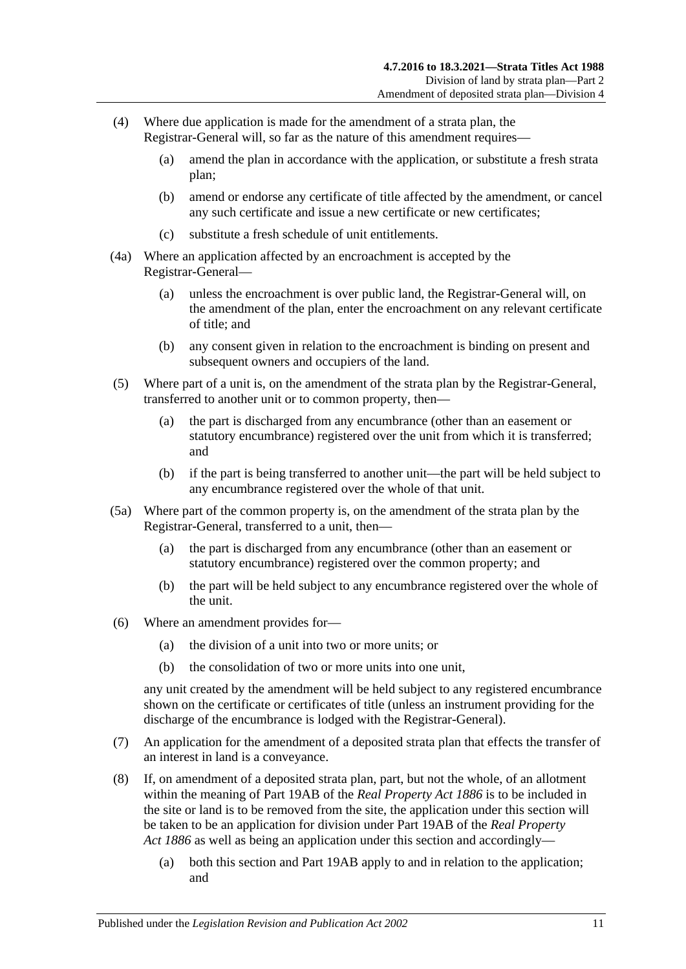- (4) Where due application is made for the amendment of a strata plan, the Registrar-General will, so far as the nature of this amendment requires—
	- (a) amend the plan in accordance with the application, or substitute a fresh strata plan;
	- (b) amend or endorse any certificate of title affected by the amendment, or cancel any such certificate and issue a new certificate or new certificates;
	- (c) substitute a fresh schedule of unit entitlements.
- (4a) Where an application affected by an encroachment is accepted by the Registrar-General—
	- (a) unless the encroachment is over public land, the Registrar-General will, on the amendment of the plan, enter the encroachment on any relevant certificate of title; and
	- (b) any consent given in relation to the encroachment is binding on present and subsequent owners and occupiers of the land.
- (5) Where part of a unit is, on the amendment of the strata plan by the Registrar-General, transferred to another unit or to common property, then—
	- (a) the part is discharged from any encumbrance (other than an easement or statutory encumbrance) registered over the unit from which it is transferred; and
	- (b) if the part is being transferred to another unit—the part will be held subject to any encumbrance registered over the whole of that unit.
- (5a) Where part of the common property is, on the amendment of the strata plan by the Registrar-General, transferred to a unit, then—
	- (a) the part is discharged from any encumbrance (other than an easement or statutory encumbrance) registered over the common property; and
	- (b) the part will be held subject to any encumbrance registered over the whole of the unit.
- (6) Where an amendment provides for—
	- (a) the division of a unit into two or more units; or
	- (b) the consolidation of two or more units into one unit,

any unit created by the amendment will be held subject to any registered encumbrance shown on the certificate or certificates of title (unless an instrument providing for the discharge of the encumbrance is lodged with the Registrar-General).

- (7) An application for the amendment of a deposited strata plan that effects the transfer of an interest in land is a conveyance.
- (8) If, on amendment of a deposited strata plan, part, but not the whole, of an allotment within the meaning of Part 19AB of the *[Real Property Act](http://www.legislation.sa.gov.au/index.aspx?action=legref&type=act&legtitle=Real%20Property%20Act%201886) 1886* is to be included in the site or land is to be removed from the site, the application under this section will be taken to be an application for division under Part 19AB of the *[Real Property](http://www.legislation.sa.gov.au/index.aspx?action=legref&type=act&legtitle=Real%20Property%20Act%201886)  Act [1886](http://www.legislation.sa.gov.au/index.aspx?action=legref&type=act&legtitle=Real%20Property%20Act%201886)* as well as being an application under this section and accordingly—
	- (a) both this section and Part 19AB apply to and in relation to the application; and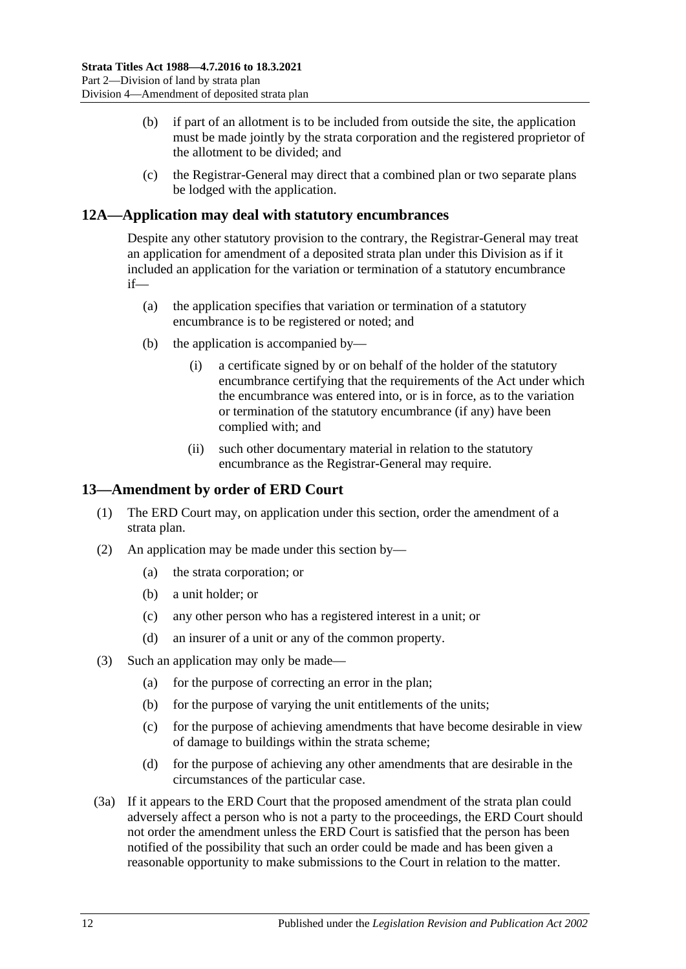- (b) if part of an allotment is to be included from outside the site, the application must be made jointly by the strata corporation and the registered proprietor of the allotment to be divided; and
- (c) the Registrar-General may direct that a combined plan or two separate plans be lodged with the application.

## <span id="page-11-0"></span>**12A—Application may deal with statutory encumbrances**

Despite any other statutory provision to the contrary, the Registrar-General may treat an application for amendment of a deposited strata plan under this Division as if it included an application for the variation or termination of a statutory encumbrance if—

- (a) the application specifies that variation or termination of a statutory encumbrance is to be registered or noted; and
- (b) the application is accompanied by—
	- (i) a certificate signed by or on behalf of the holder of the statutory encumbrance certifying that the requirements of the Act under which the encumbrance was entered into, or is in force, as to the variation or termination of the statutory encumbrance (if any) have been complied with; and
	- (ii) such other documentary material in relation to the statutory encumbrance as the Registrar-General may require.

### <span id="page-11-1"></span>**13—Amendment by order of ERD Court**

- (1) The ERD Court may, on application under this section, order the amendment of a strata plan.
- (2) An application may be made under this section by—
	- (a) the strata corporation; or
	- (b) a unit holder; or
	- (c) any other person who has a registered interest in a unit; or
	- (d) an insurer of a unit or any of the common property.
- (3) Such an application may only be made—
	- (a) for the purpose of correcting an error in the plan;
	- (b) for the purpose of varying the unit entitlements of the units;
	- (c) for the purpose of achieving amendments that have become desirable in view of damage to buildings within the strata scheme;
	- (d) for the purpose of achieving any other amendments that are desirable in the circumstances of the particular case.
- (3a) If it appears to the ERD Court that the proposed amendment of the strata plan could adversely affect a person who is not a party to the proceedings, the ERD Court should not order the amendment unless the ERD Court is satisfied that the person has been notified of the possibility that such an order could be made and has been given a reasonable opportunity to make submissions to the Court in relation to the matter.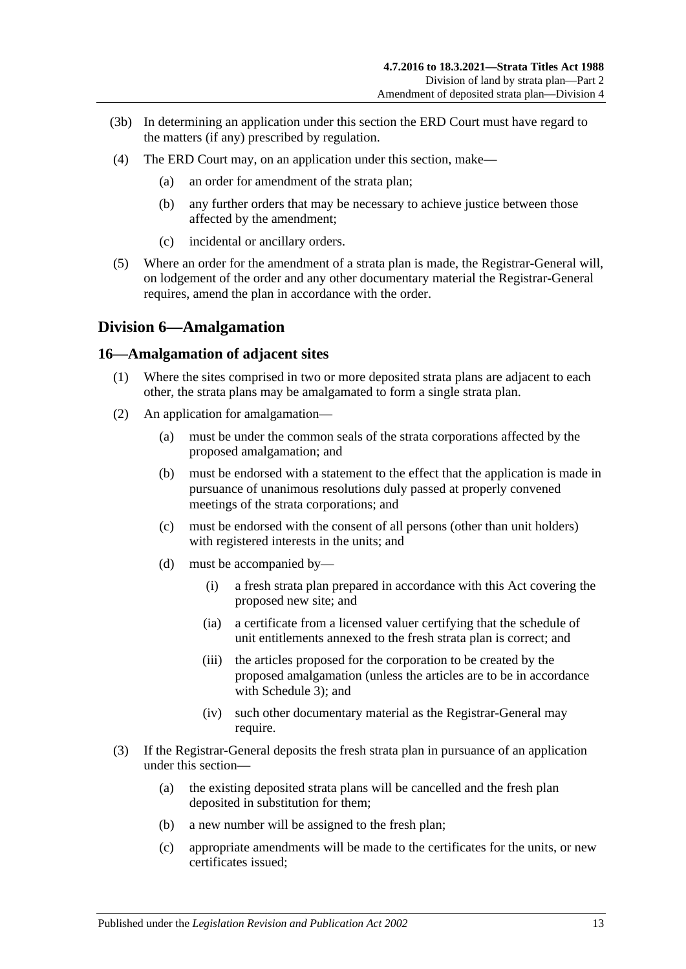- (3b) In determining an application under this section the ERD Court must have regard to the matters (if any) prescribed by regulation.
- (4) The ERD Court may, on an application under this section, make—
	- (a) an order for amendment of the strata plan;
	- (b) any further orders that may be necessary to achieve justice between those affected by the amendment;
	- (c) incidental or ancillary orders.
- (5) Where an order for the amendment of a strata plan is made, the Registrar-General will, on lodgement of the order and any other documentary material the Registrar-General requires, amend the plan in accordance with the order.

## <span id="page-12-0"></span>**Division 6—Amalgamation**

#### <span id="page-12-1"></span>**16—Amalgamation of adjacent sites**

- (1) Where the sites comprised in two or more deposited strata plans are adjacent to each other, the strata plans may be amalgamated to form a single strata plan.
- (2) An application for amalgamation—
	- (a) must be under the common seals of the strata corporations affected by the proposed amalgamation; and
	- (b) must be endorsed with a statement to the effect that the application is made in pursuance of unanimous resolutions duly passed at properly convened meetings of the strata corporations; and
	- (c) must be endorsed with the consent of all persons (other than unit holders) with registered interests in the units; and
	- (d) must be accompanied by—
		- (i) a fresh strata plan prepared in accordance with this Act covering the proposed new site; and
		- (ia) a certificate from a licensed valuer certifying that the schedule of unit entitlements annexed to the fresh strata plan is correct; and
		- (iii) the articles proposed for the corporation to be created by the proposed amalgamation (unless the articles are to be in accordance with [Schedule 3\)](#page-49-6); and
		- (iv) such other documentary material as the Registrar-General may require.
- (3) If the Registrar-General deposits the fresh strata plan in pursuance of an application under this section—
	- (a) the existing deposited strata plans will be cancelled and the fresh plan deposited in substitution for them;
	- (b) a new number will be assigned to the fresh plan;
	- (c) appropriate amendments will be made to the certificates for the units, or new certificates issued;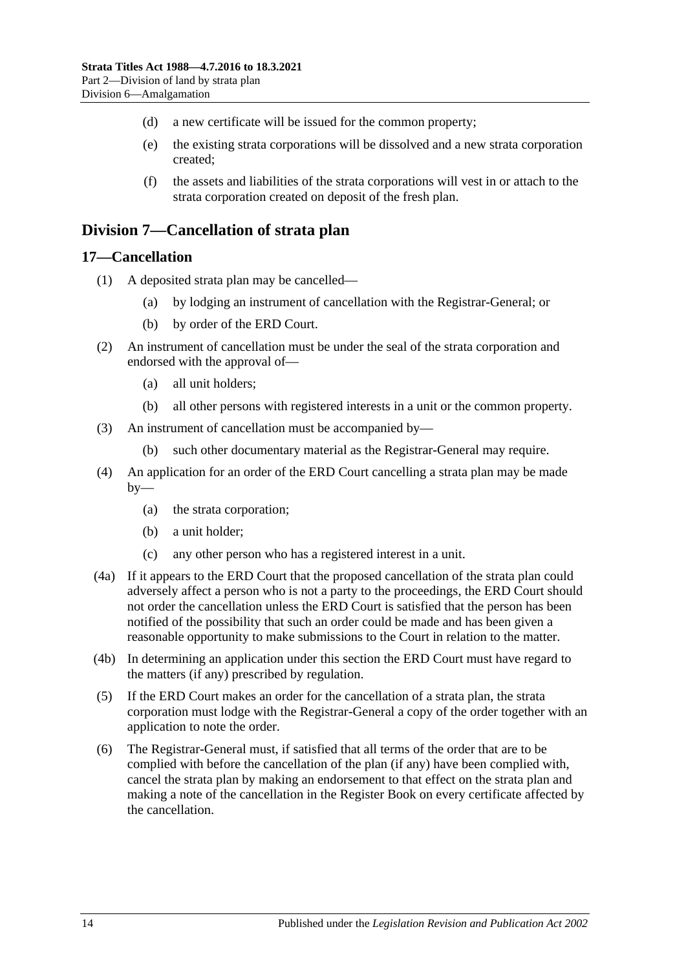- (d) a new certificate will be issued for the common property;
- (e) the existing strata corporations will be dissolved and a new strata corporation created;
- (f) the assets and liabilities of the strata corporations will vest in or attach to the strata corporation created on deposit of the fresh plan.

## <span id="page-13-0"></span>**Division 7—Cancellation of strata plan**

#### <span id="page-13-1"></span>**17—Cancellation**

- (1) A deposited strata plan may be cancelled—
	- (a) by lodging an instrument of cancellation with the Registrar-General; or
	- (b) by order of the ERD Court.
- (2) An instrument of cancellation must be under the seal of the strata corporation and endorsed with the approval of—
	- (a) all unit holders;
	- (b) all other persons with registered interests in a unit or the common property.
- (3) An instrument of cancellation must be accompanied by—
	- (b) such other documentary material as the Registrar-General may require.
- (4) An application for an order of the ERD Court cancelling a strata plan may be made  $by-$ 
	- (a) the strata corporation;
	- (b) a unit holder;
	- (c) any other person who has a registered interest in a unit.
- (4a) If it appears to the ERD Court that the proposed cancellation of the strata plan could adversely affect a person who is not a party to the proceedings, the ERD Court should not order the cancellation unless the ERD Court is satisfied that the person has been notified of the possibility that such an order could be made and has been given a reasonable opportunity to make submissions to the Court in relation to the matter.
- (4b) In determining an application under this section the ERD Court must have regard to the matters (if any) prescribed by regulation.
- (5) If the ERD Court makes an order for the cancellation of a strata plan, the strata corporation must lodge with the Registrar-General a copy of the order together with an application to note the order.
- (6) The Registrar-General must, if satisfied that all terms of the order that are to be complied with before the cancellation of the plan (if any) have been complied with, cancel the strata plan by making an endorsement to that effect on the strata plan and making a note of the cancellation in the Register Book on every certificate affected by the cancellation.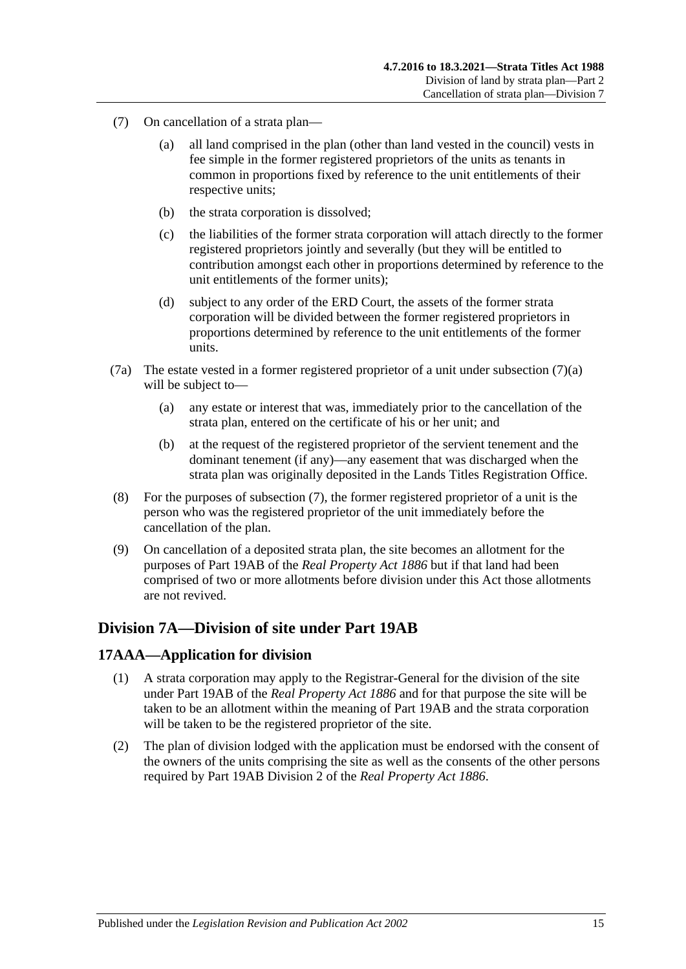- <span id="page-14-3"></span><span id="page-14-2"></span>(7) On cancellation of a strata plan—
	- (a) all land comprised in the plan (other than land vested in the council) vests in fee simple in the former registered proprietors of the units as tenants in common in proportions fixed by reference to the unit entitlements of their respective units;
	- (b) the strata corporation is dissolved;
	- (c) the liabilities of the former strata corporation will attach directly to the former registered proprietors jointly and severally (but they will be entitled to contribution amongst each other in proportions determined by reference to the unit entitlements of the former units);
	- (d) subject to any order of the ERD Court, the assets of the former strata corporation will be divided between the former registered proprietors in proportions determined by reference to the unit entitlements of the former units.
- (7a) The estate vested in a former registered proprietor of a unit under [subsection](#page-14-2) (7)(a) will be subject to—
	- (a) any estate or interest that was, immediately prior to the cancellation of the strata plan, entered on the certificate of his or her unit; and
	- (b) at the request of the registered proprietor of the servient tenement and the dominant tenement (if any)—any easement that was discharged when the strata plan was originally deposited in the Lands Titles Registration Office.
- (8) For the purposes of [subsection](#page-14-3) (7), the former registered proprietor of a unit is the person who was the registered proprietor of the unit immediately before the cancellation of the plan.
- (9) On cancellation of a deposited strata plan, the site becomes an allotment for the purposes of Part 19AB of the *[Real Property Act](http://www.legislation.sa.gov.au/index.aspx?action=legref&type=act&legtitle=Real%20Property%20Act%201886) 1886* but if that land had been comprised of two or more allotments before division under this Act those allotments are not revived.

## <span id="page-14-0"></span>**Division 7A—Division of site under Part 19AB**

## <span id="page-14-1"></span>**17AAA—Application for division**

- (1) A strata corporation may apply to the Registrar-General for the division of the site under Part 19AB of the *[Real Property Act](http://www.legislation.sa.gov.au/index.aspx?action=legref&type=act&legtitle=Real%20Property%20Act%201886) 1886* and for that purpose the site will be taken to be an allotment within the meaning of Part 19AB and the strata corporation will be taken to be the registered proprietor of the site.
- (2) The plan of division lodged with the application must be endorsed with the consent of the owners of the units comprising the site as well as the consents of the other persons required by Part 19AB Division 2 of the *[Real Property Act](http://www.legislation.sa.gov.au/index.aspx?action=legref&type=act&legtitle=Real%20Property%20Act%201886) 1886*.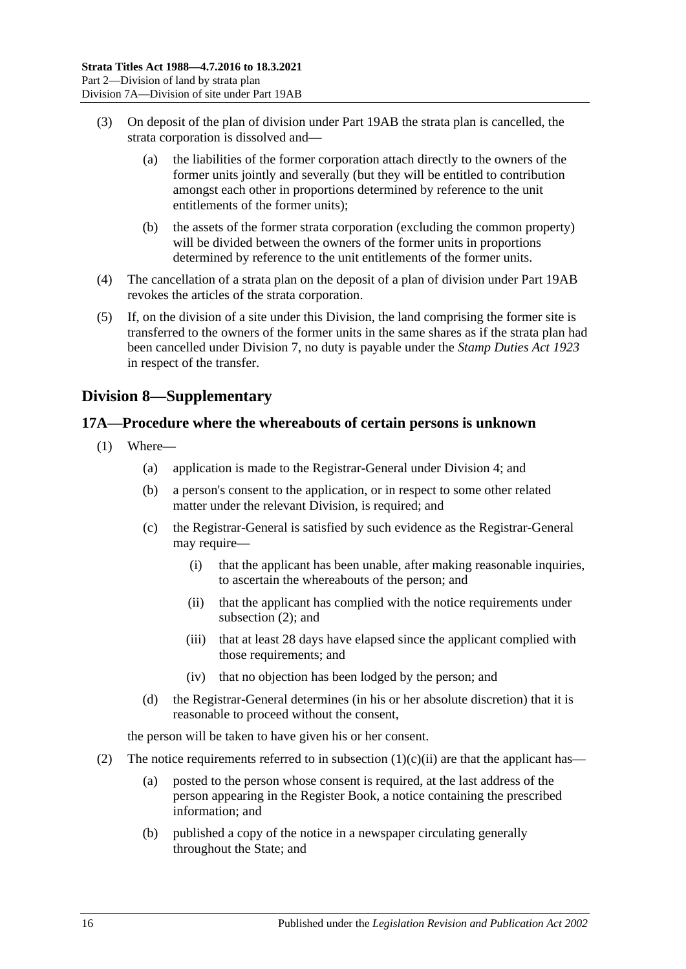- (3) On deposit of the plan of division under Part 19AB the strata plan is cancelled, the strata corporation is dissolved and—
	- (a) the liabilities of the former corporation attach directly to the owners of the former units jointly and severally (but they will be entitled to contribution amongst each other in proportions determined by reference to the unit entitlements of the former units);
	- (b) the assets of the former strata corporation (excluding the common property) will be divided between the owners of the former units in proportions determined by reference to the unit entitlements of the former units.
- (4) The cancellation of a strata plan on the deposit of a plan of division under Part 19AB revokes the articles of the strata corporation.
- (5) If, on the division of a site under this Division, the land comprising the former site is transferred to the owners of the former units in the same shares as if the strata plan had been cancelled under [Division 7,](#page-13-0) no duty is payable under the *[Stamp Duties Act](http://www.legislation.sa.gov.au/index.aspx?action=legref&type=act&legtitle=Stamp%20Duties%20Act%201923) 1923* in respect of the transfer.

## <span id="page-15-0"></span>**Division 8—Supplementary**

#### <span id="page-15-1"></span>**17A—Procedure where the whereabouts of certain persons is unknown**

- <span id="page-15-3"></span>(1) Where—
	- (a) application is made to the Registrar-General under [Division 4;](#page-8-2) and
	- (b) a person's consent to the application, or in respect to some other related matter under the relevant Division, is required; and
	- (c) the Registrar-General is satisfied by such evidence as the Registrar-General may require—
		- (i) that the applicant has been unable, after making reasonable inquiries, to ascertain the whereabouts of the person; and
		- (ii) that the applicant has complied with the notice requirements under [subsection](#page-15-2) (2); and
		- (iii) that at least 28 days have elapsed since the applicant complied with those requirements; and
		- (iv) that no objection has been lodged by the person; and
	- (d) the Registrar-General determines (in his or her absolute discretion) that it is reasonable to proceed without the consent,

the person will be taken to have given his or her consent.

- <span id="page-15-2"></span>(2) The notice requirements referred to in [subsection](#page-15-3)  $(1)(c)(ii)$  are that the applicant has—
	- (a) posted to the person whose consent is required, at the last address of the person appearing in the Register Book, a notice containing the prescribed information; and
	- (b) published a copy of the notice in a newspaper circulating generally throughout the State; and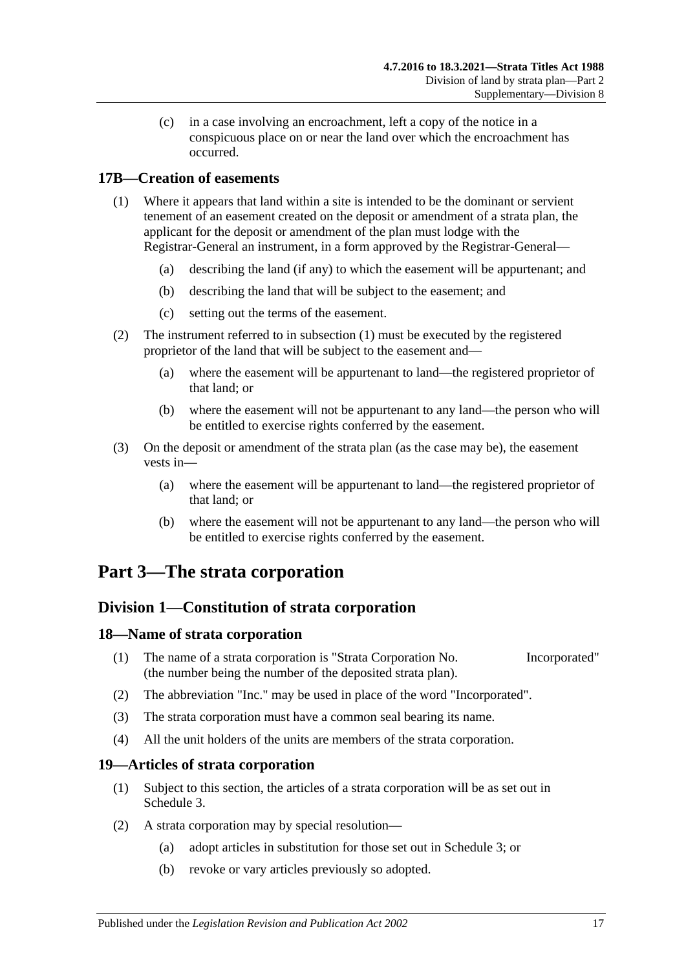(c) in a case involving an encroachment, left a copy of the notice in a conspicuous place on or near the land over which the encroachment has occurred.

## <span id="page-16-5"></span><span id="page-16-0"></span>**17B—Creation of easements**

- (1) Where it appears that land within a site is intended to be the dominant or servient tenement of an easement created on the deposit or amendment of a strata plan, the applicant for the deposit or amendment of the plan must lodge with the Registrar-General an instrument, in a form approved by the Registrar-General—
	- (a) describing the land (if any) to which the easement will be appurtenant; and
	- (b) describing the land that will be subject to the easement; and
	- (c) setting out the terms of the easement.
- (2) The instrument referred to in [subsection](#page-16-5) (1) must be executed by the registered proprietor of the land that will be subject to the easement and—
	- (a) where the easement will be appurtenant to land—the registered proprietor of that land; or
	- (b) where the easement will not be appurtenant to any land—the person who will be entitled to exercise rights conferred by the easement.
- (3) On the deposit or amendment of the strata plan (as the case may be), the easement vests in—
	- (a) where the easement will be appurtenant to land—the registered proprietor of that land; or
	- (b) where the easement will not be appurtenant to any land—the person who will be entitled to exercise rights conferred by the easement.

## <span id="page-16-2"></span><span id="page-16-1"></span>**Part 3—The strata corporation**

## **Division 1—Constitution of strata corporation**

## <span id="page-16-3"></span>**18—Name of strata corporation**

- (1) The name of a strata corporation is "Strata Corporation No. Incorporated" (the number being the number of the deposited strata plan).
- (2) The abbreviation "Inc." may be used in place of the word "Incorporated".
- (3) The strata corporation must have a common seal bearing its name.
- (4) All the unit holders of the units are members of the strata corporation.

## <span id="page-16-4"></span>**19—Articles of strata corporation**

- (1) Subject to this section, the articles of a strata corporation will be as set out in [Schedule](#page-49-6) 3.
- <span id="page-16-6"></span>(2) A strata corporation may by special resolution—
	- (a) adopt articles in substitution for those set out in [Schedule](#page-49-6) 3; or
	- (b) revoke or vary articles previously so adopted.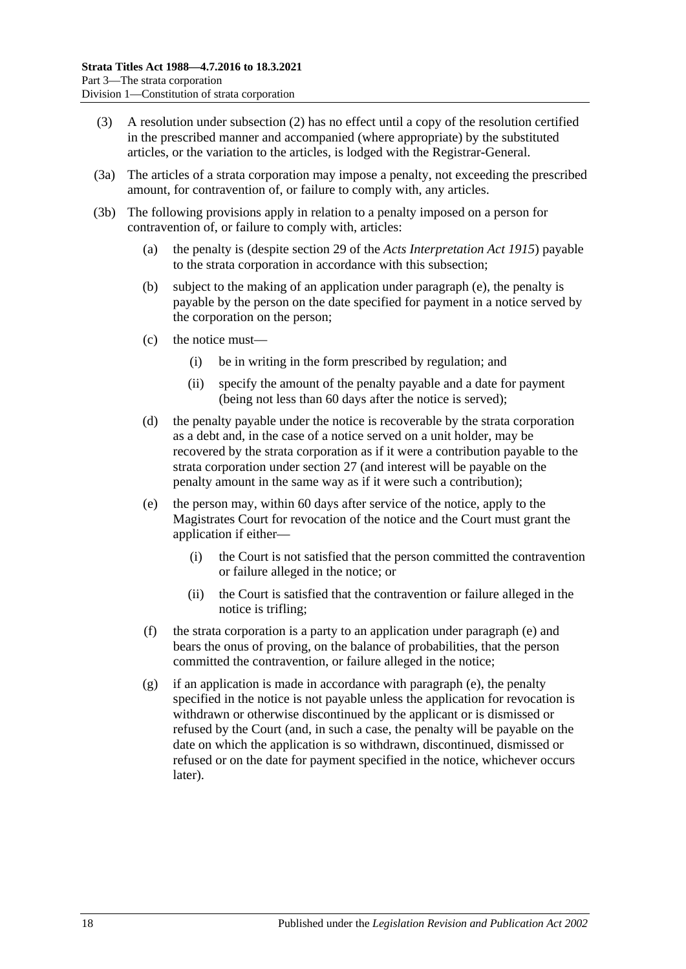- (3) A resolution under [subsection](#page-16-6) (2) has no effect until a copy of the resolution certified in the prescribed manner and accompanied (where appropriate) by the substituted articles, or the variation to the articles, is lodged with the Registrar-General.
- (3a) The articles of a strata corporation may impose a penalty, not exceeding the prescribed amount, for contravention of, or failure to comply with, any articles.
- <span id="page-17-0"></span>(3b) The following provisions apply in relation to a penalty imposed on a person for contravention of, or failure to comply with, articles:
	- (a) the penalty is (despite section 29 of the *[Acts Interpretation Act](http://www.legislation.sa.gov.au/index.aspx?action=legref&type=act&legtitle=Acts%20Interpretation%20Act%201915) 1915*) payable to the strata corporation in accordance with this subsection;
	- (b) subject to the making of an application under [paragraph](#page-17-0) (e), the penalty is payable by the person on the date specified for payment in a notice served by the corporation on the person;
	- (c) the notice must—
		- (i) be in writing in the form prescribed by regulation; and
		- (ii) specify the amount of the penalty payable and a date for payment (being not less than 60 days after the notice is served);
	- (d) the penalty payable under the notice is recoverable by the strata corporation as a debt and, in the case of a notice served on a unit holder, may be recovered by the strata corporation as if it were a contribution payable to the strata corporation under [section](#page-21-1) 27 (and interest will be payable on the penalty amount in the same way as if it were such a contribution);
	- (e) the person may, within 60 days after service of the notice, apply to the Magistrates Court for revocation of the notice and the Court must grant the application if either—
		- (i) the Court is not satisfied that the person committed the contravention or failure alleged in the notice; or
		- (ii) the Court is satisfied that the contravention or failure alleged in the notice is trifling;
	- (f) the strata corporation is a party to an application under [paragraph](#page-17-0) (e) and bears the onus of proving, on the balance of probabilities, that the person committed the contravention, or failure alleged in the notice;
	- (g) if an application is made in accordance with [paragraph](#page-17-0) (e), the penalty specified in the notice is not payable unless the application for revocation is withdrawn or otherwise discontinued by the applicant or is dismissed or refused by the Court (and, in such a case, the penalty will be payable on the date on which the application is so withdrawn, discontinued, dismissed or refused or on the date for payment specified in the notice, whichever occurs later).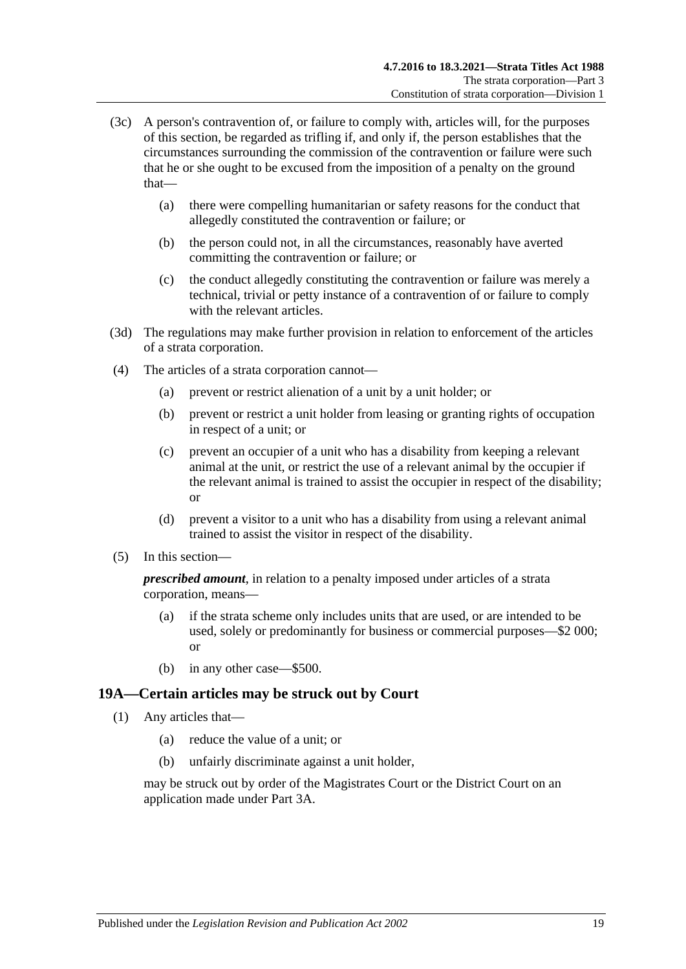- (3c) A person's contravention of, or failure to comply with, articles will, for the purposes of this section, be regarded as trifling if, and only if, the person establishes that the circumstances surrounding the commission of the contravention or failure were such that he or she ought to be excused from the imposition of a penalty on the ground that—
	- (a) there were compelling humanitarian or safety reasons for the conduct that allegedly constituted the contravention or failure; or
	- (b) the person could not, in all the circumstances, reasonably have averted committing the contravention or failure; or
	- (c) the conduct allegedly constituting the contravention or failure was merely a technical, trivial or petty instance of a contravention of or failure to comply with the relevant articles.
- (3d) The regulations may make further provision in relation to enforcement of the articles of a strata corporation.
- (4) The articles of a strata corporation cannot—
	- (a) prevent or restrict alienation of a unit by a unit holder; or
	- (b) prevent or restrict a unit holder from leasing or granting rights of occupation in respect of a unit; or
	- (c) prevent an occupier of a unit who has a disability from keeping a relevant animal at the unit, or restrict the use of a relevant animal by the occupier if the relevant animal is trained to assist the occupier in respect of the disability; or
	- (d) prevent a visitor to a unit who has a disability from using a relevant animal trained to assist the visitor in respect of the disability.
- (5) In this section—

*prescribed amount*, in relation to a penalty imposed under articles of a strata corporation, means—

- (a) if the strata scheme only includes units that are used, or are intended to be used, solely or predominantly for business or commercial purposes—\$2 000; or
- (b) in any other case—\$500.

## <span id="page-18-1"></span><span id="page-18-0"></span>**19A—Certain articles may be struck out by Court**

- (1) Any articles that—
	- (a) reduce the value of a unit; or
	- (b) unfairly discriminate against a unit holder,

may be struck out by order of the Magistrates Court or the District Court on an application made under [Part 3A.](#page-41-0)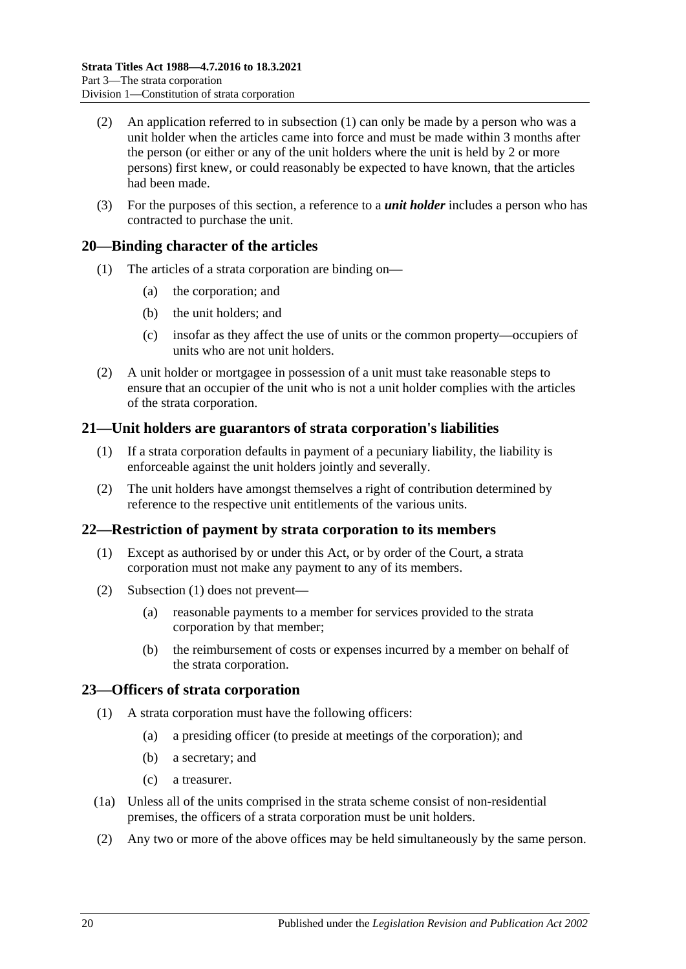- (2) An application referred to in [subsection](#page-18-1) (1) can only be made by a person who was a unit holder when the articles came into force and must be made within 3 months after the person (or either or any of the unit holders where the unit is held by 2 or more persons) first knew, or could reasonably be expected to have known, that the articles had been made.
- (3) For the purposes of this section, a reference to a *unit holder* includes a person who has contracted to purchase the unit.

#### <span id="page-19-0"></span>**20—Binding character of the articles**

- (1) The articles of a strata corporation are binding on—
	- (a) the corporation; and
	- (b) the unit holders; and
	- (c) insofar as they affect the use of units or the common property—occupiers of units who are not unit holders.
- (2) A unit holder or mortgagee in possession of a unit must take reasonable steps to ensure that an occupier of the unit who is not a unit holder complies with the articles of the strata corporation.

#### <span id="page-19-1"></span>**21—Unit holders are guarantors of strata corporation's liabilities**

- (1) If a strata corporation defaults in payment of a pecuniary liability, the liability is enforceable against the unit holders jointly and severally.
- (2) The unit holders have amongst themselves a right of contribution determined by reference to the respective unit entitlements of the various units.

## <span id="page-19-4"></span><span id="page-19-2"></span>**22—Restriction of payment by strata corporation to its members**

- (1) Except as authorised by or under this Act, or by order of the Court, a strata corporation must not make any payment to any of its members.
- (2) [Subsection](#page-19-4) (1) does not prevent—
	- (a) reasonable payments to a member for services provided to the strata corporation by that member;
	- (b) the reimbursement of costs or expenses incurred by a member on behalf of the strata corporation.

#### <span id="page-19-3"></span>**23—Officers of strata corporation**

- (1) A strata corporation must have the following officers:
	- (a) a presiding officer (to preside at meetings of the corporation); and
	- (b) a secretary; and
	- (c) a treasurer.
- (1a) Unless all of the units comprised in the strata scheme consist of non-residential premises, the officers of a strata corporation must be unit holders.
- (2) Any two or more of the above offices may be held simultaneously by the same person.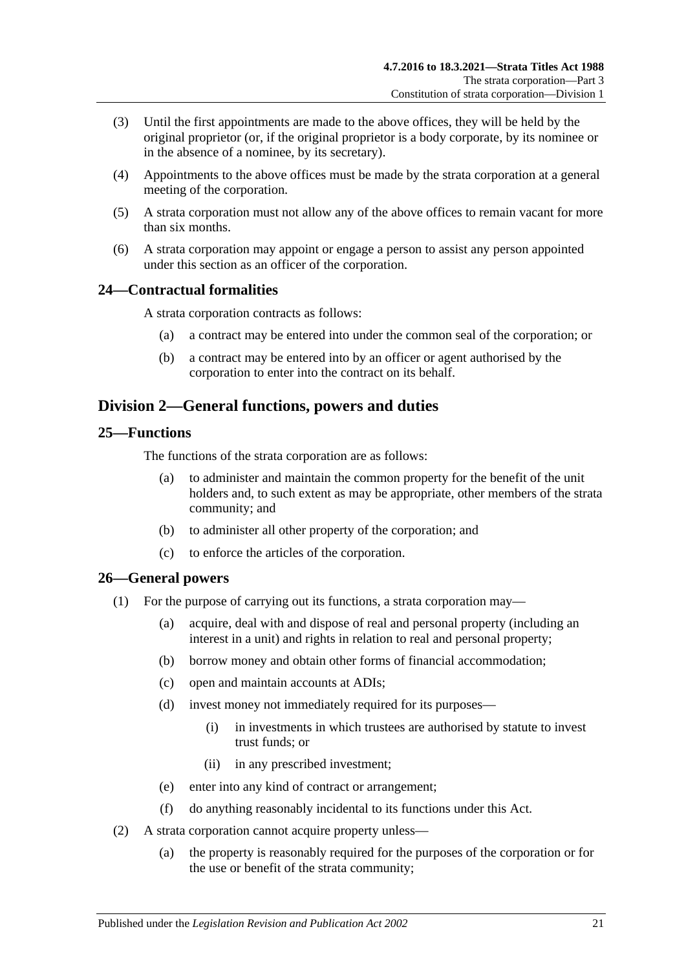- (3) Until the first appointments are made to the above offices, they will be held by the original proprietor (or, if the original proprietor is a body corporate, by its nominee or in the absence of a nominee, by its secretary).
- (4) Appointments to the above offices must be made by the strata corporation at a general meeting of the corporation.
- (5) A strata corporation must not allow any of the above offices to remain vacant for more than six months.
- (6) A strata corporation may appoint or engage a person to assist any person appointed under this section as an officer of the corporation.

## <span id="page-20-0"></span>**24—Contractual formalities**

A strata corporation contracts as follows:

- (a) a contract may be entered into under the common seal of the corporation; or
- (b) a contract may be entered into by an officer or agent authorised by the corporation to enter into the contract on its behalf.

## <span id="page-20-1"></span>**Division 2—General functions, powers and duties**

## <span id="page-20-2"></span>**25—Functions**

The functions of the strata corporation are as follows:

- (a) to administer and maintain the common property for the benefit of the unit holders and, to such extent as may be appropriate, other members of the strata community; and
- (b) to administer all other property of the corporation; and
- (c) to enforce the articles of the corporation.

## <span id="page-20-3"></span>**26—General powers**

- (1) For the purpose of carrying out its functions, a strata corporation may—
	- (a) acquire, deal with and dispose of real and personal property (including an interest in a unit) and rights in relation to real and personal property;
	- (b) borrow money and obtain other forms of financial accommodation;
	- (c) open and maintain accounts at ADIs;
	- (d) invest money not immediately required for its purposes—
		- (i) in investments in which trustees are authorised by statute to invest trust funds; or
		- (ii) in any prescribed investment;
	- (e) enter into any kind of contract or arrangement;
	- (f) do anything reasonably incidental to its functions under this Act.
- (2) A strata corporation cannot acquire property unless—
	- (a) the property is reasonably required for the purposes of the corporation or for the use or benefit of the strata community;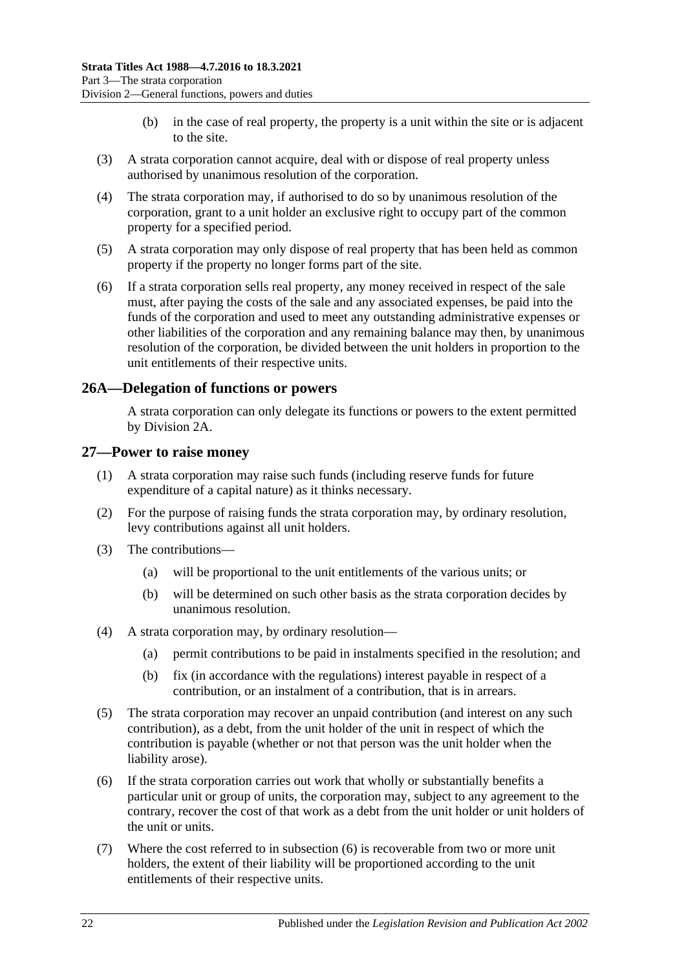- (b) in the case of real property, the property is a unit within the site or is adjacent to the site.
- (3) A strata corporation cannot acquire, deal with or dispose of real property unless authorised by unanimous resolution of the corporation.
- (4) The strata corporation may, if authorised to do so by unanimous resolution of the corporation, grant to a unit holder an exclusive right to occupy part of the common property for a specified period.
- (5) A strata corporation may only dispose of real property that has been held as common property if the property no longer forms part of the site.
- (6) If a strata corporation sells real property, any money received in respect of the sale must, after paying the costs of the sale and any associated expenses, be paid into the funds of the corporation and used to meet any outstanding administrative expenses or other liabilities of the corporation and any remaining balance may then, by unanimous resolution of the corporation, be divided between the unit holders in proportion to the unit entitlements of their respective units.

#### <span id="page-21-0"></span>**26A—Delegation of functions or powers**

A strata corporation can only delegate its functions or powers to the extent permitted by [Division 2A.](#page-22-0)

#### <span id="page-21-1"></span>**27—Power to raise money**

- (1) A strata corporation may raise such funds (including reserve funds for future expenditure of a capital nature) as it thinks necessary.
- (2) For the purpose of raising funds the strata corporation may, by ordinary resolution, levy contributions against all unit holders.
- (3) The contributions—
	- (a) will be proportional to the unit entitlements of the various units; or
	- (b) will be determined on such other basis as the strata corporation decides by unanimous resolution.
- (4) A strata corporation may, by ordinary resolution—
	- (a) permit contributions to be paid in instalments specified in the resolution; and
	- (b) fix (in accordance with the regulations) interest payable in respect of a contribution, or an instalment of a contribution, that is in arrears.
- (5) The strata corporation may recover an unpaid contribution (and interest on any such contribution), as a debt, from the unit holder of the unit in respect of which the contribution is payable (whether or not that person was the unit holder when the liability arose).
- <span id="page-21-2"></span>(6) If the strata corporation carries out work that wholly or substantially benefits a particular unit or group of units, the corporation may, subject to any agreement to the contrary, recover the cost of that work as a debt from the unit holder or unit holders of the unit or units.
- (7) Where the cost referred to in [subsection](#page-21-2) (6) is recoverable from two or more unit holders, the extent of their liability will be proportioned according to the unit entitlements of their respective units.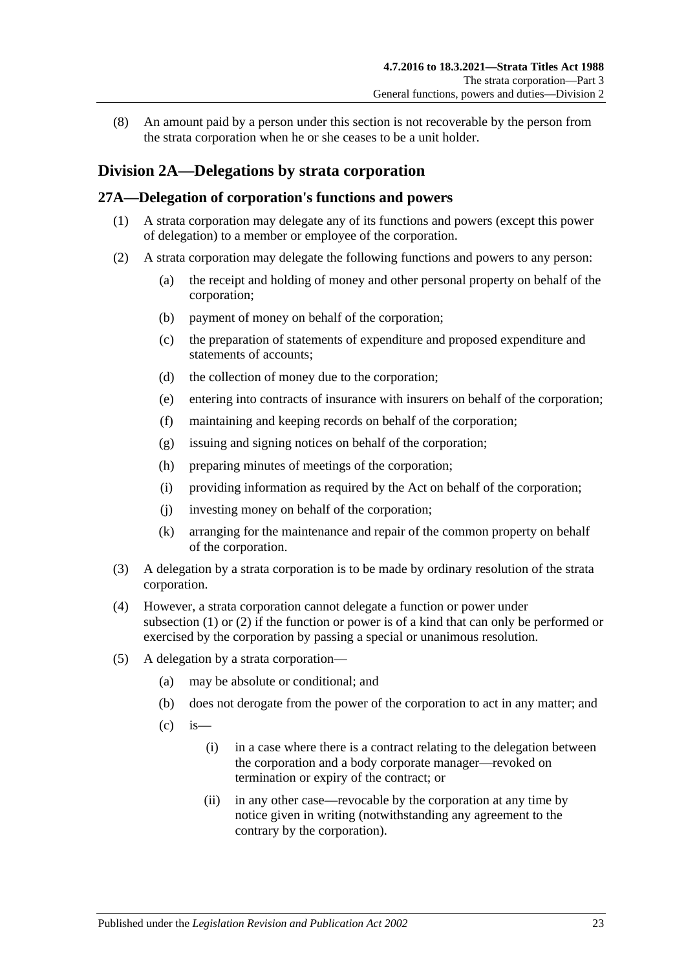(8) An amount paid by a person under this section is not recoverable by the person from the strata corporation when he or she ceases to be a unit holder.

## <span id="page-22-0"></span>**Division 2A—Delegations by strata corporation**

#### <span id="page-22-2"></span><span id="page-22-1"></span>**27A—Delegation of corporation's functions and powers**

- (1) A strata corporation may delegate any of its functions and powers (except this power of delegation) to a member or employee of the corporation.
- <span id="page-22-3"></span>(2) A strata corporation may delegate the following functions and powers to any person:
	- (a) the receipt and holding of money and other personal property on behalf of the corporation;
	- (b) payment of money on behalf of the corporation;
	- (c) the preparation of statements of expenditure and proposed expenditure and statements of accounts;
	- (d) the collection of money due to the corporation;
	- (e) entering into contracts of insurance with insurers on behalf of the corporation;
	- (f) maintaining and keeping records on behalf of the corporation;
	- (g) issuing and signing notices on behalf of the corporation;
	- (h) preparing minutes of meetings of the corporation;
	- (i) providing information as required by the Act on behalf of the corporation;
	- (j) investing money on behalf of the corporation;
	- (k) arranging for the maintenance and repair of the common property on behalf of the corporation.
- (3) A delegation by a strata corporation is to be made by ordinary resolution of the strata corporation.
- (4) However, a strata corporation cannot delegate a function or power under [subsection](#page-22-2) (1) or [\(2\)](#page-22-3) if the function or power is of a kind that can only be performed or exercised by the corporation by passing a special or unanimous resolution.
- (5) A delegation by a strata corporation—
	- (a) may be absolute or conditional; and
	- (b) does not derogate from the power of the corporation to act in any matter; and
	- $\left( c \right)$  is
		- (i) in a case where there is a contract relating to the delegation between the corporation and a body corporate manager—revoked on termination or expiry of the contract; or
		- (ii) in any other case—revocable by the corporation at any time by notice given in writing (notwithstanding any agreement to the contrary by the corporation).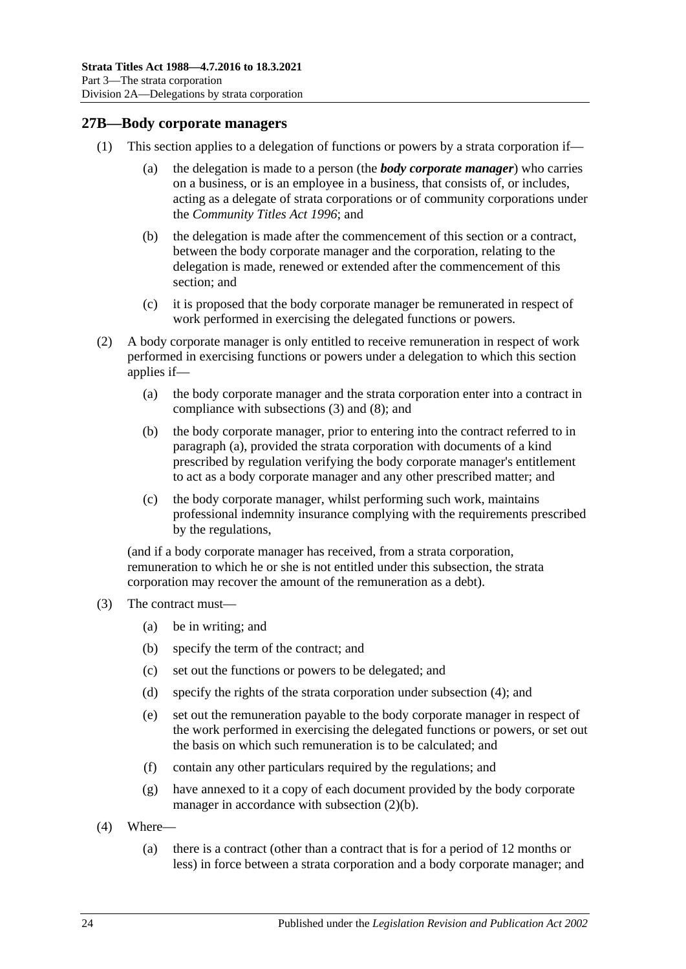## <span id="page-23-0"></span>**27B—Body corporate managers**

- (1) This section applies to a delegation of functions or powers by a strata corporation if—
	- (a) the delegation is made to a person (the *body corporate manager*) who carries on a business, or is an employee in a business, that consists of, or includes, acting as a delegate of strata corporations or of community corporations under the *[Community Titles Act](http://www.legislation.sa.gov.au/index.aspx?action=legref&type=act&legtitle=Community%20Titles%20Act%201996) 1996*; and
	- (b) the delegation is made after the commencement of this section or a contract, between the body corporate manager and the corporation, relating to the delegation is made, renewed or extended after the commencement of this section; and
	- (c) it is proposed that the body corporate manager be remunerated in respect of work performed in exercising the delegated functions or powers.
- <span id="page-23-4"></span><span id="page-23-2"></span>(2) A body corporate manager is only entitled to receive remuneration in respect of work performed in exercising functions or powers under a delegation to which this section applies if—
	- (a) the body corporate manager and the strata corporation enter into a contract in compliance with [subsections](#page-23-1) (3) and [\(8\);](#page-24-1) and
	- (b) the body corporate manager, prior to entering into the contract referred to in [paragraph](#page-23-2) (a), provided the strata corporation with documents of a kind prescribed by regulation verifying the body corporate manager's entitlement to act as a body corporate manager and any other prescribed matter; and
	- (c) the body corporate manager, whilst performing such work, maintains professional indemnity insurance complying with the requirements prescribed by the regulations,

<span id="page-23-6"></span>(and if a body corporate manager has received, from a strata corporation, remuneration to which he or she is not entitled under this subsection, the strata corporation may recover the amount of the remuneration as a debt).

- <span id="page-23-1"></span>(3) The contract must—
	- (a) be in writing; and
	- (b) specify the term of the contract; and
	- (c) set out the functions or powers to be delegated; and
	- (d) specify the rights of the strata corporation under [subsection](#page-23-3) (4); and
	- (e) set out the remuneration payable to the body corporate manager in respect of the work performed in exercising the delegated functions or powers, or set out the basis on which such remuneration is to be calculated; and
	- (f) contain any other particulars required by the regulations; and
	- (g) have annexed to it a copy of each document provided by the body corporate manager in accordance with [subsection](#page-23-4)  $(2)(b)$ .
- <span id="page-23-5"></span><span id="page-23-3"></span>(4) Where—
	- (a) there is a contract (other than a contract that is for a period of 12 months or less) in force between a strata corporation and a body corporate manager; and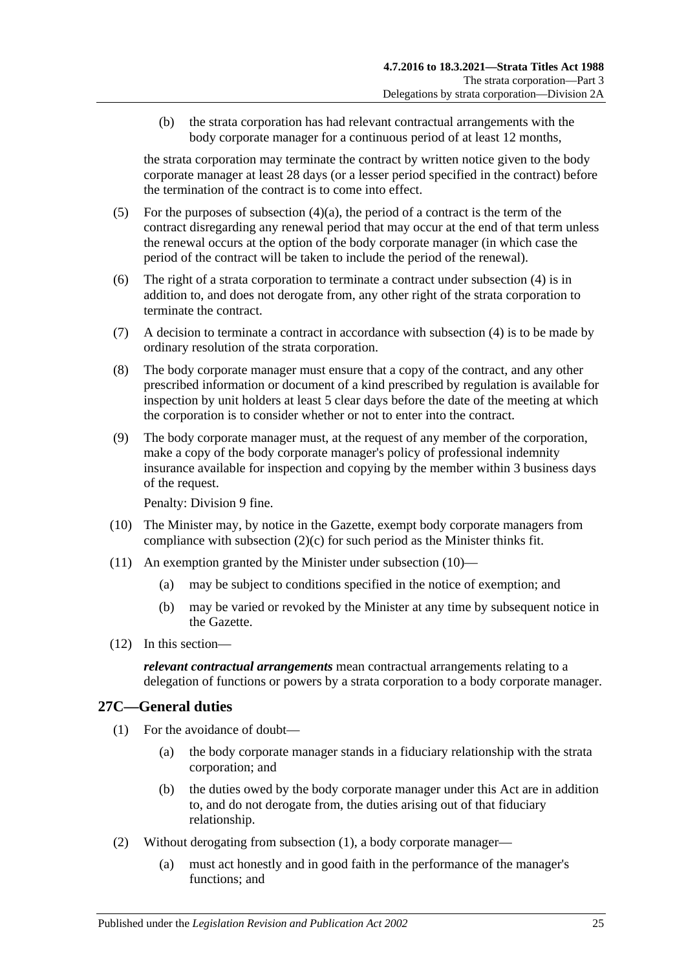(b) the strata corporation has had relevant contractual arrangements with the body corporate manager for a continuous period of at least 12 months,

the strata corporation may terminate the contract by written notice given to the body corporate manager at least 28 days (or a lesser period specified in the contract) before the termination of the contract is to come into effect.

- (5) For the purposes of [subsection](#page-23-5)  $(4)(a)$ , the period of a contract is the term of the contract disregarding any renewal period that may occur at the end of that term unless the renewal occurs at the option of the body corporate manager (in which case the period of the contract will be taken to include the period of the renewal).
- (6) The right of a strata corporation to terminate a contract under [subsection](#page-23-3) (4) is in addition to, and does not derogate from, any other right of the strata corporation to terminate the contract.
- (7) A decision to terminate a contract in accordance with [subsection](#page-23-3) (4) is to be made by ordinary resolution of the strata corporation.
- <span id="page-24-1"></span>(8) The body corporate manager must ensure that a copy of the contract, and any other prescribed information or document of a kind prescribed by regulation is available for inspection by unit holders at least 5 clear days before the date of the meeting at which the corporation is to consider whether or not to enter into the contract.
- (9) The body corporate manager must, at the request of any member of the corporation, make a copy of the body corporate manager's policy of professional indemnity insurance available for inspection and copying by the member within 3 business days of the request.

Penalty: Division 9 fine.

- <span id="page-24-2"></span>(10) The Minister may, by notice in the Gazette, exempt body corporate managers from compliance with [subsection](#page-23-6) (2)(c) for such period as the Minister thinks fit.
- (11) An exemption granted by the Minister under [subsection](#page-24-2) (10)—
	- (a) may be subject to conditions specified in the notice of exemption; and
	- (b) may be varied or revoked by the Minister at any time by subsequent notice in the Gazette.
- (12) In this section—

*relevant contractual arrangements* mean contractual arrangements relating to a delegation of functions or powers by a strata corporation to a body corporate manager.

## <span id="page-24-3"></span><span id="page-24-0"></span>**27C—General duties**

- (1) For the avoidance of doubt—
	- (a) the body corporate manager stands in a fiduciary relationship with the strata corporation; and
	- (b) the duties owed by the body corporate manager under this Act are in addition to, and do not derogate from, the duties arising out of that fiduciary relationship.
- (2) Without derogating from [subsection](#page-24-3) (1), a body corporate manager—
	- (a) must act honestly and in good faith in the performance of the manager's functions; and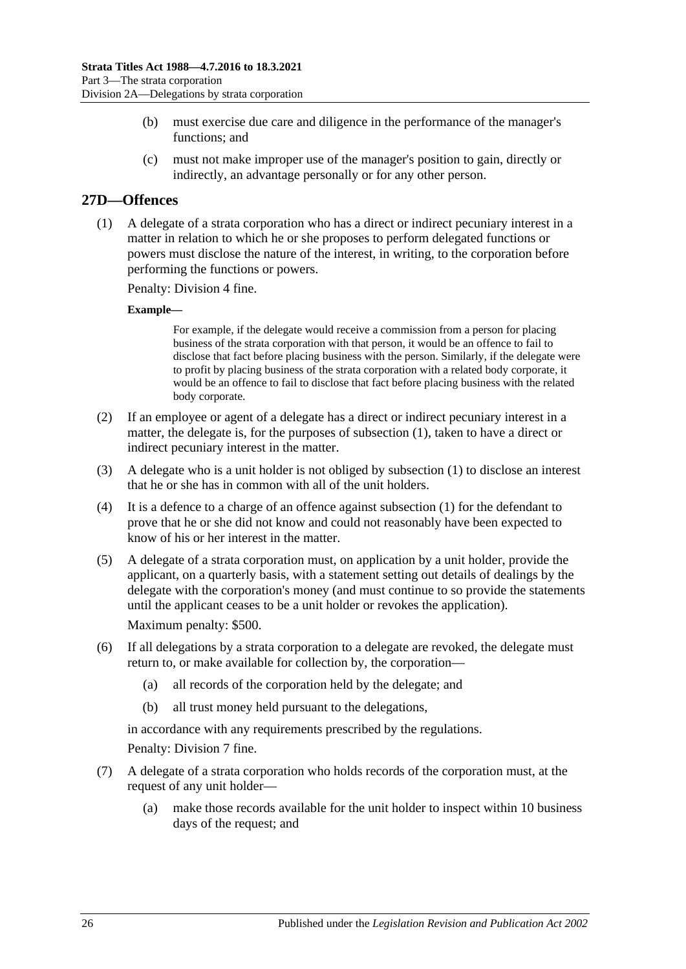- (b) must exercise due care and diligence in the performance of the manager's functions; and
- (c) must not make improper use of the manager's position to gain, directly or indirectly, an advantage personally or for any other person.

## <span id="page-25-1"></span><span id="page-25-0"></span>**27D—Offences**

(1) A delegate of a strata corporation who has a direct or indirect pecuniary interest in a matter in relation to which he or she proposes to perform delegated functions or powers must disclose the nature of the interest, in writing, to the corporation before performing the functions or powers.

Penalty: Division 4 fine.

#### **Example—**

For example, if the delegate would receive a commission from a person for placing business of the strata corporation with that person, it would be an offence to fail to disclose that fact before placing business with the person. Similarly, if the delegate were to profit by placing business of the strata corporation with a related body corporate, it would be an offence to fail to disclose that fact before placing business with the related body corporate.

- (2) If an employee or agent of a delegate has a direct or indirect pecuniary interest in a matter, the delegate is, for the purposes of [subsection](#page-25-1) (1), taken to have a direct or indirect pecuniary interest in the matter.
- (3) A delegate who is a unit holder is not obliged by [subsection](#page-25-1) (1) to disclose an interest that he or she has in common with all of the unit holders.
- (4) It is a defence to a charge of an offence against [subsection \(1\)](#page-25-1) for the defendant to prove that he or she did not know and could not reasonably have been expected to know of his or her interest in the matter.
- (5) A delegate of a strata corporation must, on application by a unit holder, provide the applicant, on a quarterly basis, with a statement setting out details of dealings by the delegate with the corporation's money (and must continue to so provide the statements until the applicant ceases to be a unit holder or revokes the application). Maximum penalty: \$500.
- (6) If all delegations by a strata corporation to a delegate are revoked, the delegate must return to, or make available for collection by, the corporation—
	- (a) all records of the corporation held by the delegate; and
	- (b) all trust money held pursuant to the delegations,

in accordance with any requirements prescribed by the regulations.

Penalty: Division 7 fine.

- (7) A delegate of a strata corporation who holds records of the corporation must, at the request of any unit holder—
	- (a) make those records available for the unit holder to inspect within 10 business days of the request; and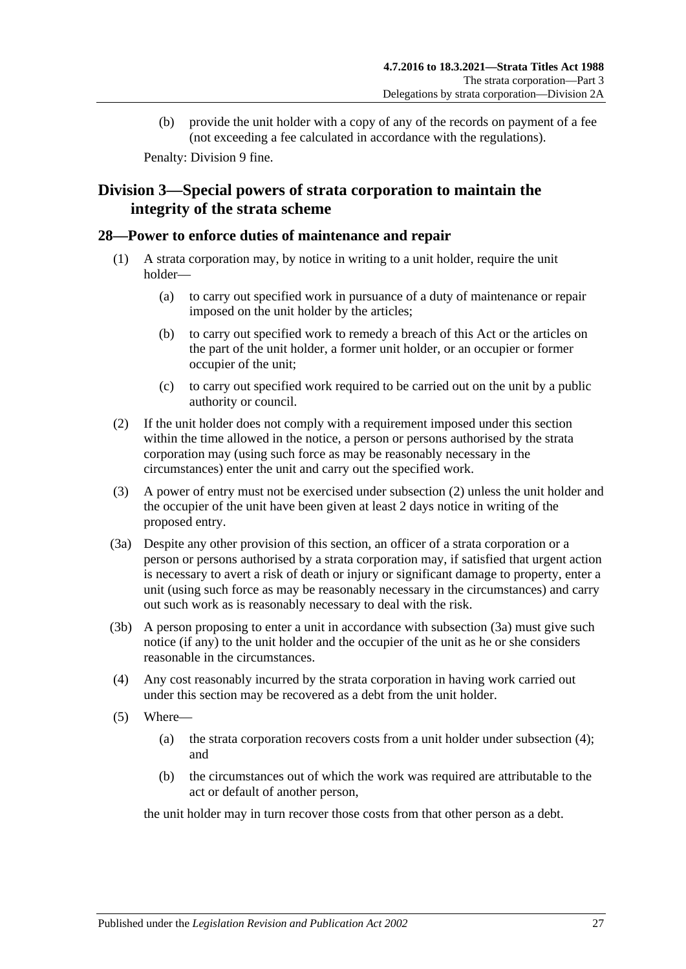(b) provide the unit holder with a copy of any of the records on payment of a fee (not exceeding a fee calculated in accordance with the regulations).

Penalty: Division 9 fine.

## <span id="page-26-0"></span>**Division 3—Special powers of strata corporation to maintain the integrity of the strata scheme**

## <span id="page-26-1"></span>**28—Power to enforce duties of maintenance and repair**

- (1) A strata corporation may, by notice in writing to a unit holder, require the unit holder—
	- (a) to carry out specified work in pursuance of a duty of maintenance or repair imposed on the unit holder by the articles;
	- (b) to carry out specified work to remedy a breach of this Act or the articles on the part of the unit holder, a former unit holder, or an occupier or former occupier of the unit;
	- (c) to carry out specified work required to be carried out on the unit by a public authority or council.
- <span id="page-26-2"></span>(2) If the unit holder does not comply with a requirement imposed under this section within the time allowed in the notice, a person or persons authorised by the strata corporation may (using such force as may be reasonably necessary in the circumstances) enter the unit and carry out the specified work.
- (3) A power of entry must not be exercised under [subsection](#page-26-2) (2) unless the unit holder and the occupier of the unit have been given at least 2 days notice in writing of the proposed entry.
- <span id="page-26-3"></span>(3a) Despite any other provision of this section, an officer of a strata corporation or a person or persons authorised by a strata corporation may, if satisfied that urgent action is necessary to avert a risk of death or injury or significant damage to property, enter a unit (using such force as may be reasonably necessary in the circumstances) and carry out such work as is reasonably necessary to deal with the risk.
- (3b) A person proposing to enter a unit in accordance with [subsection](#page-26-3) (3a) must give such notice (if any) to the unit holder and the occupier of the unit as he or she considers reasonable in the circumstances.
- <span id="page-26-4"></span>(4) Any cost reasonably incurred by the strata corporation in having work carried out under this section may be recovered as a debt from the unit holder.
- (5) Where—
	- (a) the strata corporation recovers costs from a unit holder under [subsection](#page-26-4) (4); and
	- (b) the circumstances out of which the work was required are attributable to the act or default of another person,

the unit holder may in turn recover those costs from that other person as a debt.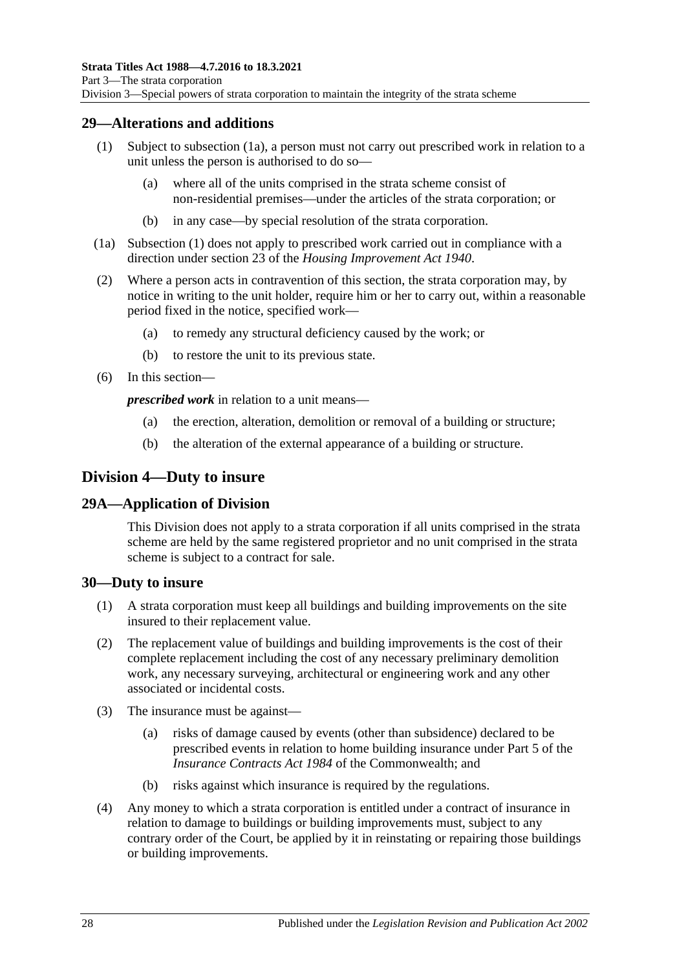## <span id="page-27-5"></span><span id="page-27-0"></span>**29—Alterations and additions**

- (1) Subject to [subsection](#page-27-4) (1a), a person must not carry out prescribed work in relation to a unit unless the person is authorised to do so—
	- (a) where all of the units comprised in the strata scheme consist of non-residential premises—under the articles of the strata corporation; or
	- (b) in any case—by special resolution of the strata corporation.
- <span id="page-27-4"></span>(1a) [Subsection](#page-27-5) (1) does not apply to prescribed work carried out in compliance with a direction under section 23 of the *[Housing Improvement Act](http://www.legislation.sa.gov.au/index.aspx?action=legref&type=act&legtitle=Housing%20Improvement%20Act%201940) 1940*.
- (2) Where a person acts in contravention of this section, the strata corporation may, by notice in writing to the unit holder, require him or her to carry out, within a reasonable period fixed in the notice, specified work—
	- (a) to remedy any structural deficiency caused by the work; or
	- (b) to restore the unit to its previous state.
- (6) In this section—

*prescribed work* in relation to a unit means—

- (a) the erection, alteration, demolition or removal of a building or structure;
- (b) the alteration of the external appearance of a building or structure.

## <span id="page-27-1"></span>**Division 4—Duty to insure**

## <span id="page-27-2"></span>**29A—Application of Division**

This Division does not apply to a strata corporation if all units comprised in the strata scheme are held by the same registered proprietor and no unit comprised in the strata scheme is subject to a contract for sale.

## <span id="page-27-3"></span>**30—Duty to insure**

- (1) A strata corporation must keep all buildings and building improvements on the site insured to their replacement value.
- (2) The replacement value of buildings and building improvements is the cost of their complete replacement including the cost of any necessary preliminary demolition work, any necessary surveying, architectural or engineering work and any other associated or incidental costs.
- (3) The insurance must be against—
	- (a) risks of damage caused by events (other than subsidence) declared to be prescribed events in relation to home building insurance under Part 5 of the *Insurance Contracts Act 1984* of the Commonwealth; and
	- (b) risks against which insurance is required by the regulations.
- (4) Any money to which a strata corporation is entitled under a contract of insurance in relation to damage to buildings or building improvements must, subject to any contrary order of the Court, be applied by it in reinstating or repairing those buildings or building improvements.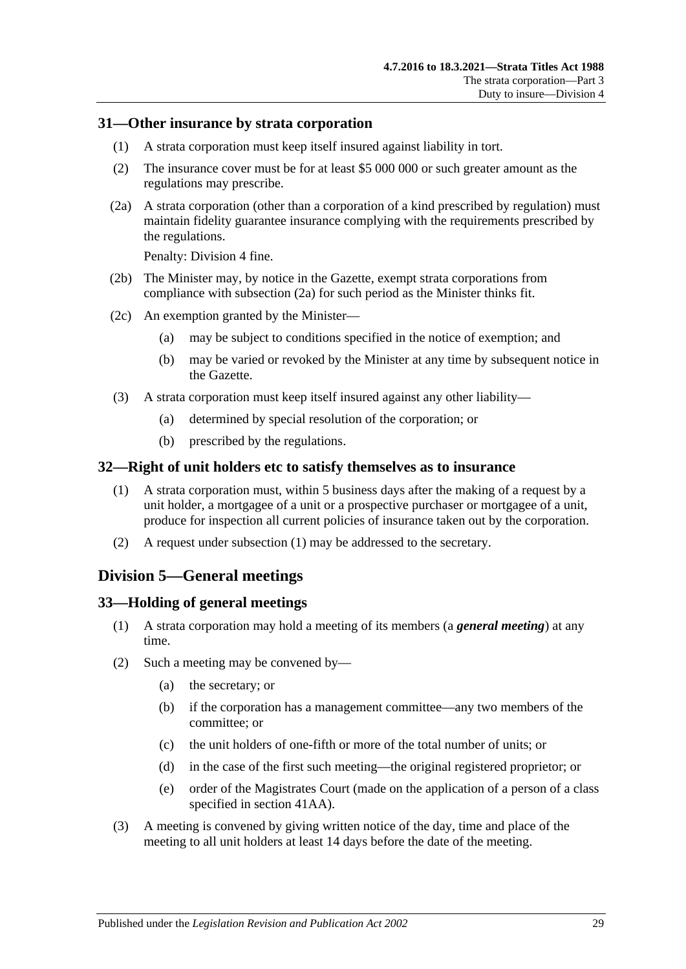### <span id="page-28-0"></span>**31—Other insurance by strata corporation**

- (1) A strata corporation must keep itself insured against liability in tort.
- (2) The insurance cover must be for at least \$5 000 000 or such greater amount as the regulations may prescribe.
- <span id="page-28-4"></span>(2a) A strata corporation (other than a corporation of a kind prescribed by regulation) must maintain fidelity guarantee insurance complying with the requirements prescribed by the regulations.

Penalty: Division 4 fine.

- (2b) The Minister may, by notice in the Gazette, exempt strata corporations from compliance with [subsection](#page-28-4) (2a) for such period as the Minister thinks fit.
- (2c) An exemption granted by the Minister—
	- (a) may be subject to conditions specified in the notice of exemption; and
	- (b) may be varied or revoked by the Minister at any time by subsequent notice in the Gazette.
- (3) A strata corporation must keep itself insured against any other liability—
	- (a) determined by special resolution of the corporation; or
	- (b) prescribed by the regulations.

#### <span id="page-28-5"></span><span id="page-28-1"></span>**32—Right of unit holders etc to satisfy themselves as to insurance**

- (1) A strata corporation must, within 5 business days after the making of a request by a unit holder, a mortgagee of a unit or a prospective purchaser or mortgagee of a unit, produce for inspection all current policies of insurance taken out by the corporation.
- (2) A request under [subsection](#page-28-5) (1) may be addressed to the secretary.

## <span id="page-28-2"></span>**Division 5—General meetings**

#### <span id="page-28-3"></span>**33—Holding of general meetings**

- (1) A strata corporation may hold a meeting of its members (a *general meeting*) at any time.
- (2) Such a meeting may be convened by—
	- (a) the secretary; or
	- (b) if the corporation has a management committee—any two members of the committee; or
	- (c) the unit holders of one-fifth or more of the total number of units; or
	- (d) in the case of the first such meeting—the original registered proprietor; or
	- (e) order of the Magistrates Court (made on the application of a person of a class specified in [section](#page-41-1) 41AA).
- <span id="page-28-6"></span>(3) A meeting is convened by giving written notice of the day, time and place of the meeting to all unit holders at least 14 days before the date of the meeting.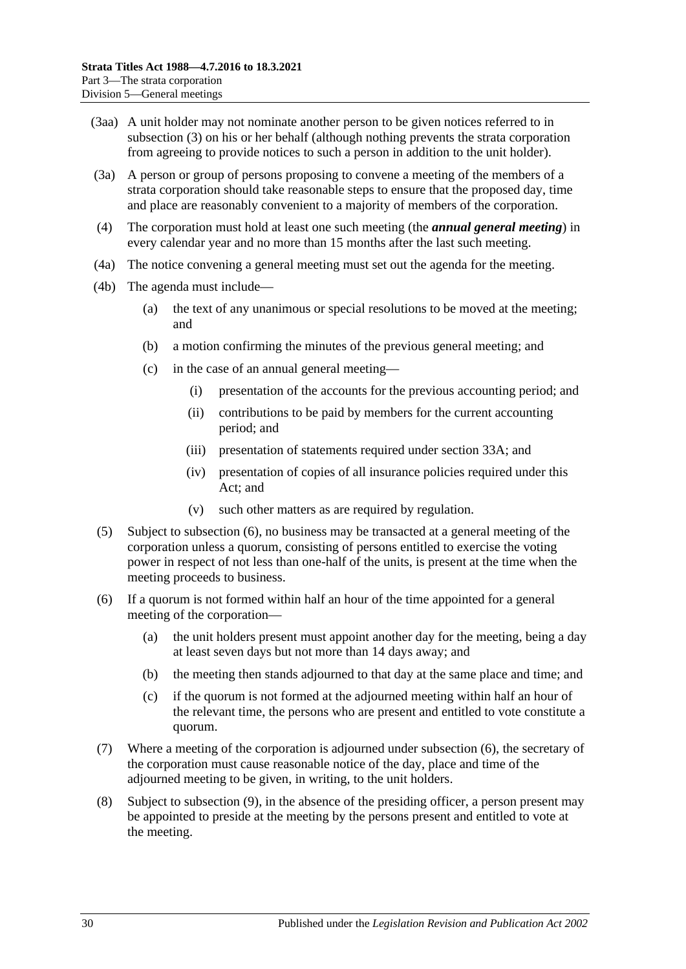- (3aa) A unit holder may not nominate another person to be given notices referred to in [subsection](#page-28-6) (3) on his or her behalf (although nothing prevents the strata corporation from agreeing to provide notices to such a person in addition to the unit holder).
- (3a) A person or group of persons proposing to convene a meeting of the members of a strata corporation should take reasonable steps to ensure that the proposed day, time and place are reasonably convenient to a majority of members of the corporation.
- (4) The corporation must hold at least one such meeting (the *annual general meeting*) in every calendar year and no more than 15 months after the last such meeting.
- (4a) The notice convening a general meeting must set out the agenda for the meeting.
- (4b) The agenda must include—
	- (a) the text of any unanimous or special resolutions to be moved at the meeting; and
	- (b) a motion confirming the minutes of the previous general meeting; and
	- (c) in the case of an annual general meeting—
		- (i) presentation of the accounts for the previous accounting period; and
		- (ii) contributions to be paid by members for the current accounting period; and
		- (iii) presentation of statements required under [section](#page-30-0) 33A; and
		- (iv) presentation of copies of all insurance policies required under this Act; and
		- (v) such other matters as are required by regulation.
- (5) Subject to [subsection](#page-29-0) (6), no business may be transacted at a general meeting of the corporation unless a quorum, consisting of persons entitled to exercise the voting power in respect of not less than one-half of the units, is present at the time when the meeting proceeds to business.
- <span id="page-29-0"></span>(6) If a quorum is not formed within half an hour of the time appointed for a general meeting of the corporation—
	- (a) the unit holders present must appoint another day for the meeting, being a day at least seven days but not more than 14 days away; and
	- (b) the meeting then stands adjourned to that day at the same place and time; and
	- (c) if the quorum is not formed at the adjourned meeting within half an hour of the relevant time, the persons who are present and entitled to vote constitute a quorum.
- (7) Where a meeting of the corporation is adjourned under [subsection](#page-29-0) (6), the secretary of the corporation must cause reasonable notice of the day, place and time of the adjourned meeting to be given, in writing, to the unit holders.
- (8) Subject to [subsection](#page-30-2) (9), in the absence of the presiding officer, a person present may be appointed to preside at the meeting by the persons present and entitled to vote at the meeting.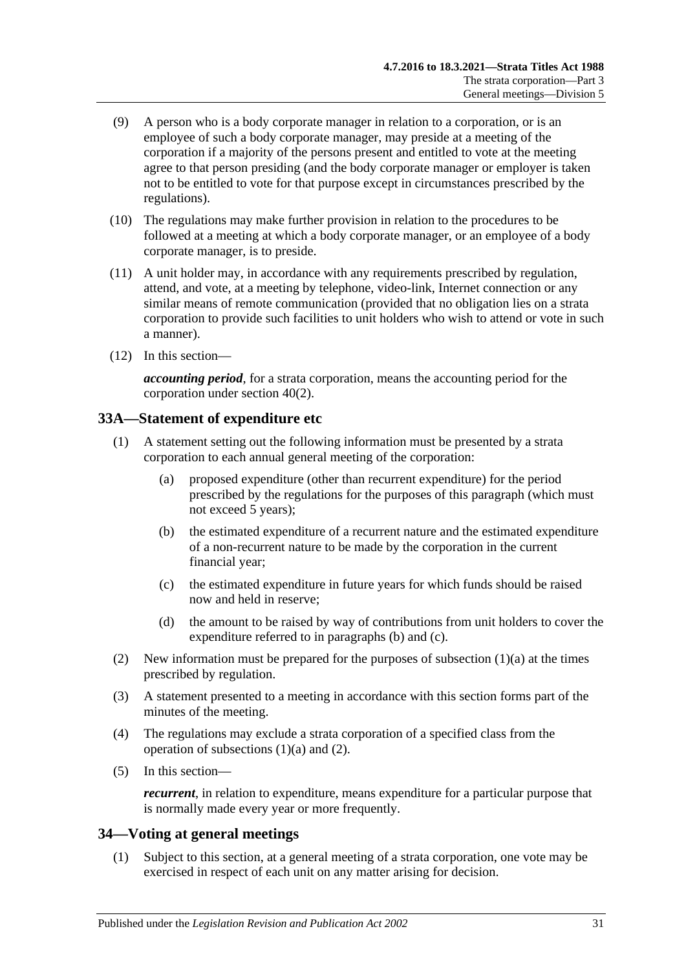- <span id="page-30-2"></span>(9) A person who is a body corporate manager in relation to a corporation, or is an employee of such a body corporate manager, may preside at a meeting of the corporation if a majority of the persons present and entitled to vote at the meeting agree to that person presiding (and the body corporate manager or employer is taken not to be entitled to vote for that purpose except in circumstances prescribed by the regulations).
- (10) The regulations may make further provision in relation to the procedures to be followed at a meeting at which a body corporate manager, or an employee of a body corporate manager, is to preside.
- (11) A unit holder may, in accordance with any requirements prescribed by regulation, attend, and vote, at a meeting by telephone, video-link, Internet connection or any similar means of remote communication (provided that no obligation lies on a strata corporation to provide such facilities to unit holders who wish to attend or vote in such a manner).
- (12) In this section—

*accounting period*, for a strata corporation, means the accounting period for the corporation under [section](#page-39-3) 40(2).

## <span id="page-30-0"></span>**33A—Statement of expenditure etc**

- <span id="page-30-5"></span><span id="page-30-3"></span>(1) A statement setting out the following information must be presented by a strata corporation to each annual general meeting of the corporation:
	- (a) proposed expenditure (other than recurrent expenditure) for the period prescribed by the regulations for the purposes of this paragraph (which must not exceed 5 years);
	- (b) the estimated expenditure of a recurrent nature and the estimated expenditure of a non-recurrent nature to be made by the corporation in the current financial year;
	- (c) the estimated expenditure in future years for which funds should be raised now and held in reserve;
	- (d) the amount to be raised by way of contributions from unit holders to cover the expenditure referred to in [paragraphs](#page-30-3) (b) and [\(c\).](#page-30-4)
- <span id="page-30-6"></span><span id="page-30-4"></span>(2) New information must be prepared for the purposes of [subsection](#page-30-5)  $(1)(a)$  at the times prescribed by regulation.
- (3) A statement presented to a meeting in accordance with this section forms part of the minutes of the meeting.
- (4) The regulations may exclude a strata corporation of a specified class from the operation of [subsections](#page-30-5)  $(1)(a)$  and  $(2)$ .
- (5) In this section—

*recurrent*, in relation to expenditure, means expenditure for a particular purpose that is normally made every year or more frequently.

## <span id="page-30-1"></span>**34—Voting at general meetings**

(1) Subject to this section, at a general meeting of a strata corporation, one vote may be exercised in respect of each unit on any matter arising for decision.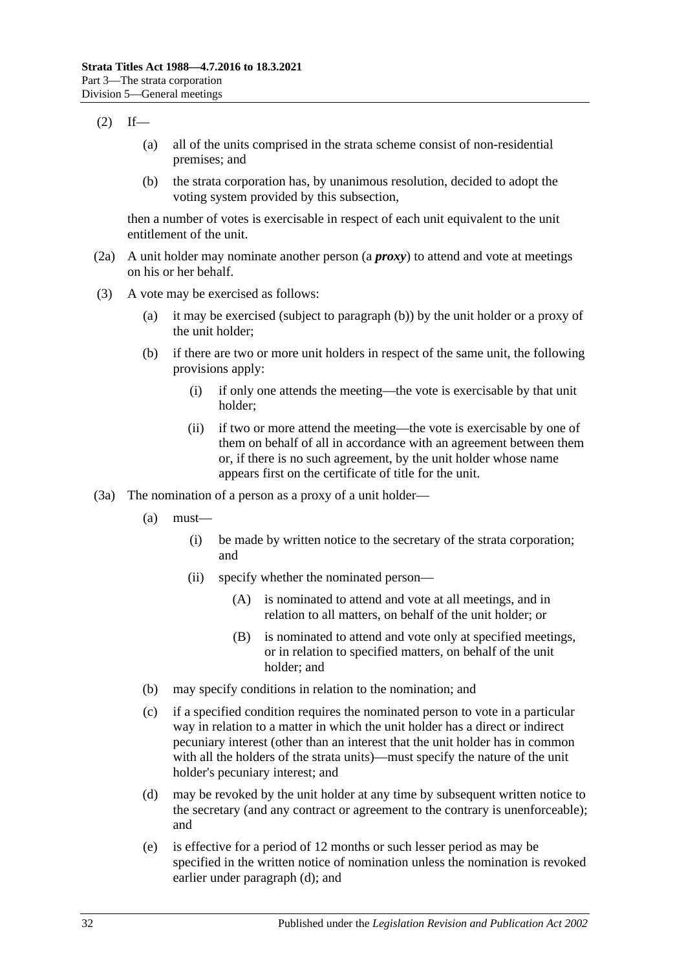#### $(2)$  If—

- (a) all of the units comprised in the strata scheme consist of non-residential premises; and
- (b) the strata corporation has, by unanimous resolution, decided to adopt the voting system provided by this subsection,

then a number of votes is exercisable in respect of each unit equivalent to the unit entitlement of the unit.

- (2a) A unit holder may nominate another person (a *proxy*) to attend and vote at meetings on his or her behalf.
- <span id="page-31-0"></span>(3) A vote may be exercised as follows:
	- (a) it may be exercised (subject to [paragraph](#page-31-0) (b)) by the unit holder or a proxy of the unit holder;
	- (b) if there are two or more unit holders in respect of the same unit, the following provisions apply:
		- (i) if only one attends the meeting—the vote is exercisable by that unit holder;
		- (ii) if two or more attend the meeting—the vote is exercisable by one of them on behalf of all in accordance with an agreement between them or, if there is no such agreement, by the unit holder whose name appears first on the certificate of title for the unit.
- <span id="page-31-4"></span><span id="page-31-3"></span><span id="page-31-2"></span><span id="page-31-1"></span>(3a) The nomination of a person as a proxy of a unit holder—
	- (a) must—
		- (i) be made by written notice to the secretary of the strata corporation; and
		- (ii) specify whether the nominated person—
			- (A) is nominated to attend and vote at all meetings, and in relation to all matters, on behalf of the unit holder; or
			- (B) is nominated to attend and vote only at specified meetings, or in relation to specified matters, on behalf of the unit holder; and
	- (b) may specify conditions in relation to the nomination; and
	- (c) if a specified condition requires the nominated person to vote in a particular way in relation to a matter in which the unit holder has a direct or indirect pecuniary interest (other than an interest that the unit holder has in common with all the holders of the strata units)—must specify the nature of the unit holder's pecuniary interest; and
	- (d) may be revoked by the unit holder at any time by subsequent written notice to the secretary (and any contract or agreement to the contrary is unenforceable); and
	- (e) is effective for a period of 12 months or such lesser period as may be specified in the written notice of nomination unless the nomination is revoked earlier under [paragraph](#page-31-1) (d); and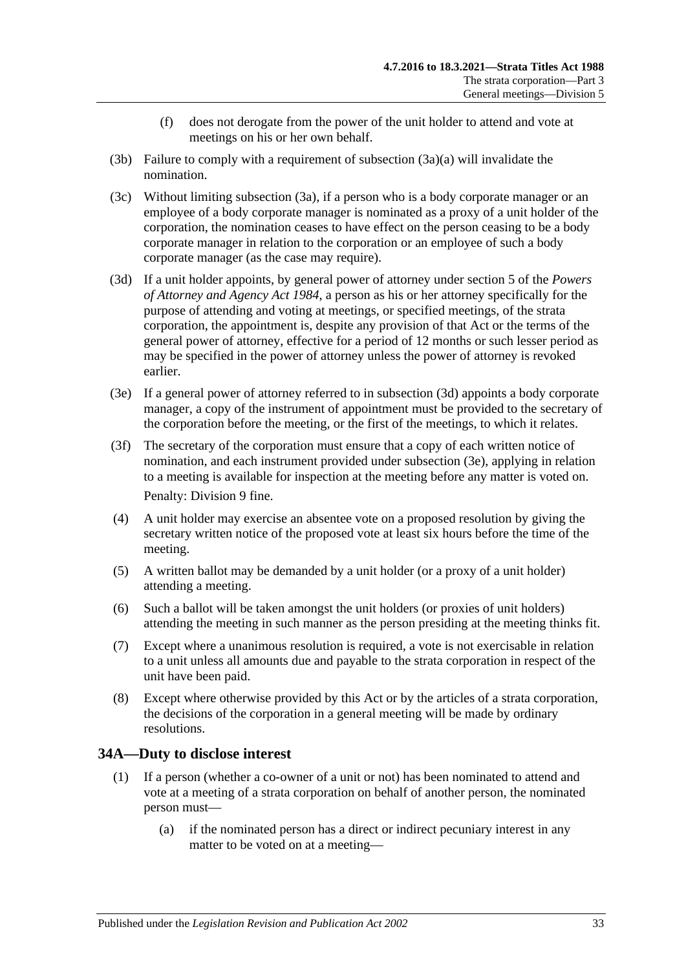- (f) does not derogate from the power of the unit holder to attend and vote at meetings on his or her own behalf.
- (3b) Failure to comply with a requirement of [subsection](#page-31-2) (3a)(a) will invalidate the nomination.
- (3c) Without limiting [subsection](#page-31-3) (3a), if a person who is a body corporate manager or an employee of a body corporate manager is nominated as a proxy of a unit holder of the corporation, the nomination ceases to have effect on the person ceasing to be a body corporate manager in relation to the corporation or an employee of such a body corporate manager (as the case may require).
- <span id="page-32-1"></span>(3d) If a unit holder appoints, by general power of attorney under section 5 of the *[Powers](http://www.legislation.sa.gov.au/index.aspx?action=legref&type=act&legtitle=Powers%20of%20Attorney%20and%20Agency%20Act%201984)  [of Attorney and Agency Act](http://www.legislation.sa.gov.au/index.aspx?action=legref&type=act&legtitle=Powers%20of%20Attorney%20and%20Agency%20Act%201984) 1984*, a person as his or her attorney specifically for the purpose of attending and voting at meetings, or specified meetings, of the strata corporation, the appointment is, despite any provision of that Act or the terms of the general power of attorney, effective for a period of 12 months or such lesser period as may be specified in the power of attorney unless the power of attorney is revoked earlier.
- <span id="page-32-2"></span>(3e) If a general power of attorney referred to in [subsection](#page-32-1) (3d) appoints a body corporate manager, a copy of the instrument of appointment must be provided to the secretary of the corporation before the meeting, or the first of the meetings, to which it relates.
- (3f) The secretary of the corporation must ensure that a copy of each written notice of nomination, and each instrument provided under [subsection](#page-32-2) (3e), applying in relation to a meeting is available for inspection at the meeting before any matter is voted on. Penalty: Division 9 fine.
- (4) A unit holder may exercise an absentee vote on a proposed resolution by giving the secretary written notice of the proposed vote at least six hours before the time of the meeting.
- (5) A written ballot may be demanded by a unit holder (or a proxy of a unit holder) attending a meeting.
- (6) Such a ballot will be taken amongst the unit holders (or proxies of unit holders) attending the meeting in such manner as the person presiding at the meeting thinks fit.
- (7) Except where a unanimous resolution is required, a vote is not exercisable in relation to a unit unless all amounts due and payable to the strata corporation in respect of the unit have been paid.
- (8) Except where otherwise provided by this Act or by the articles of a strata corporation, the decisions of the corporation in a general meeting will be made by ordinary resolutions.

## <span id="page-32-3"></span><span id="page-32-0"></span>**34A—Duty to disclose interest**

- (1) If a person (whether a co-owner of a unit or not) has been nominated to attend and vote at a meeting of a strata corporation on behalf of another person, the nominated person must—
	- (a) if the nominated person has a direct or indirect pecuniary interest in any matter to be voted on at a meeting—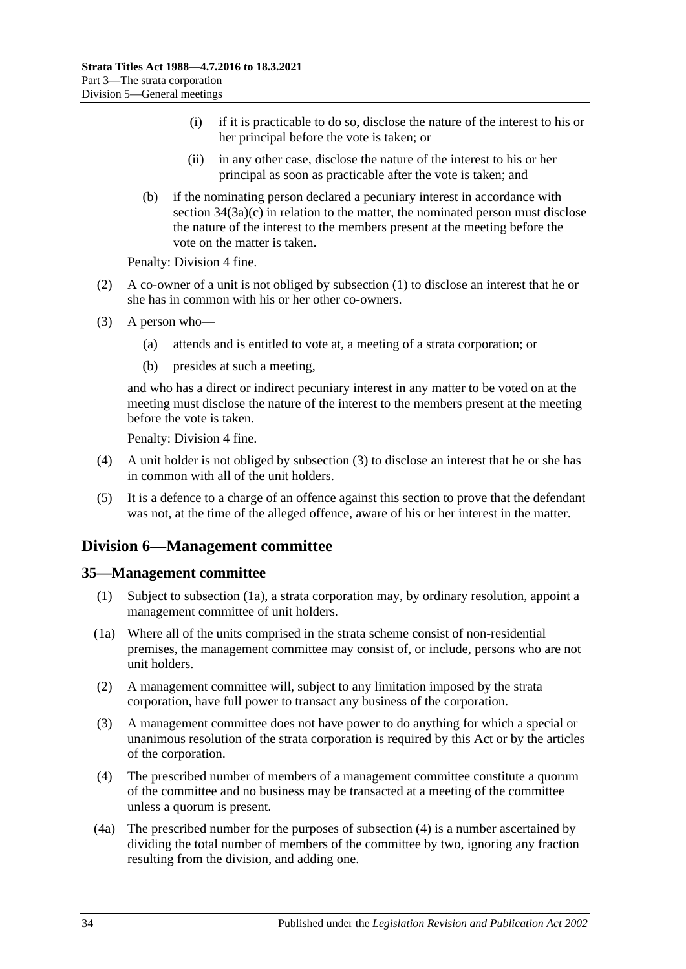- (i) if it is practicable to do so, disclose the nature of the interest to his or her principal before the vote is taken; or
- (ii) in any other case, disclose the nature of the interest to his or her principal as soon as practicable after the vote is taken; and
- (b) if the nominating person declared a pecuniary interest in accordance with section  $34(3a)(c)$  in relation to the matter, the nominated person must disclose the nature of the interest to the members present at the meeting before the vote on the matter is taken.

Penalty: Division 4 fine.

- (2) A co-owner of a unit is not obliged by [subsection](#page-32-3) (1) to disclose an interest that he or she has in common with his or her other co-owners.
- <span id="page-33-2"></span>(3) A person who—
	- (a) attends and is entitled to vote at, a meeting of a strata corporation; or
	- (b) presides at such a meeting,

and who has a direct or indirect pecuniary interest in any matter to be voted on at the meeting must disclose the nature of the interest to the members present at the meeting before the vote is taken.

Penalty: Division 4 fine.

- (4) A unit holder is not obliged by [subsection](#page-33-2) (3) to disclose an interest that he or she has in common with all of the unit holders.
- (5) It is a defence to a charge of an offence against this section to prove that the defendant was not, at the time of the alleged offence, aware of his or her interest in the matter.

## <span id="page-33-0"></span>**Division 6—Management committee**

#### <span id="page-33-1"></span>**35—Management committee**

- (1) Subject to [subsection](#page-33-3) (1a), a strata corporation may, by ordinary resolution, appoint a management committee of unit holders.
- <span id="page-33-3"></span>(1a) Where all of the units comprised in the strata scheme consist of non-residential premises, the management committee may consist of, or include, persons who are not unit holders.
- (2) A management committee will, subject to any limitation imposed by the strata corporation, have full power to transact any business of the corporation.
- (3) A management committee does not have power to do anything for which a special or unanimous resolution of the strata corporation is required by this Act or by the articles of the corporation.
- <span id="page-33-4"></span>(4) The prescribed number of members of a management committee constitute a quorum of the committee and no business may be transacted at a meeting of the committee unless a quorum is present.
- (4a) The prescribed number for the purposes of [subsection](#page-33-4) (4) is a number ascertained by dividing the total number of members of the committee by two, ignoring any fraction resulting from the division, and adding one.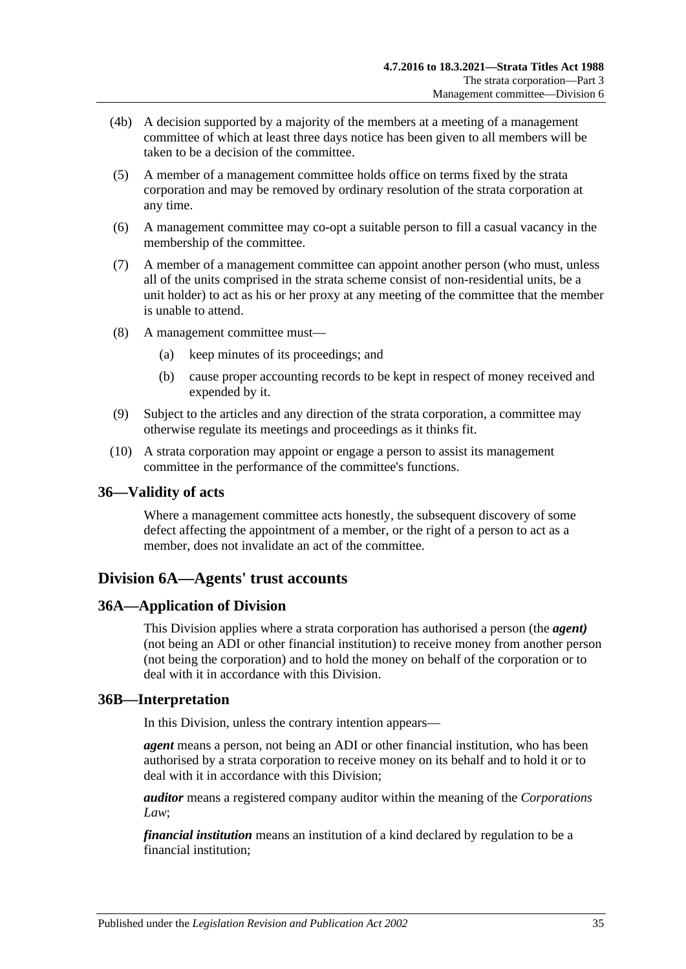- (4b) A decision supported by a majority of the members at a meeting of a management committee of which at least three days notice has been given to all members will be taken to be a decision of the committee.
- (5) A member of a management committee holds office on terms fixed by the strata corporation and may be removed by ordinary resolution of the strata corporation at any time.
- (6) A management committee may co-opt a suitable person to fill a casual vacancy in the membership of the committee.
- (7) A member of a management committee can appoint another person (who must, unless all of the units comprised in the strata scheme consist of non-residential units, be a unit holder) to act as his or her proxy at any meeting of the committee that the member is unable to attend.
- (8) A management committee must—
	- (a) keep minutes of its proceedings; and
	- (b) cause proper accounting records to be kept in respect of money received and expended by it.
- (9) Subject to the articles and any direction of the strata corporation, a committee may otherwise regulate its meetings and proceedings as it thinks fit.
- (10) A strata corporation may appoint or engage a person to assist its management committee in the performance of the committee's functions.

## <span id="page-34-0"></span>**36—Validity of acts**

Where a management committee acts honestly, the subsequent discovery of some defect affecting the appointment of a member, or the right of a person to act as a member, does not invalidate an act of the committee.

## <span id="page-34-1"></span>**Division 6A—Agents' trust accounts**

#### <span id="page-34-2"></span>**36A—Application of Division**

This Division applies where a strata corporation has authorised a person (the *agent)* (not being an ADI or other financial institution) to receive money from another person (not being the corporation) and to hold the money on behalf of the corporation or to deal with it in accordance with this Division.

#### <span id="page-34-3"></span>**36B—Interpretation**

In this Division, unless the contrary intention appears—

*agent* means a person, not being an ADI or other financial institution, who has been authorised by a strata corporation to receive money on its behalf and to hold it or to deal with it in accordance with this Division;

*auditor* means a registered company auditor within the meaning of the *Corporations Law*;

*financial institution* means an institution of a kind declared by regulation to be a financial institution;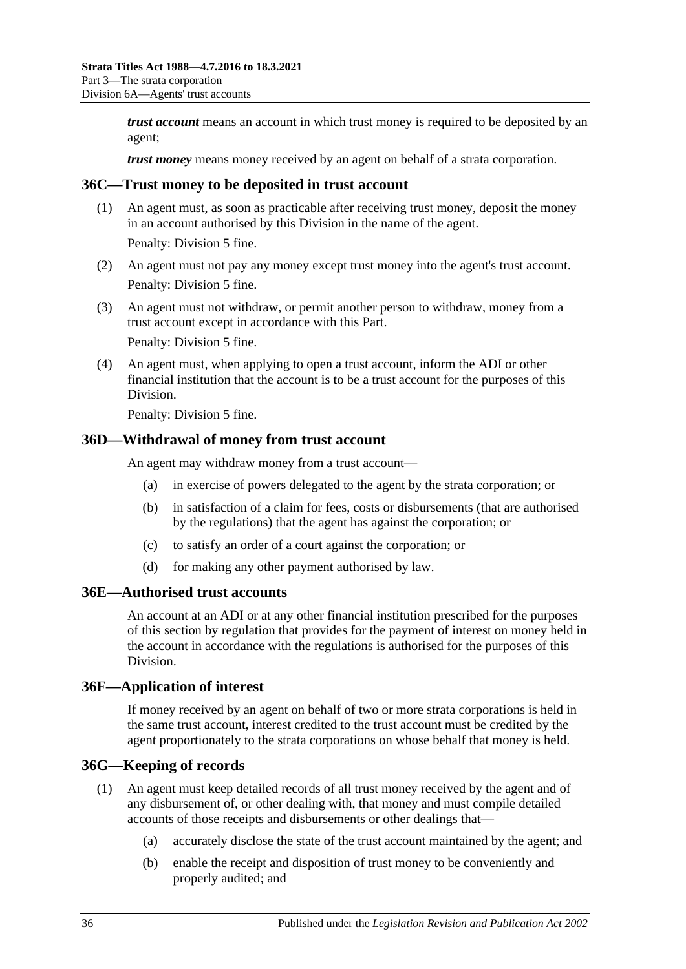*trust account* means an account in which trust money is required to be deposited by an agent;

*trust money* means money received by an agent on behalf of a strata corporation.

#### <span id="page-35-0"></span>**36C—Trust money to be deposited in trust account**

(1) An agent must, as soon as practicable after receiving trust money, deposit the money in an account authorised by this Division in the name of the agent.

Penalty: Division 5 fine.

- (2) An agent must not pay any money except trust money into the agent's trust account. Penalty: Division 5 fine.
- (3) An agent must not withdraw, or permit another person to withdraw, money from a trust account except in accordance with this Part.

Penalty: Division 5 fine.

(4) An agent must, when applying to open a trust account, inform the ADI or other financial institution that the account is to be a trust account for the purposes of this Division.

Penalty: Division 5 fine.

#### <span id="page-35-1"></span>**36D—Withdrawal of money from trust account**

An agent may withdraw money from a trust account—

- (a) in exercise of powers delegated to the agent by the strata corporation; or
- (b) in satisfaction of a claim for fees, costs or disbursements (that are authorised by the regulations) that the agent has against the corporation; or
- (c) to satisfy an order of a court against the corporation; or
- (d) for making any other payment authorised by law.

#### <span id="page-35-2"></span>**36E—Authorised trust accounts**

An account at an ADI or at any other financial institution prescribed for the purposes of this section by regulation that provides for the payment of interest on money held in the account in accordance with the regulations is authorised for the purposes of this Division.

#### <span id="page-35-3"></span>**36F—Application of interest**

If money received by an agent on behalf of two or more strata corporations is held in the same trust account, interest credited to the trust account must be credited by the agent proportionately to the strata corporations on whose behalf that money is held.

#### <span id="page-35-4"></span>**36G—Keeping of records**

- (1) An agent must keep detailed records of all trust money received by the agent and of any disbursement of, or other dealing with, that money and must compile detailed accounts of those receipts and disbursements or other dealings that—
	- (a) accurately disclose the state of the trust account maintained by the agent; and
	- (b) enable the receipt and disposition of trust money to be conveniently and properly audited; and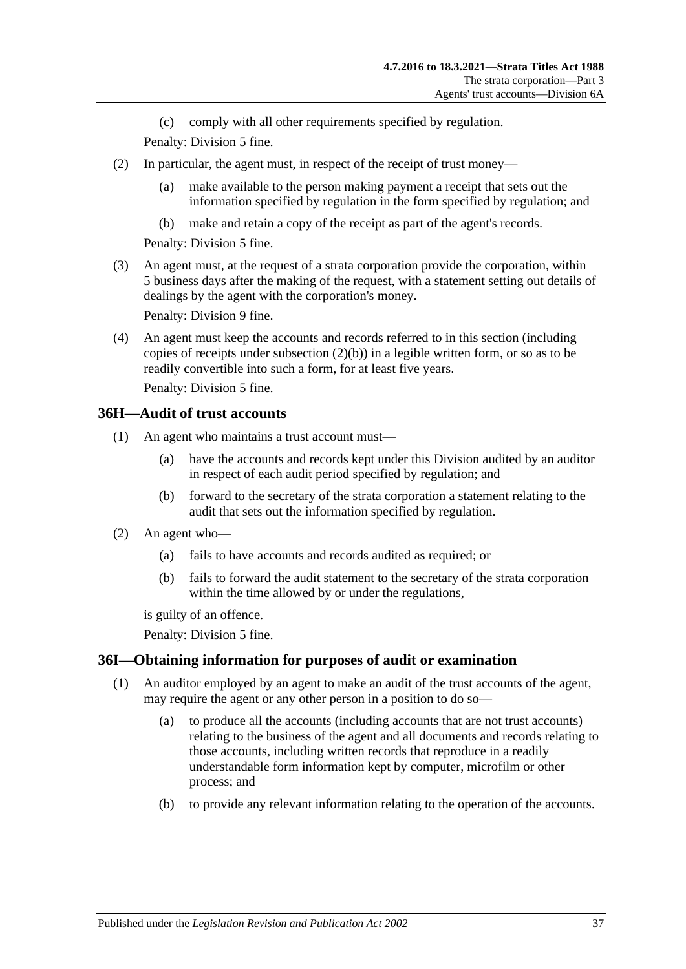(c) comply with all other requirements specified by regulation.

Penalty: Division 5 fine.

- (2) In particular, the agent must, in respect of the receipt of trust money—
	- (a) make available to the person making payment a receipt that sets out the information specified by regulation in the form specified by regulation; and
	- (b) make and retain a copy of the receipt as part of the agent's records.

Penalty: Division 5 fine.

<span id="page-36-2"></span>(3) An agent must, at the request of a strata corporation provide the corporation, within 5 business days after the making of the request, with a statement setting out details of dealings by the agent with the corporation's money.

Penalty: Division 9 fine.

(4) An agent must keep the accounts and records referred to in this section (including copies of receipts under [subsection](#page-36-2)  $(2)(b)$  in a legible written form, or so as to be readily convertible into such a form, for at least five years.

Penalty: Division 5 fine.

## <span id="page-36-0"></span>**36H—Audit of trust accounts**

- (1) An agent who maintains a trust account must—
	- (a) have the accounts and records kept under this Division audited by an auditor in respect of each audit period specified by regulation; and
	- (b) forward to the secretary of the strata corporation a statement relating to the audit that sets out the information specified by regulation.
- (2) An agent who—
	- (a) fails to have accounts and records audited as required; or
	- (b) fails to forward the audit statement to the secretary of the strata corporation within the time allowed by or under the regulations,

is guilty of an offence.

Penalty: Division 5 fine.

## <span id="page-36-1"></span>**36I—Obtaining information for purposes of audit or examination**

- (1) An auditor employed by an agent to make an audit of the trust accounts of the agent, may require the agent or any other person in a position to do so—
	- (a) to produce all the accounts (including accounts that are not trust accounts) relating to the business of the agent and all documents and records relating to those accounts, including written records that reproduce in a readily understandable form information kept by computer, microfilm or other process; and
	- (b) to provide any relevant information relating to the operation of the accounts.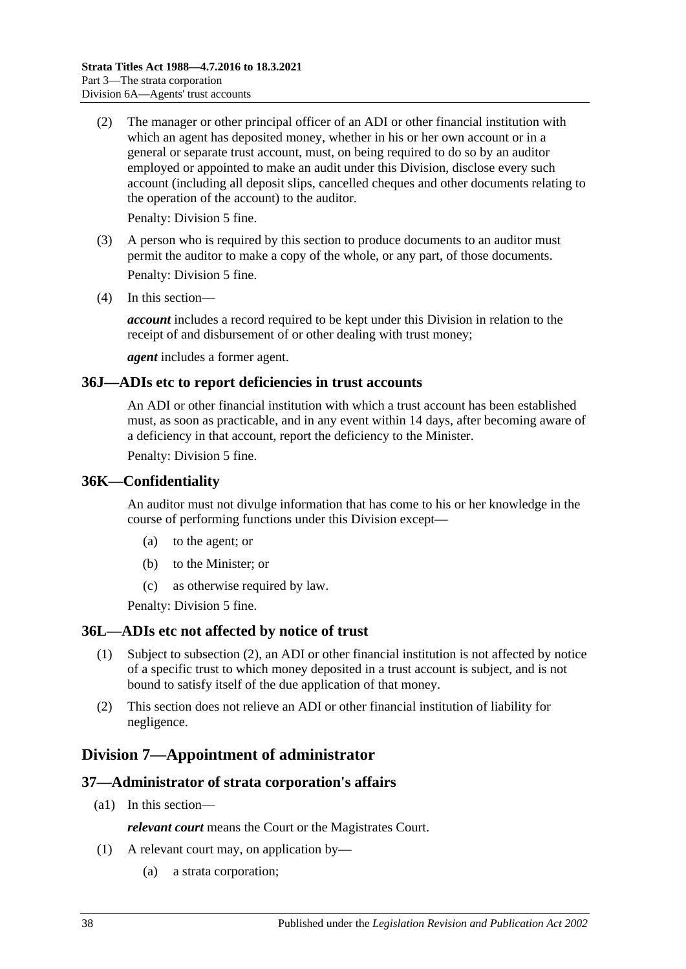(2) The manager or other principal officer of an ADI or other financial institution with which an agent has deposited money, whether in his or her own account or in a general or separate trust account, must, on being required to do so by an auditor employed or appointed to make an audit under this Division, disclose every such account (including all deposit slips, cancelled cheques and other documents relating to the operation of the account) to the auditor.

Penalty: Division 5 fine.

- (3) A person who is required by this section to produce documents to an auditor must permit the auditor to make a copy of the whole, or any part, of those documents. Penalty: Division 5 fine.
- (4) In this section—

*account* includes a record required to be kept under this Division in relation to the receipt of and disbursement of or other dealing with trust money;

*agent* includes a former agent.

#### <span id="page-37-0"></span>**36J—ADIs etc to report deficiencies in trust accounts**

An ADI or other financial institution with which a trust account has been established must, as soon as practicable, and in any event within 14 days, after becoming aware of a deficiency in that account, report the deficiency to the Minister.

Penalty: Division 5 fine.

#### <span id="page-37-1"></span>**36K—Confidentiality**

An auditor must not divulge information that has come to his or her knowledge in the course of performing functions under this Division except—

- (a) to the agent; or
- (b) to the Minister; or
- (c) as otherwise required by law.

Penalty: Division 5 fine.

#### <span id="page-37-2"></span>**36L—ADIs etc not affected by notice of trust**

- (1) Subject to [subsection](#page-37-5) (2), an ADI or other financial institution is not affected by notice of a specific trust to which money deposited in a trust account is subject, and is not bound to satisfy itself of the due application of that money.
- <span id="page-37-5"></span>(2) This section does not relieve an ADI or other financial institution of liability for negligence.

## <span id="page-37-3"></span>**Division 7—Appointment of administrator**

## <span id="page-37-4"></span>**37—Administrator of strata corporation's affairs**

(a1) In this section—

*relevant court* means the Court or the Magistrates Court.

- (1) A relevant court may, on application by—
	- (a) a strata corporation;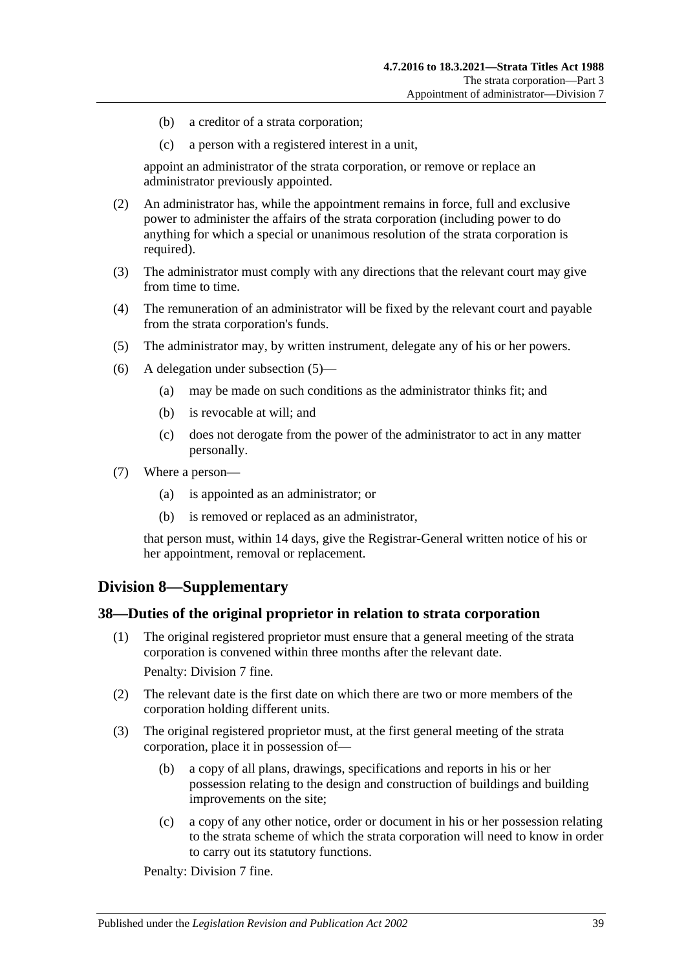- (b) a creditor of a strata corporation;
- (c) a person with a registered interest in a unit,

appoint an administrator of the strata corporation, or remove or replace an administrator previously appointed.

- (2) An administrator has, while the appointment remains in force, full and exclusive power to administer the affairs of the strata corporation (including power to do anything for which a special or unanimous resolution of the strata corporation is required).
- (3) The administrator must comply with any directions that the relevant court may give from time to time.
- (4) The remuneration of an administrator will be fixed by the relevant court and payable from the strata corporation's funds.
- <span id="page-38-2"></span>(5) The administrator may, by written instrument, delegate any of his or her powers.
- (6) A delegation under [subsection](#page-38-2) (5)—
	- (a) may be made on such conditions as the administrator thinks fit; and
	- (b) is revocable at will; and
	- (c) does not derogate from the power of the administrator to act in any matter personally.
- (7) Where a person—
	- (a) is appointed as an administrator; or
	- (b) is removed or replaced as an administrator,

that person must, within 14 days, give the Registrar-General written notice of his or her appointment, removal or replacement.

## <span id="page-38-0"></span>**Division 8—Supplementary**

#### <span id="page-38-1"></span>**38—Duties of the original proprietor in relation to strata corporation**

- (1) The original registered proprietor must ensure that a general meeting of the strata corporation is convened within three months after the relevant date. Penalty: Division 7 fine.
- (2) The relevant date is the first date on which there are two or more members of the corporation holding different units.
- (3) The original registered proprietor must, at the first general meeting of the strata corporation, place it in possession of—
	- (b) a copy of all plans, drawings, specifications and reports in his or her possession relating to the design and construction of buildings and building improvements on the site;
	- (c) a copy of any other notice, order or document in his or her possession relating to the strata scheme of which the strata corporation will need to know in order to carry out its statutory functions.

Penalty: Division 7 fine.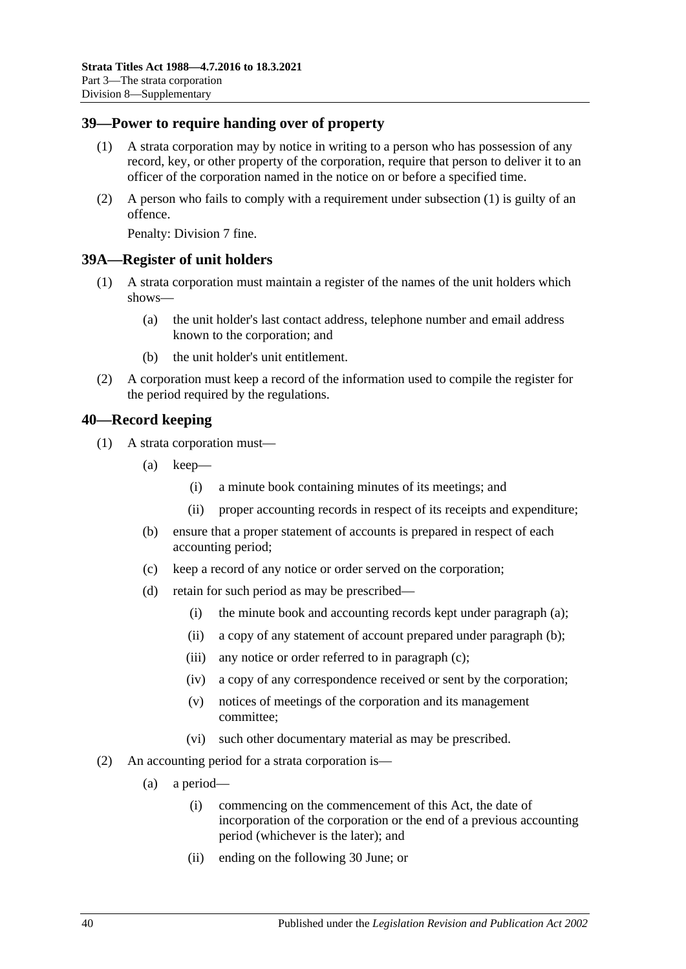### <span id="page-39-4"></span><span id="page-39-0"></span>**39—Power to require handing over of property**

- (1) A strata corporation may by notice in writing to a person who has possession of any record, key, or other property of the corporation, require that person to deliver it to an officer of the corporation named in the notice on or before a specified time.
- (2) A person who fails to comply with a requirement under [subsection](#page-39-4) (1) is guilty of an offence.

Penalty: Division 7 fine.

#### <span id="page-39-1"></span>**39A—Register of unit holders**

- (1) A strata corporation must maintain a register of the names of the unit holders which shows—
	- (a) the unit holder's last contact address, telephone number and email address known to the corporation; and
	- (b) the unit holder's unit entitlement.
- (2) A corporation must keep a record of the information used to compile the register for the period required by the regulations.

#### <span id="page-39-2"></span>**40—Record keeping**

- <span id="page-39-7"></span><span id="page-39-6"></span><span id="page-39-5"></span>(1) A strata corporation must—
	- (a) keep—
		- (i) a minute book containing minutes of its meetings; and
		- (ii) proper accounting records in respect of its receipts and expenditure;
	- (b) ensure that a proper statement of accounts is prepared in respect of each accounting period;
	- (c) keep a record of any notice or order served on the corporation;
	- (d) retain for such period as may be prescribed—
		- (i) the minute book and accounting records kept under [paragraph](#page-39-5) (a);
		- (ii) a copy of any statement of account prepared under [paragraph](#page-39-6) (b);
		- (iii) any notice or order referred to in [paragraph](#page-39-7) (c);
		- (iv) a copy of any correspondence received or sent by the corporation;
		- (v) notices of meetings of the corporation and its management committee;
		- (vi) such other documentary material as may be prescribed.
- <span id="page-39-3"></span>(2) An accounting period for a strata corporation is—
	- (a) a period—
		- (i) commencing on the commencement of this Act, the date of incorporation of the corporation or the end of a previous accounting period (whichever is the later); and
		- (ii) ending on the following 30 June; or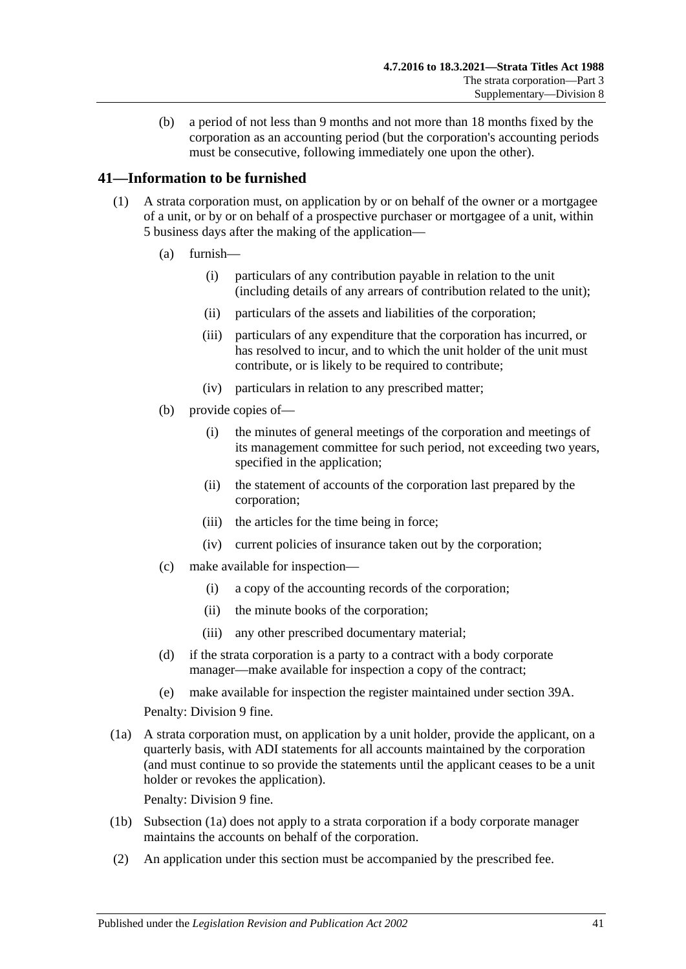(b) a period of not less than 9 months and not more than 18 months fixed by the corporation as an accounting period (but the corporation's accounting periods must be consecutive, following immediately one upon the other).

## <span id="page-40-0"></span>**41—Information to be furnished**

- <span id="page-40-2"></span>(1) A strata corporation must, on application by or on behalf of the owner or a mortgagee of a unit, or by or on behalf of a prospective purchaser or mortgagee of a unit, within 5 business days after the making of the application—
	- (a) furnish—
		- (i) particulars of any contribution payable in relation to the unit (including details of any arrears of contribution related to the unit);
		- (ii) particulars of the assets and liabilities of the corporation;
		- (iii) particulars of any expenditure that the corporation has incurred, or has resolved to incur, and to which the unit holder of the unit must contribute, or is likely to be required to contribute;
		- (iv) particulars in relation to any prescribed matter;
	- (b) provide copies of—
		- (i) the minutes of general meetings of the corporation and meetings of its management committee for such period, not exceeding two years, specified in the application;
		- (ii) the statement of accounts of the corporation last prepared by the corporation;
		- (iii) the articles for the time being in force;
		- (iv) current policies of insurance taken out by the corporation;
	- (c) make available for inspection—
		- (i) a copy of the accounting records of the corporation;
		- (ii) the minute books of the corporation;
		- (iii) any other prescribed documentary material;
	- (d) if the strata corporation is a party to a contract with a body corporate manager—make available for inspection a copy of the contract;
	- (e) make available for inspection the register maintained under [section](#page-39-1) 39A.

Penalty: Division 9 fine.

<span id="page-40-1"></span>(1a) A strata corporation must, on application by a unit holder, provide the applicant, on a quarterly basis, with ADI statements for all accounts maintained by the corporation (and must continue to so provide the statements until the applicant ceases to be a unit holder or revokes the application).

Penalty: Division 9 fine.

- (1b) [Subsection](#page-40-1) (1a) does not apply to a strata corporation if a body corporate manager maintains the accounts on behalf of the corporation.
- (2) An application under this section must be accompanied by the prescribed fee.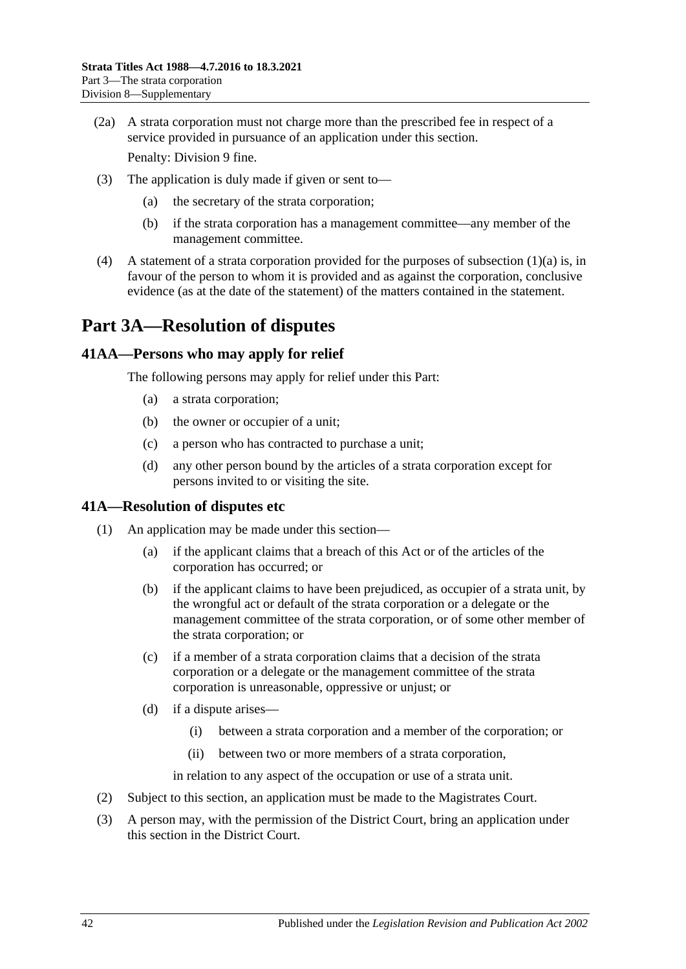(2a) A strata corporation must not charge more than the prescribed fee in respect of a service provided in pursuance of an application under this section.

Penalty: Division 9 fine.

- (3) The application is duly made if given or sent to—
	- (a) the secretary of the strata corporation;
	- (b) if the strata corporation has a management committee—any member of the management committee.
- (4) A statement of a strata corporation provided for the purposes of [subsection](#page-40-2)  $(1)(a)$  is, in favour of the person to whom it is provided and as against the corporation, conclusive evidence (as at the date of the statement) of the matters contained in the statement.

## <span id="page-41-0"></span>**Part 3A—Resolution of disputes**

## <span id="page-41-1"></span>**41AA—Persons who may apply for relief**

The following persons may apply for relief under this Part:

- (a) a strata corporation;
- (b) the owner or occupier of a unit;
- (c) a person who has contracted to purchase a unit;
- (d) any other person bound by the articles of a strata corporation except for persons invited to or visiting the site.

## <span id="page-41-2"></span>**41A—Resolution of disputes etc**

- (1) An application may be made under this section—
	- (a) if the applicant claims that a breach of this Act or of the articles of the corporation has occurred; or
	- (b) if the applicant claims to have been prejudiced, as occupier of a strata unit, by the wrongful act or default of the strata corporation or a delegate or the management committee of the strata corporation, or of some other member of the strata corporation; or
	- (c) if a member of a strata corporation claims that a decision of the strata corporation or a delegate or the management committee of the strata corporation is unreasonable, oppressive or unjust; or
	- (d) if a dispute arises—
		- (i) between a strata corporation and a member of the corporation; or
		- (ii) between two or more members of a strata corporation,

in relation to any aspect of the occupation or use of a strata unit.

- (2) Subject to this section, an application must be made to the Magistrates Court.
- <span id="page-41-3"></span>(3) A person may, with the permission of the District Court, bring an application under this section in the District Court.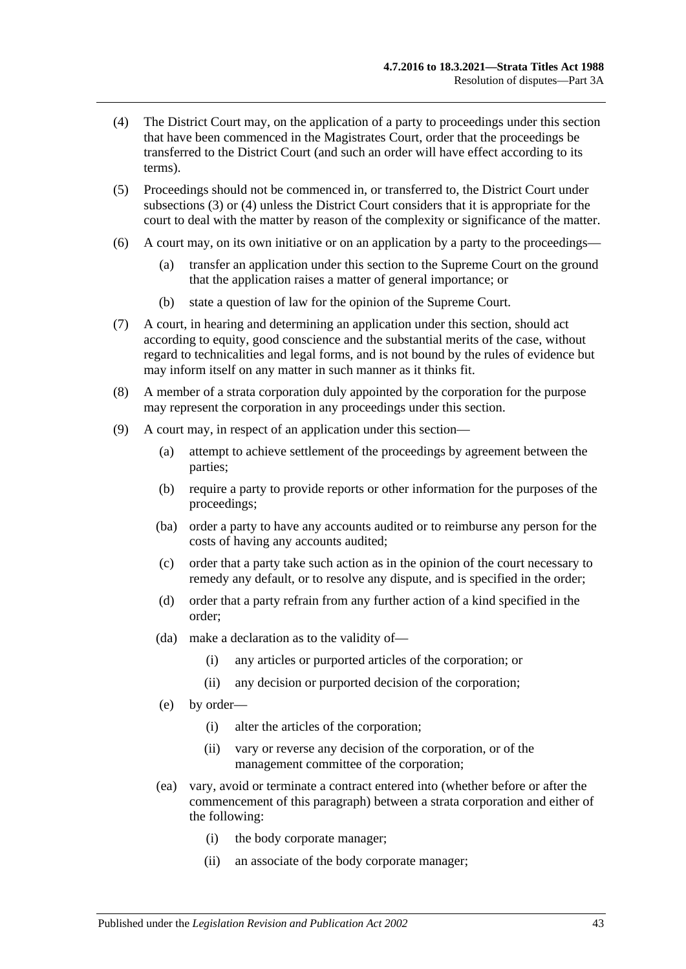- <span id="page-42-0"></span>(4) The District Court may, on the application of a party to proceedings under this section that have been commenced in the Magistrates Court, order that the proceedings be transferred to the District Court (and such an order will have effect according to its terms).
- (5) Proceedings should not be commenced in, or transferred to, the District Court under [subsections](#page-41-3) (3) or [\(4\)](#page-42-0) unless the District Court considers that it is appropriate for the court to deal with the matter by reason of the complexity or significance of the matter.
- (6) A court may, on its own initiative or on an application by a party to the proceedings—
	- (a) transfer an application under this section to the Supreme Court on the ground that the application raises a matter of general importance; or
	- (b) state a question of law for the opinion of the Supreme Court.
- (7) A court, in hearing and determining an application under this section, should act according to equity, good conscience and the substantial merits of the case, without regard to technicalities and legal forms, and is not bound by the rules of evidence but may inform itself on any matter in such manner as it thinks fit.
- (8) A member of a strata corporation duly appointed by the corporation for the purpose may represent the corporation in any proceedings under this section.
- (9) A court may, in respect of an application under this section—
	- (a) attempt to achieve settlement of the proceedings by agreement between the parties;
	- (b) require a party to provide reports or other information for the purposes of the proceedings;
	- (ba) order a party to have any accounts audited or to reimburse any person for the costs of having any accounts audited;
	- (c) order that a party take such action as in the opinion of the court necessary to remedy any default, or to resolve any dispute, and is specified in the order;
	- (d) order that a party refrain from any further action of a kind specified in the order;
	- (da) make a declaration as to the validity of—
		- (i) any articles or purported articles of the corporation; or
		- (ii) any decision or purported decision of the corporation;
	- (e) by order—
		- (i) alter the articles of the corporation;
		- (ii) vary or reverse any decision of the corporation, or of the management committee of the corporation;
	- (ea) vary, avoid or terminate a contract entered into (whether before or after the commencement of this paragraph) between a strata corporation and either of the following:
		- (i) the body corporate manager;
		- (ii) an associate of the body corporate manager;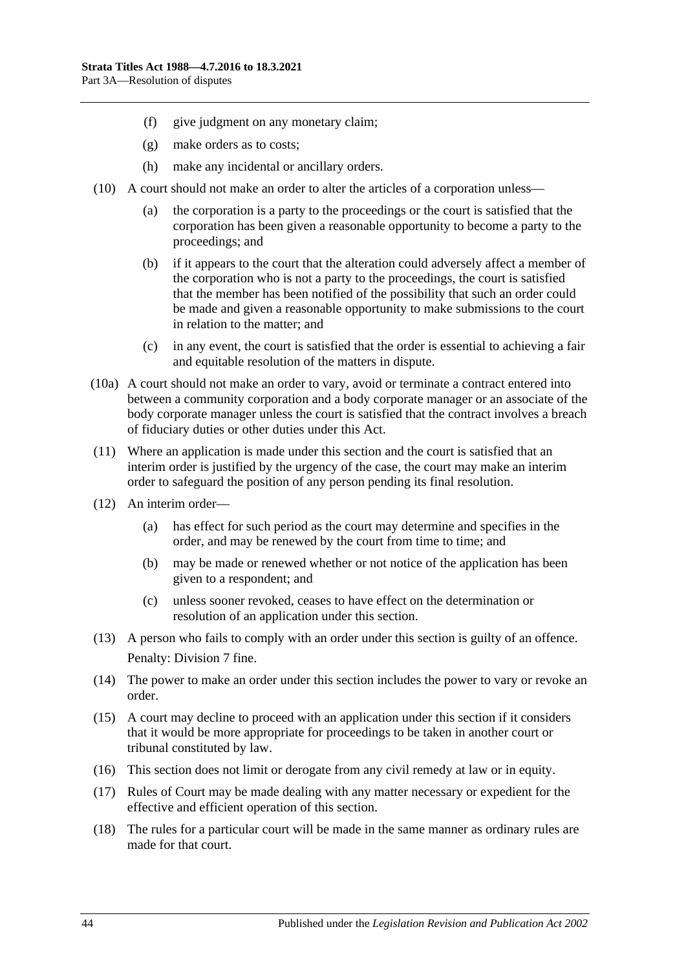- (f) give judgment on any monetary claim;
- (g) make orders as to costs;
- (h) make any incidental or ancillary orders.
- (10) A court should not make an order to alter the articles of a corporation unless—
	- (a) the corporation is a party to the proceedings or the court is satisfied that the corporation has been given a reasonable opportunity to become a party to the proceedings; and
	- (b) if it appears to the court that the alteration could adversely affect a member of the corporation who is not a party to the proceedings, the court is satisfied that the member has been notified of the possibility that such an order could be made and given a reasonable opportunity to make submissions to the court in relation to the matter; and
	- (c) in any event, the court is satisfied that the order is essential to achieving a fair and equitable resolution of the matters in dispute.
- (10a) A court should not make an order to vary, avoid or terminate a contract entered into between a community corporation and a body corporate manager or an associate of the body corporate manager unless the court is satisfied that the contract involves a breach of fiduciary duties or other duties under this Act.
- (11) Where an application is made under this section and the court is satisfied that an interim order is justified by the urgency of the case, the court may make an interim order to safeguard the position of any person pending its final resolution.
- (12) An interim order—
	- (a) has effect for such period as the court may determine and specifies in the order, and may be renewed by the court from time to time; and
	- (b) may be made or renewed whether or not notice of the application has been given to a respondent; and
	- (c) unless sooner revoked, ceases to have effect on the determination or resolution of an application under this section.
- (13) A person who fails to comply with an order under this section is guilty of an offence. Penalty: Division 7 fine.
- (14) The power to make an order under this section includes the power to vary or revoke an order.
- (15) A court may decline to proceed with an application under this section if it considers that it would be more appropriate for proceedings to be taken in another court or tribunal constituted by law.
- (16) This section does not limit or derogate from any civil remedy at law or in equity.
- (17) Rules of Court may be made dealing with any matter necessary or expedient for the effective and efficient operation of this section.
- (18) The rules for a particular court will be made in the same manner as ordinary rules are made for that court.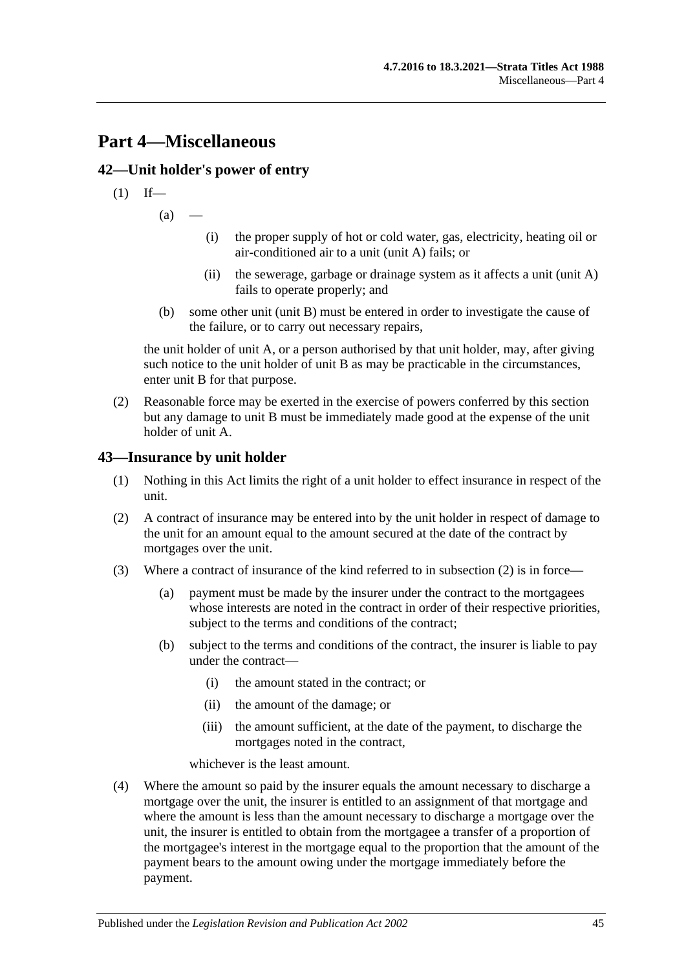## <span id="page-44-0"></span>**Part 4—Miscellaneous**

## <span id="page-44-1"></span>**42—Unit holder's power of entry**

$$
(1) If
$$

 $(a)$ 

- (i) the proper supply of hot or cold water, gas, electricity, heating oil or air-conditioned air to a unit (unit A) fails; or
- (ii) the sewerage, garbage or drainage system as it affects a unit (unit A) fails to operate properly; and
- (b) some other unit (unit B) must be entered in order to investigate the cause of the failure, or to carry out necessary repairs,

the unit holder of unit A, or a person authorised by that unit holder, may, after giving such notice to the unit holder of unit B as may be practicable in the circumstances, enter unit B for that purpose.

(2) Reasonable force may be exerted in the exercise of powers conferred by this section but any damage to unit B must be immediately made good at the expense of the unit holder of unit A.

## <span id="page-44-2"></span>**43—Insurance by unit holder**

- (1) Nothing in this Act limits the right of a unit holder to effect insurance in respect of the unit.
- <span id="page-44-3"></span>(2) A contract of insurance may be entered into by the unit holder in respect of damage to the unit for an amount equal to the amount secured at the date of the contract by mortgages over the unit.
- (3) Where a contract of insurance of the kind referred to in [subsection](#page-44-3) (2) is in force—
	- (a) payment must be made by the insurer under the contract to the mortgagees whose interests are noted in the contract in order of their respective priorities, subject to the terms and conditions of the contract;
	- (b) subject to the terms and conditions of the contract, the insurer is liable to pay under the contract—
		- (i) the amount stated in the contract; or
		- (ii) the amount of the damage; or
		- (iii) the amount sufficient, at the date of the payment, to discharge the mortgages noted in the contract,

whichever is the least amount.

(4) Where the amount so paid by the insurer equals the amount necessary to discharge a mortgage over the unit, the insurer is entitled to an assignment of that mortgage and where the amount is less than the amount necessary to discharge a mortgage over the unit, the insurer is entitled to obtain from the mortgagee a transfer of a proportion of the mortgagee's interest in the mortgage equal to the proportion that the amount of the payment bears to the amount owing under the mortgage immediately before the payment.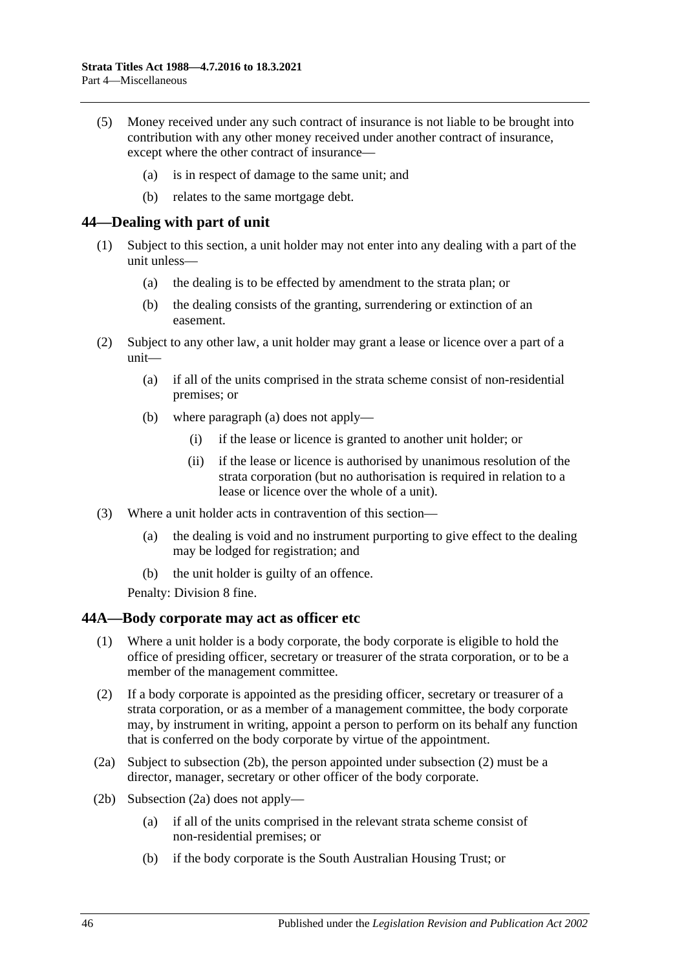- (5) Money received under any such contract of insurance is not liable to be brought into contribution with any other money received under another contract of insurance, except where the other contract of insurance—
	- (a) is in respect of damage to the same unit; and
	- (b) relates to the same mortgage debt.

#### <span id="page-45-0"></span>**44—Dealing with part of unit**

- (1) Subject to this section, a unit holder may not enter into any dealing with a part of the unit unless—
	- (a) the dealing is to be effected by amendment to the strata plan; or
	- (b) the dealing consists of the granting, surrendering or extinction of an easement.
- <span id="page-45-2"></span>(2) Subject to any other law, a unit holder may grant a lease or licence over a part of a unit—
	- (a) if all of the units comprised in the strata scheme consist of non-residential premises; or
	- (b) where [paragraph](#page-45-2) (a) does not apply—
		- (i) if the lease or licence is granted to another unit holder; or
		- (ii) if the lease or licence is authorised by unanimous resolution of the strata corporation (but no authorisation is required in relation to a lease or licence over the whole of a unit).
- (3) Where a unit holder acts in contravention of this section—
	- (a) the dealing is void and no instrument purporting to give effect to the dealing may be lodged for registration; and
	- (b) the unit holder is guilty of an offence.

Penalty: Division 8 fine.

#### <span id="page-45-1"></span>**44A—Body corporate may act as officer etc**

- (1) Where a unit holder is a body corporate, the body corporate is eligible to hold the office of presiding officer, secretary or treasurer of the strata corporation, or to be a member of the management committee.
- <span id="page-45-4"></span>(2) If a body corporate is appointed as the presiding officer, secretary or treasurer of a strata corporation, or as a member of a management committee, the body corporate may, by instrument in writing, appoint a person to perform on its behalf any function that is conferred on the body corporate by virtue of the appointment.
- <span id="page-45-5"></span>(2a) Subject to [subsection](#page-45-3) (2b), the person appointed under [subsection](#page-45-4) (2) must be a director, manager, secretary or other officer of the body corporate.
- <span id="page-45-3"></span>(2b) [Subsection](#page-45-5) (2a) does not apply—
	- (a) if all of the units comprised in the relevant strata scheme consist of non-residential premises; or
	- (b) if the body corporate is the South Australian Housing Trust; or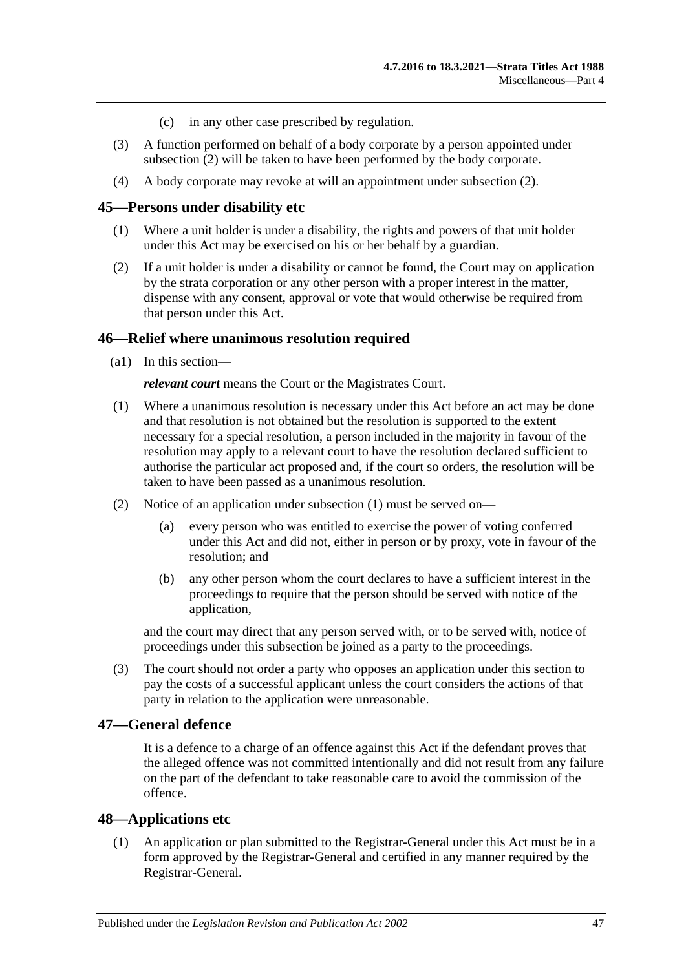- (c) in any other case prescribed by regulation.
- (3) A function performed on behalf of a body corporate by a person appointed under [subsection](#page-45-4) (2) will be taken to have been performed by the body corporate.
- (4) A body corporate may revoke at will an appointment under [subsection](#page-45-4) (2).

#### <span id="page-46-0"></span>**45—Persons under disability etc**

- (1) Where a unit holder is under a disability, the rights and powers of that unit holder under this Act may be exercised on his or her behalf by a guardian.
- (2) If a unit holder is under a disability or cannot be found, the Court may on application by the strata corporation or any other person with a proper interest in the matter, dispense with any consent, approval or vote that would otherwise be required from that person under this Act.

#### <span id="page-46-1"></span>**46—Relief where unanimous resolution required**

(a1) In this section—

*relevant court* means the Court or the Magistrates Court.

- <span id="page-46-4"></span>(1) Where a unanimous resolution is necessary under this Act before an act may be done and that resolution is not obtained but the resolution is supported to the extent necessary for a special resolution, a person included in the majority in favour of the resolution may apply to a relevant court to have the resolution declared sufficient to authorise the particular act proposed and, if the court so orders, the resolution will be taken to have been passed as a unanimous resolution.
- (2) Notice of an application under [subsection](#page-46-4) (1) must be served on—
	- (a) every person who was entitled to exercise the power of voting conferred under this Act and did not, either in person or by proxy, vote in favour of the resolution; and
	- (b) any other person whom the court declares to have a sufficient interest in the proceedings to require that the person should be served with notice of the application,

and the court may direct that any person served with, or to be served with, notice of proceedings under this subsection be joined as a party to the proceedings.

(3) The court should not order a party who opposes an application under this section to pay the costs of a successful applicant unless the court considers the actions of that party in relation to the application were unreasonable.

## <span id="page-46-2"></span>**47—General defence**

It is a defence to a charge of an offence against this Act if the defendant proves that the alleged offence was not committed intentionally and did not result from any failure on the part of the defendant to take reasonable care to avoid the commission of the offence.

#### <span id="page-46-3"></span>**48—Applications etc**

(1) An application or plan submitted to the Registrar-General under this Act must be in a form approved by the Registrar-General and certified in any manner required by the Registrar-General.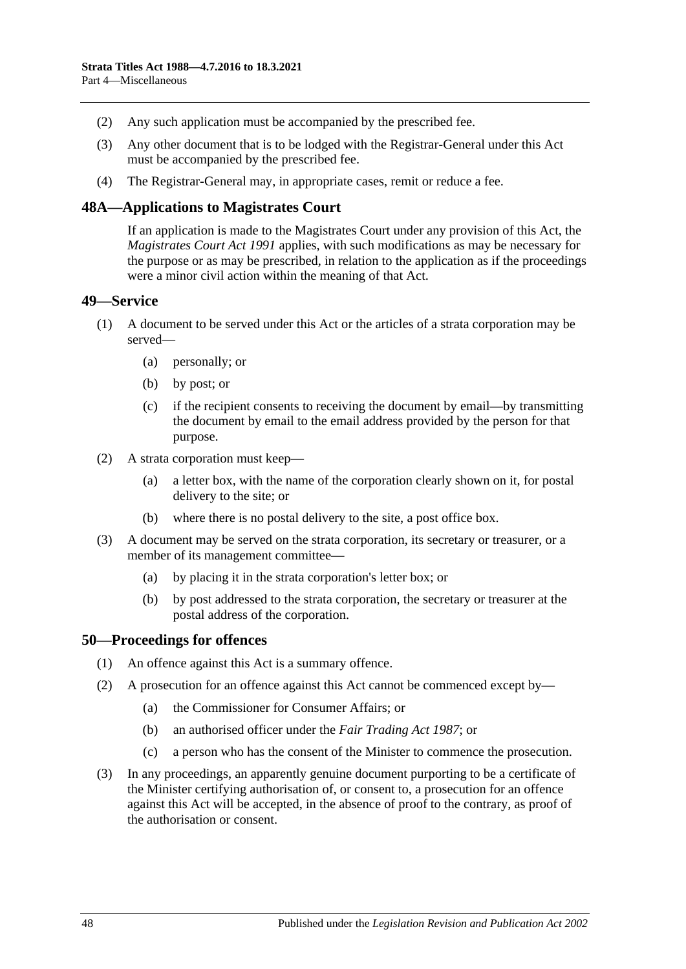- (2) Any such application must be accompanied by the prescribed fee.
- (3) Any other document that is to be lodged with the Registrar-General under this Act must be accompanied by the prescribed fee.
- (4) The Registrar-General may, in appropriate cases, remit or reduce a fee.

#### <span id="page-47-0"></span>**48A—Applications to Magistrates Court**

If an application is made to the Magistrates Court under any provision of this Act, the *[Magistrates Court Act](http://www.legislation.sa.gov.au/index.aspx?action=legref&type=act&legtitle=Magistrates%20Court%20Act%201991) 1991* applies, with such modifications as may be necessary for the purpose or as may be prescribed, in relation to the application as if the proceedings were a minor civil action within the meaning of that Act.

#### <span id="page-47-1"></span>**49—Service**

- (1) A document to be served under this Act or the articles of a strata corporation may be served—
	- (a) personally; or
	- (b) by post; or
	- (c) if the recipient consents to receiving the document by email—by transmitting the document by email to the email address provided by the person for that purpose.
- (2) A strata corporation must keep—
	- (a) a letter box, with the name of the corporation clearly shown on it, for postal delivery to the site; or
	- (b) where there is no postal delivery to the site, a post office box.
- (3) A document may be served on the strata corporation, its secretary or treasurer, or a member of its management committee—
	- (a) by placing it in the strata corporation's letter box; or
	- (b) by post addressed to the strata corporation, the secretary or treasurer at the postal address of the corporation.

#### <span id="page-47-2"></span>**50—Proceedings for offences**

- (1) An offence against this Act is a summary offence.
- (2) A prosecution for an offence against this Act cannot be commenced except by—
	- (a) the Commissioner for Consumer Affairs; or
	- (b) an authorised officer under the *[Fair Trading Act](http://www.legislation.sa.gov.au/index.aspx?action=legref&type=act&legtitle=Fair%20Trading%20Act%201987) 1987*; or
	- (c) a person who has the consent of the Minister to commence the prosecution.
- (3) In any proceedings, an apparently genuine document purporting to be a certificate of the Minister certifying authorisation of, or consent to, a prosecution for an offence against this Act will be accepted, in the absence of proof to the contrary, as proof of the authorisation or consent.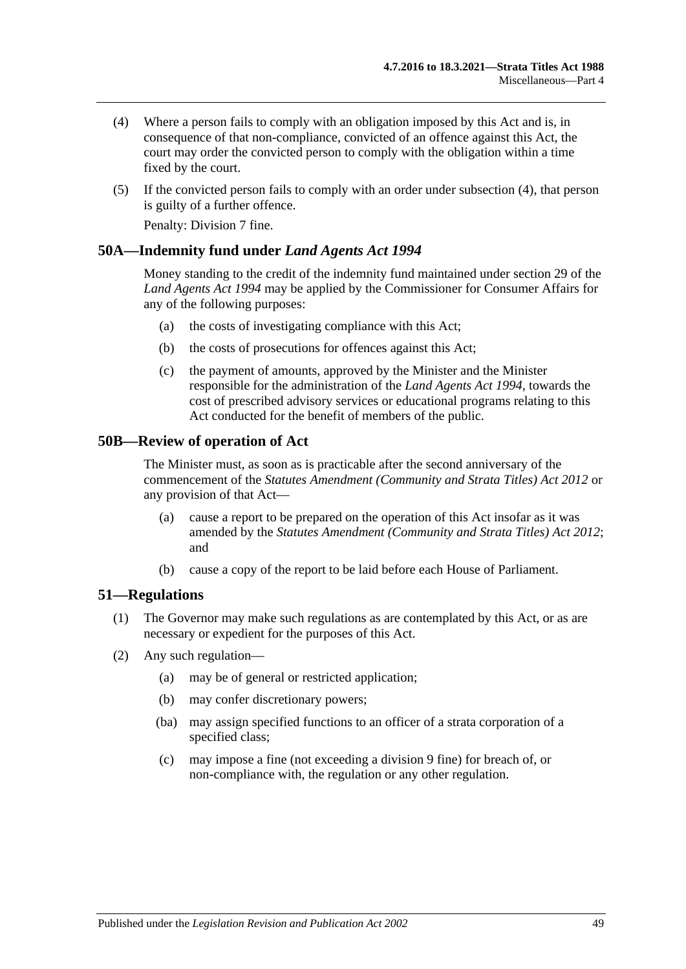- <span id="page-48-3"></span>(4) Where a person fails to comply with an obligation imposed by this Act and is, in consequence of that non-compliance, convicted of an offence against this Act, the court may order the convicted person to comply with the obligation within a time fixed by the court.
- (5) If the convicted person fails to comply with an order under [subsection](#page-48-3) (4), that person is guilty of a further offence.

Penalty: Division 7 fine.

## <span id="page-48-0"></span>**50A—Indemnity fund under** *Land Agents Act 1994*

Money standing to the credit of the indemnity fund maintained under section 29 of the *[Land Agents Act](http://www.legislation.sa.gov.au/index.aspx?action=legref&type=act&legtitle=Land%20Agents%20Act%201994) 1994* may be applied by the Commissioner for Consumer Affairs for any of the following purposes:

- (a) the costs of investigating compliance with this Act;
- (b) the costs of prosecutions for offences against this Act;
- (c) the payment of amounts, approved by the Minister and the Minister responsible for the administration of the *[Land Agents Act](http://www.legislation.sa.gov.au/index.aspx?action=legref&type=act&legtitle=Land%20Agents%20Act%201994) 1994*, towards the cost of prescribed advisory services or educational programs relating to this Act conducted for the benefit of members of the public.

## <span id="page-48-1"></span>**50B—Review of operation of Act**

The Minister must, as soon as is practicable after the second anniversary of the commencement of the *[Statutes Amendment \(Community and Strata Titles\) Act](http://www.legislation.sa.gov.au/index.aspx?action=legref&type=act&legtitle=Statutes%20Amendment%20(Community%20and%20Strata%20Titles)%20Act%202012) 2012* or any provision of that Act—

- (a) cause a report to be prepared on the operation of this Act insofar as it was amended by the *[Statutes Amendment \(Community and Strata Titles\) Act](http://www.legislation.sa.gov.au/index.aspx?action=legref&type=act&legtitle=Statutes%20Amendment%20(Community%20and%20Strata%20Titles)%20Act%202012) 2012*; and
- (b) cause a copy of the report to be laid before each House of Parliament.

#### <span id="page-48-2"></span>**51—Regulations**

- (1) The Governor may make such regulations as are contemplated by this Act, or as are necessary or expedient for the purposes of this Act.
- (2) Any such regulation—
	- (a) may be of general or restricted application;
	- (b) may confer discretionary powers;
	- (ba) may assign specified functions to an officer of a strata corporation of a specified class;
	- (c) may impose a fine (not exceeding a division 9 fine) for breach of, or non-compliance with, the regulation or any other regulation.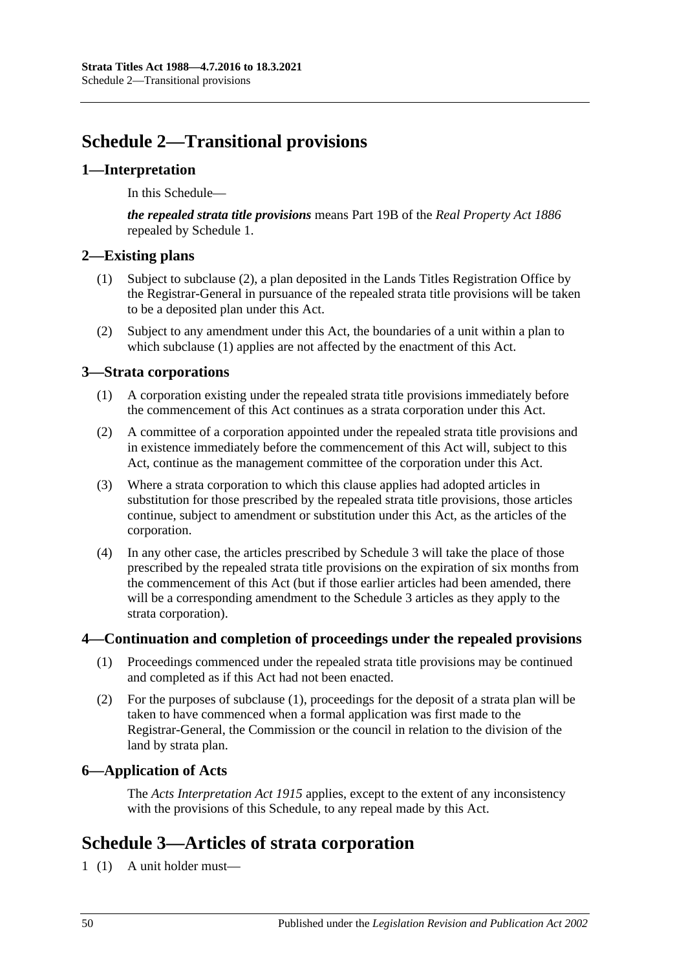## <span id="page-49-0"></span>**Schedule 2—Transitional provisions**

## <span id="page-49-1"></span>**1—Interpretation**

In this Schedule—

*the repealed strata title provisions* means Part 19B of the *[Real Property Act](http://www.legislation.sa.gov.au/index.aspx?action=legref&type=act&legtitle=Real%20Property%20Act%201886) 1886* repealed by Schedule 1.

## <span id="page-49-8"></span><span id="page-49-2"></span>**2—Existing plans**

- (1) Subject to [subclause](#page-49-7) (2), a plan deposited in the Lands Titles Registration Office by the Registrar-General in pursuance of the repealed strata title provisions will be taken to be a deposited plan under this Act.
- <span id="page-49-7"></span>(2) Subject to any amendment under this Act, the boundaries of a unit within a plan to which [subclause](#page-49-8) (1) applies are not affected by the enactment of this Act.

## <span id="page-49-3"></span>**3—Strata corporations**

- (1) A corporation existing under the repealed strata title provisions immediately before the commencement of this Act continues as a strata corporation under this Act.
- (2) A committee of a corporation appointed under the repealed strata title provisions and in existence immediately before the commencement of this Act will, subject to this Act, continue as the management committee of the corporation under this Act.
- (3) Where a strata corporation to which this clause applies had adopted articles in substitution for those prescribed by the repealed strata title provisions, those articles continue, subject to amendment or substitution under this Act, as the articles of the corporation.
- (4) In any other case, the articles prescribed by [Schedule 3](#page-49-6) will take the place of those prescribed by the repealed strata title provisions on the expiration of six months from the commencement of this Act (but if those earlier articles had been amended, there will be a corresponding amendment to the [Schedule 3](#page-49-6) articles as they apply to the strata corporation).

## <span id="page-49-9"></span><span id="page-49-4"></span>**4—Continuation and completion of proceedings under the repealed provisions**

- (1) Proceedings commenced under the repealed strata title provisions may be continued and completed as if this Act had not been enacted.
- (2) For the purposes of [subclause](#page-49-9) (1), proceedings for the deposit of a strata plan will be taken to have commenced when a formal application was first made to the Registrar-General, the Commission or the council in relation to the division of the land by strata plan.

## <span id="page-49-5"></span>**6—Application of Acts**

The *[Acts Interpretation Act](http://www.legislation.sa.gov.au/index.aspx?action=legref&type=act&legtitle=Acts%20Interpretation%20Act%201915) 1915* applies, except to the extent of any inconsistency with the provisions of this Schedule, to any repeal made by this Act.

## <span id="page-49-6"></span>**Schedule 3—Articles of strata corporation**

1 (1) A unit holder must—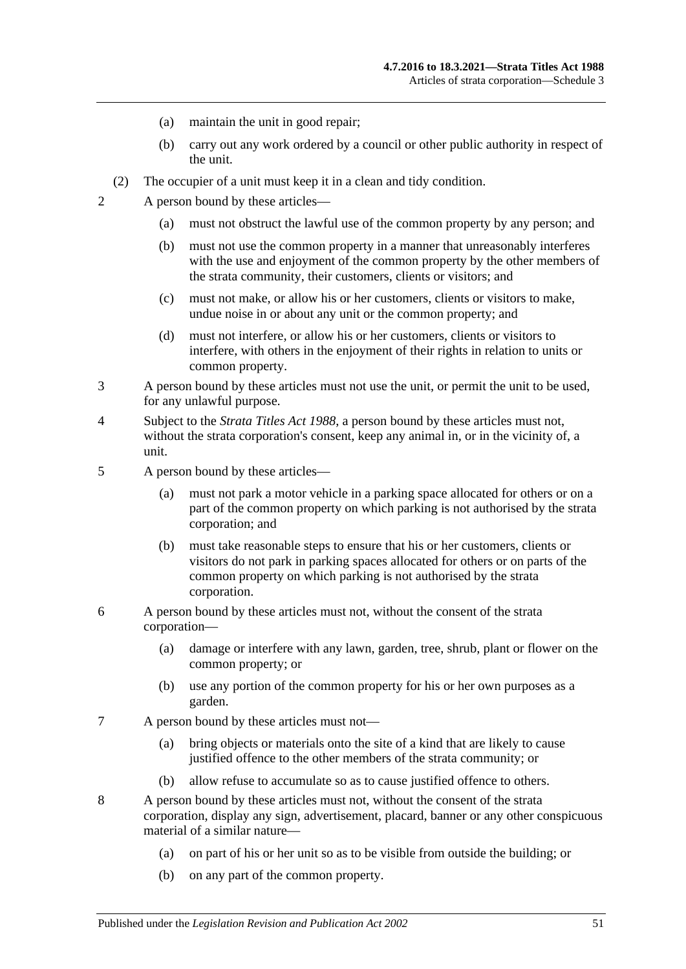- (a) maintain the unit in good repair;
- (b) carry out any work ordered by a council or other public authority in respect of the unit.
- (2) The occupier of a unit must keep it in a clean and tidy condition.
- 2 A person bound by these articles—
	- (a) must not obstruct the lawful use of the common property by any person; and
	- (b) must not use the common property in a manner that unreasonably interferes with the use and enjoyment of the common property by the other members of the strata community, their customers, clients or visitors; and
	- (c) must not make, or allow his or her customers, clients or visitors to make, undue noise in or about any unit or the common property; and
	- (d) must not interfere, or allow his or her customers, clients or visitors to interfere, with others in the enjoyment of their rights in relation to units or common property.
- 3 A person bound by these articles must not use the unit, or permit the unit to be used, for any unlawful purpose.
- 4 Subject to the *[Strata Titles Act](http://www.legislation.sa.gov.au/index.aspx?action=legref&type=act&legtitle=Strata%20Titles%20Act%201988) 1988*, a person bound by these articles must not, without the strata corporation's consent, keep any animal in, or in the vicinity of, a unit.
- 5 A person bound by these articles—
	- (a) must not park a motor vehicle in a parking space allocated for others or on a part of the common property on which parking is not authorised by the strata corporation; and
	- (b) must take reasonable steps to ensure that his or her customers, clients or visitors do not park in parking spaces allocated for others or on parts of the common property on which parking is not authorised by the strata corporation.
- 6 A person bound by these articles must not, without the consent of the strata corporation—
	- (a) damage or interfere with any lawn, garden, tree, shrub, plant or flower on the common property; or
	- (b) use any portion of the common property for his or her own purposes as a garden.
- 7 A person bound by these articles must not—
	- (a) bring objects or materials onto the site of a kind that are likely to cause justified offence to the other members of the strata community; or
	- (b) allow refuse to accumulate so as to cause justified offence to others.
- 8 A person bound by these articles must not, without the consent of the strata corporation, display any sign, advertisement, placard, banner or any other conspicuous material of a similar nature—
	- (a) on part of his or her unit so as to be visible from outside the building; or
	- (b) on any part of the common property.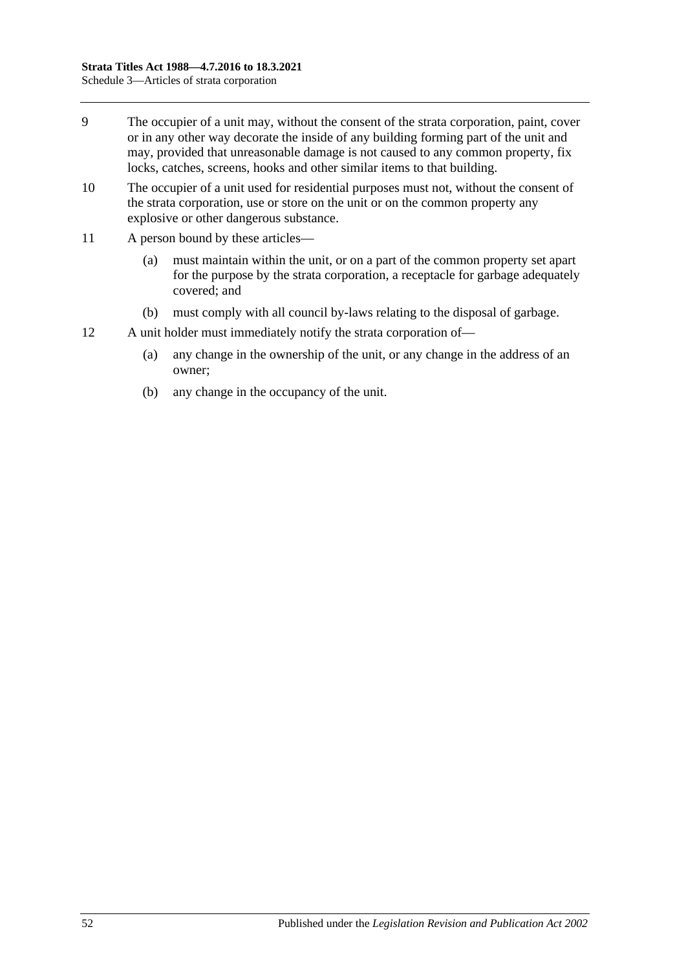- 9 The occupier of a unit may, without the consent of the strata corporation, paint, cover or in any other way decorate the inside of any building forming part of the unit and may, provided that unreasonable damage is not caused to any common property, fix locks, catches, screens, hooks and other similar items to that building.
- 10 The occupier of a unit used for residential purposes must not, without the consent of the strata corporation, use or store on the unit or on the common property any explosive or other dangerous substance.
- 11 A person bound by these articles—
	- (a) must maintain within the unit, or on a part of the common property set apart for the purpose by the strata corporation, a receptacle for garbage adequately covered; and
	- (b) must comply with all council by-laws relating to the disposal of garbage.
- 12 A unit holder must immediately notify the strata corporation of—
	- (a) any change in the ownership of the unit, or any change in the address of an owner;
	- (b) any change in the occupancy of the unit.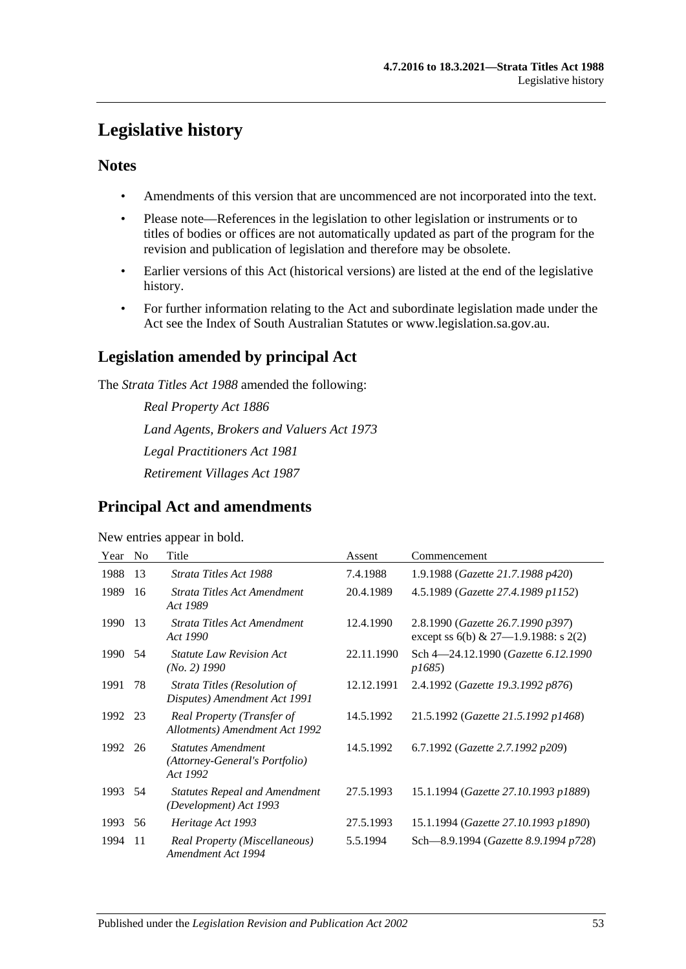## <span id="page-52-0"></span>**Legislative history**

## **Notes**

- Amendments of this version that are uncommenced are not incorporated into the text.
- Please note—References in the legislation to other legislation or instruments or to titles of bodies or offices are not automatically updated as part of the program for the revision and publication of legislation and therefore may be obsolete.
- Earlier versions of this Act (historical versions) are listed at the end of the legislative history.
- For further information relating to the Act and subordinate legislation made under the Act see the Index of South Australian Statutes or www.legislation.sa.gov.au.

## **Legislation amended by principal Act**

The *Strata Titles Act 1988* amended the following:

*Real Property Act 1886 Land Agents, Brokers and Valuers Act 1973 Legal Practitioners Act 1981 Retirement Villages Act 1987*

## **Principal Act and amendments**

New entries appear in bold.

| Year    | N <sub>0</sub> | Title                                                                   | Assent     | Commencement                                                                |
|---------|----------------|-------------------------------------------------------------------------|------------|-----------------------------------------------------------------------------|
| 1988    | 13             | Strata Titles Act 1988                                                  | 7.4.1988   | 1.9.1988 (Gazette 21.7.1988 p420)                                           |
| 1989    | 16             | Strata Titles Act Amendment<br>Act 1989                                 | 20.4.1989  | 4.5.1989 (Gazette 27.4.1989 p1152)                                          |
| 1990    | 13             | Strata Titles Act Amendment<br>Act 1990                                 | 12.4.1990  | 2.8.1990 (Gazette 26.7.1990 p397)<br>except ss $6(b)$ & 27-1.9.1988: s 2(2) |
| 1990    | 54             | <b>Statute Law Revision Act</b><br>$(No. 2)$ 1990                       | 22.11.1990 | Sch 4–24.12.1990 (Gazette 6.12.1990<br><i>p1685</i> )                       |
| 1991    | 78             | Strata Titles (Resolution of<br>Disputes) Amendment Act 1991            | 12.12.1991 | 2.4.1992 (Gazette 19.3.1992 p876)                                           |
| 1992 23 |                | Real Property (Transfer of<br>Allotments) Amendment Act 1992            | 14.5.1992  | 21.5.1992 (Gazette 21.5.1992 p1468)                                         |
| 1992    | 26             | <b>Statutes Amendment</b><br>(Attorney-General's Portfolio)<br>Act 1992 | 14.5.1992  | 6.7.1992 (Gazette 2.7.1992 p209)                                            |
| 1993 54 |                | <b>Statutes Repeal and Amendment</b><br>(Development) Act 1993          | 27.5.1993  | 15.1.1994 (Gazette 27.10.1993 p1889)                                        |
| 1993    | 56             | Heritage Act 1993                                                       | 27.5.1993  | 15.1.1994 (Gazette 27.10.1993 p1890)                                        |
| 1994    | 11             | Real Property (Miscellaneous)<br>Amendment Act 1994                     | 5.5.1994   | Sch—8.9.1994 (Gazette 8.9.1994 p728)                                        |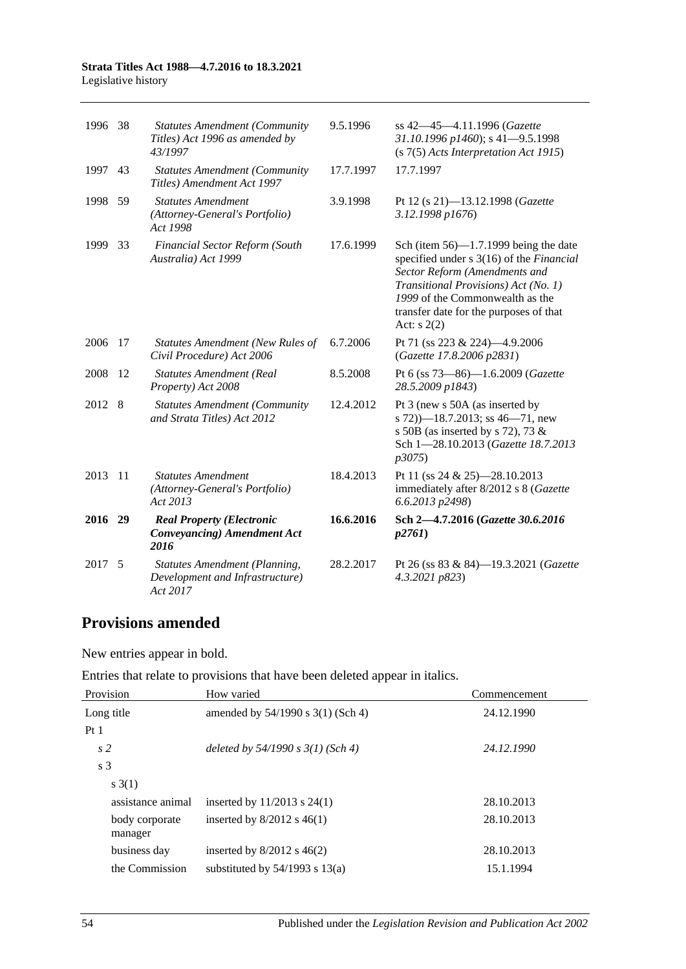#### **Strata Titles Act 1988—4.7.2016 to 18.3.2021** Legislative history

| 1996    | -38             | <b>Statutes Amendment (Community</b><br>Titles) Act 1996 as amended by<br>43/1997   | 9.5.1996  | ss 42-45-4.11.1996 (Gazette<br>31.10.1996 p1460); s 41-9.5.1998<br>$(s 7(5)$ Acts Interpretation Act 1915)                                                                                                                                                |
|---------|-----------------|-------------------------------------------------------------------------------------|-----------|-----------------------------------------------------------------------------------------------------------------------------------------------------------------------------------------------------------------------------------------------------------|
| 1997    | 43              | <b>Statutes Amendment (Community</b><br>Titles) Amendment Act 1997                  | 17.7.1997 | 17.7.1997                                                                                                                                                                                                                                                 |
| 1998 59 |                 | <b>Statutes Amendment</b><br>(Attorney-General's Portfolio)<br>Act 1998             | 3.9.1998  | Pt 12 (s 21)-13.12.1998 ( <i>Gazette</i><br>3.12.1998 p1676)                                                                                                                                                                                              |
| 1999    | 33              | Financial Sector Reform (South<br>Australia) Act 1999                               | 17.6.1999 | Sch (item $56$ )—1.7.1999 being the date<br>specified under s 3(16) of the Financial<br>Sector Reform (Amendments and<br>Transitional Provisions) Act (No. 1)<br>1999 of the Commonwealth as the<br>transfer date for the purposes of that<br>Act: $s(2)$ |
| 2006    | 17              | <b>Statutes Amendment (New Rules of</b><br>Civil Procedure) Act 2006                | 6.7.2006  | Pt 71 (ss 223 & 224)-4.9.2006<br>(Gazette 17.8.2006 p2831)                                                                                                                                                                                                |
| 2008    | 12              | <b>Statutes Amendment (Real</b><br>Property) Act 2008                               | 8.5.2008  | Pt 6 (ss 73-86)-1.6.2009 (Gazette<br>28.5.2009 p1843)                                                                                                                                                                                                     |
| 2012 8  |                 | <b>Statutes Amendment (Community</b><br>and Strata Titles) Act 2012                 | 12.4.2012 | Pt 3 (new s 50A (as inserted by<br>s $72)$ —18.7.2013; ss 46—71, new<br>s 50B (as inserted by s 72), 73 $\&$<br>Sch 1-28.10.2013 (Gazette 18.7.2013<br>p3075                                                                                              |
| 2013    | $\overline{11}$ | <b>Statutes Amendment</b><br>(Attorney-General's Portfolio)<br>Act 2013             | 18.4.2013 | Pt 11 (ss 24 & 25)-28.10.2013<br>immediately after 8/2012 s 8 (Gazette<br>6.6.2013 p2498)                                                                                                                                                                 |
| 2016 29 |                 | <b>Real Property (Electronic</b><br><b>Conveyancing</b> ) Amendment Act<br>2016     | 16.6.2016 | Sch 2-4.7.2016 (Gazette 30.6.2016)<br>p2761                                                                                                                                                                                                               |
| 2017    | -5              | <b>Statutes Amendment (Planning,</b><br>Development and Infrastructure)<br>Act 2017 | 28.2.2017 | Pt 26 (ss 83 & 84)-19.3.2021 (Gazette<br>4.3.2021 p823)                                                                                                                                                                                                   |

## **Provisions amended**

New entries appear in bold.

| Entries that relate to provisions that have been deleted appear in italics. |  |  |  |  |  |
|-----------------------------------------------------------------------------|--|--|--|--|--|
|-----------------------------------------------------------------------------|--|--|--|--|--|

| Provision                 | How varied                            | Commencement |
|---------------------------|---------------------------------------|--------------|
| Long title                | amended by $54/1990$ s $3(1)$ (Sch 4) | 24.12.1990   |
| Pt1                       |                                       |              |
| s <sub>2</sub>            | deleted by $54/1990 s 3(1)$ (Sch 4)   | 24.12.1990   |
| s <sub>3</sub>            |                                       |              |
| s(3(1))                   |                                       |              |
| assistance animal         | inserted by $11/2013$ s $24(1)$       | 28.10.2013   |
| body corporate<br>manager | inserted by $8/2012$ s $46(1)$        | 28.10.2013   |
| business day              | inserted by $8/2012$ s $46(2)$        | 28.10.2013   |
| the Commission            | substituted by $54/1993$ s $13(a)$    | 15.1.1994    |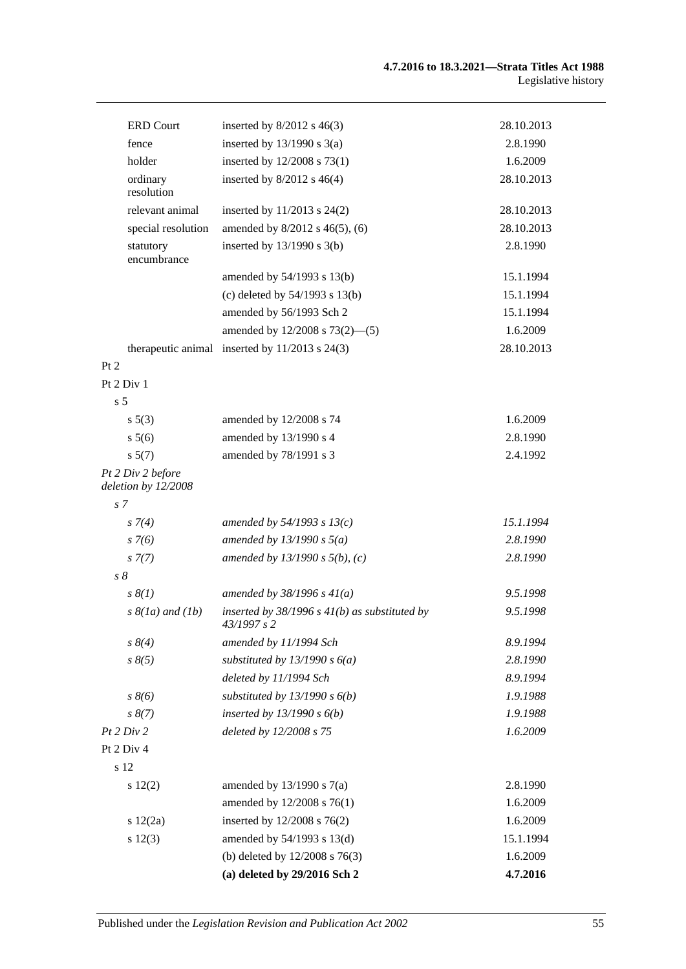| <b>ERD Court</b>                         | inserted by $8/2012$ s 46(3)                                     | 28.10.2013 |
|------------------------------------------|------------------------------------------------------------------|------------|
| fence                                    | inserted by $13/1990$ s $3(a)$                                   | 2.8.1990   |
| holder                                   | inserted by 12/2008 s 73(1)                                      | 1.6.2009   |
| ordinary<br>resolution                   | inserted by $8/2012$ s $46(4)$                                   | 28.10.2013 |
| relevant animal                          | inserted by $11/2013$ s $24(2)$                                  | 28.10.2013 |
| special resolution                       | amended by 8/2012 s 46(5), (6)                                   | 28.10.2013 |
| statutory<br>encumbrance                 | inserted by $13/1990$ s $3(b)$                                   | 2.8.1990   |
|                                          | amended by 54/1993 s 13(b)                                       | 15.1.1994  |
|                                          | (c) deleted by $54/1993$ s $13(b)$                               | 15.1.1994  |
|                                          | amended by 56/1993 Sch 2                                         | 15.1.1994  |
|                                          | amended by $12/2008$ s $73(2)$ —(5)                              | 1.6.2009   |
| therapeutic animal                       | inserted by $11/2013$ s $24(3)$                                  | 28.10.2013 |
| Pt 2                                     |                                                                  |            |
| Pt 2 Div 1                               |                                                                  |            |
| s <sub>5</sub>                           |                                                                  |            |
| s 5(3)                                   | amended by 12/2008 s 74                                          | 1.6.2009   |
| s 5(6)                                   | amended by 13/1990 s 4                                           | 2.8.1990   |
| s 5(7)                                   | amended by 78/1991 s 3                                           | 2.4.1992   |
| Pt 2 Div 2 before<br>deletion by 12/2008 |                                                                  |            |
| s <sub>7</sub>                           |                                                                  |            |
| $s \, 7(4)$                              | amended by $54/1993 s 13(c)$                                     | 15.1.1994  |
| $s \, 7(6)$                              | amended by $13/1990 s 5(a)$                                      | 2.8.1990   |
| $s \, 7(7)$                              | amended by $13/1990 s 5(b)$ , (c)                                | 2.8.1990   |
| $s\,\delta$                              |                                                                  |            |
| $s \, \mathcal{S}(1)$                    | amended by $38/1996 s 41(a)$                                     | 9.5.1998   |
| $s \& (1a)$ and $(1b)$                   | inserted by $38/1996$ s $41(b)$ as substituted by<br>43/1997 s 2 | 9.5.1998   |
| $s \, 8(4)$                              | amended by 11/1994 Sch                                           | 8.9.1994   |
| $s \, 8(5)$                              | substituted by $13/1990 s 6(a)$                                  | 2.8.1990   |
|                                          | deleted by 11/1994 Sch                                           | 8.9.1994   |
| $s \, 8(6)$                              | substituted by $13/1990 s 6(b)$                                  | 1.9.1988   |
| $s \, 8(7)$                              | inserted by $13/1990 s 6(b)$                                     | 1.9.1988   |
| Pt 2 Div 2                               | deleted by 12/2008 s 75                                          | 1.6.2009   |
| Pt 2 Div 4                               |                                                                  |            |
| s 12                                     |                                                                  |            |
| s 12(2)                                  | amended by $13/1990$ s $7(a)$                                    | 2.8.1990   |
|                                          | amended by 12/2008 s 76(1)                                       | 1.6.2009   |
| 12(2a)                                   | inserted by $12/2008$ s $76(2)$                                  | 1.6.2009   |
| s 12(3)                                  | amended by 54/1993 s 13(d)                                       | 15.1.1994  |
|                                          | (b) deleted by $12/2008$ s $76(3)$                               | 1.6.2009   |
|                                          | (a) deleted by 29/2016 Sch 2                                     | 4.7.2016   |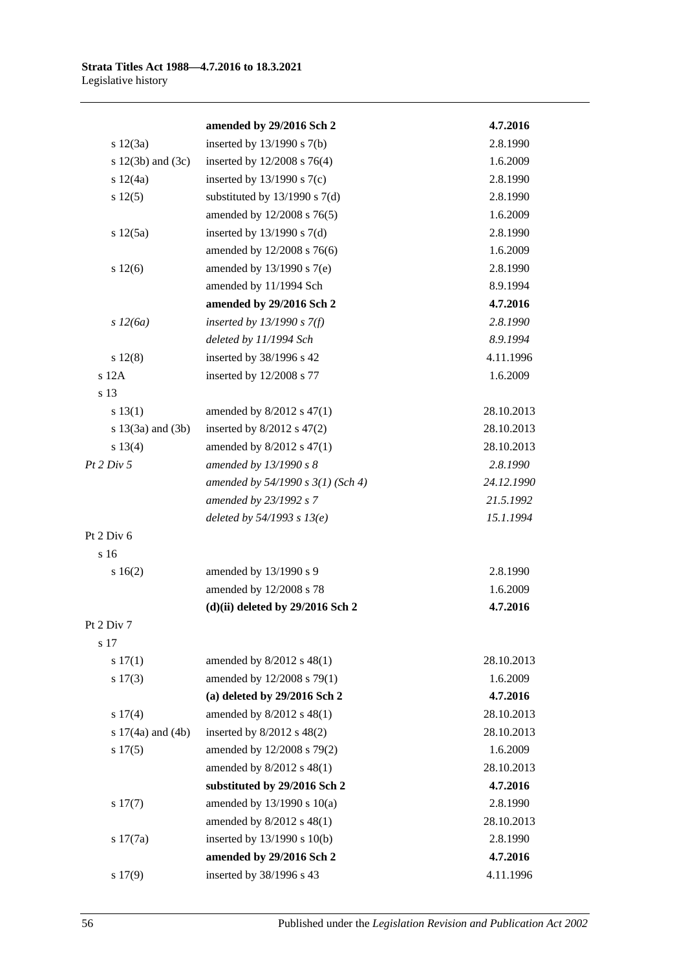|  | amended by 29/2016 Sch 2 |  |
|--|--------------------------|--|

|                       | amended by 29/2016 Sch 2            | 4.7.2016   |
|-----------------------|-------------------------------------|------------|
| s 12(3a)              | inserted by $13/1990$ s $7(b)$      | 2.8.1990   |
| s $12(3b)$ and $(3c)$ | inserted by $12/2008$ s $76(4)$     | 1.6.2009   |
| s 12(4a)              | inserted by $13/1990$ s $7(c)$      | 2.8.1990   |
| s 12(5)               | substituted by $13/1990$ s $7(d)$   | 2.8.1990   |
|                       | amended by 12/2008 s 76(5)          | 1.6.2009   |
| s 12(5a)              | inserted by $13/1990$ s $7(d)$      | 2.8.1990   |
|                       | amended by 12/2008 s 76(6)          | 1.6.2009   |
| s 12(6)               | amended by $13/1990$ s $7(e)$       | 2.8.1990   |
|                       | amended by 11/1994 Sch              | 8.9.1994   |
|                       | amended by 29/2016 Sch 2            | 4.7.2016   |
| s 12(6a)              | inserted by $13/1990 s 7(f)$        | 2.8.1990   |
|                       | deleted by 11/1994 Sch              | 8.9.1994   |
| $s\ 12(8)$            | inserted by 38/1996 s 42            | 4.11.1996  |
| s 12A                 | inserted by 12/2008 s 77            | 1.6.2009   |
| s 13                  |                                     |            |
| s 13(1)               | amended by $8/2012$ s $47(1)$       | 28.10.2013 |
| s $13(3a)$ and $(3b)$ | inserted by $8/2012$ s $47(2)$      | 28.10.2013 |
| s 13(4)               | amended by $8/2012$ s $47(1)$       | 28.10.2013 |
| Pt 2 Div 5            | amended by 13/1990 s 8              | 2.8.1990   |
|                       | amended by $54/1990 s 3(1)$ (Sch 4) | 24.12.1990 |
|                       | amended by 23/1992 s 7              | 21.5.1992  |
|                       | deleted by $54/1993 s 13(e)$        | 15.1.1994  |
| Pt 2 Div 6            |                                     |            |
| s 16                  |                                     |            |
| s 16(2)               | amended by 13/1990 s 9              | 2.8.1990   |
|                       | amended by 12/2008 s 78             | 1.6.2009   |
|                       | $(d)(ii)$ deleted by 29/2016 Sch 2  | 4.7.2016   |
| Pt 2 Div 7            |                                     |            |
| s 17                  |                                     |            |
| s 17(1)               | amended by 8/2012 s 48(1)           | 28.10.2013 |
| $s\ 17(3)$            | amended by 12/2008 s 79(1)          | 1.6.2009   |
|                       | (a) deleted by 29/2016 Sch 2        | 4.7.2016   |
| s 17(4)               | amended by 8/2012 s 48(1)           | 28.10.2013 |
| s $17(4a)$ and $(4b)$ | inserted by 8/2012 s 48(2)          | 28.10.2013 |
| s 17(5)               | amended by 12/2008 s 79(2)          | 1.6.2009   |
|                       | amended by 8/2012 s 48(1)           | 28.10.2013 |
|                       | substituted by 29/2016 Sch 2        | 4.7.2016   |
| s 17(7)               | amended by $13/1990$ s $10(a)$      | 2.8.1990   |
|                       | amended by 8/2012 s 48(1)           | 28.10.2013 |
| s 17(7a)              | inserted by 13/1990 s 10(b)         | 2.8.1990   |
|                       | amended by 29/2016 Sch 2            | 4.7.2016   |
| s 17(9)               | inserted by 38/1996 s 43            | 4.11.1996  |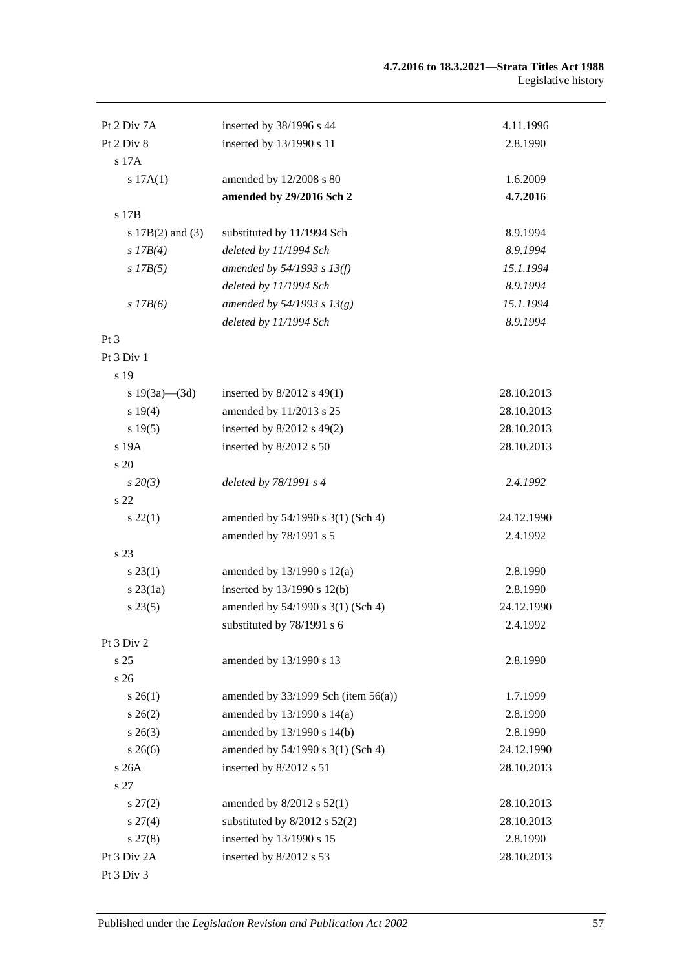#### **4.7.2016 to 18.3.2021—Strata Titles Act 1988** Legislative history

| Pt 2 Div 7A          | inserted by 38/1996 s 44                 | 4.11.1996  |
|----------------------|------------------------------------------|------------|
| Pt 2 Div 8           | inserted by 13/1990 s 11                 | 2.8.1990   |
| s 17A                |                                          |            |
| s 17A(1)             | amended by 12/2008 s 80                  | 1.6.2009   |
|                      | amended by 29/2016 Sch 2                 | 4.7.2016   |
| s 17B                |                                          |            |
| s $17B(2)$ and $(3)$ | substituted by 11/1994 Sch               | 8.9.1994   |
| $s$ 17B(4)           | deleted by 11/1994 Sch                   | 8.9.1994   |
| $s$ 17B(5)           | amended by $54/1993$ s $13(f)$           | 15.1.1994  |
|                      | deleted by 11/1994 Sch                   | 8.9.1994   |
| $s$ 17B(6)           | amended by $54/1993 s 13(g)$             | 15.1.1994  |
|                      | deleted by 11/1994 Sch                   | 8.9.1994   |
| $Pt\,3$              |                                          |            |
| Pt 3 Div 1           |                                          |            |
| s 19                 |                                          |            |
| s $19(3a)$ — $(3d)$  | inserted by $8/2012$ s 49(1)             | 28.10.2013 |
| s 19(4)              | amended by 11/2013 s 25                  | 28.10.2013 |
| s 19(5)              | inserted by 8/2012 s 49(2)               | 28.10.2013 |
| s 19A                | inserted by 8/2012 s 50                  | 28.10.2013 |
| s 20                 |                                          |            |
| $s\,20(3)$           | deleted by 78/1991 s 4                   | 2.4.1992   |
| s 22                 |                                          |            |
| $s\,22(1)$           | amended by 54/1990 s 3(1) (Sch 4)        | 24.12.1990 |
|                      | amended by 78/1991 s 5                   | 2.4.1992   |
| s 23                 |                                          |            |
| $s\,23(1)$           | amended by $13/1990$ s $12(a)$           | 2.8.1990   |
| $s$ 23 $(1a)$        | inserted by 13/1990 s 12(b)              | 2.8.1990   |
| $s\,23(5)$           | amended by 54/1990 s 3(1) (Sch 4)        | 24.12.1990 |
|                      | substituted by 78/1991 s 6               | 2.4.1992   |
| Pt 3 Div 2           |                                          |            |
| s 25                 | amended by 13/1990 s 13                  | 2.8.1990   |
| s 26                 |                                          |            |
| $s \, 26(1)$         | amended by $33/1999$ Sch (item $56(a)$ ) | 1.7.1999   |
| $s \, 26(2)$         | amended by 13/1990 s 14(a)               | 2.8.1990   |
| $s \; 26(3)$         | amended by 13/1990 s 14(b)               | 2.8.1990   |
| $s\,26(6)$           | amended by 54/1990 s 3(1) (Sch 4)        | 24.12.1990 |
| s26A                 | inserted by 8/2012 s 51                  | 28.10.2013 |
| s 27                 |                                          |            |
| $s\,27(2)$           | amended by $8/2012$ s $52(1)$            | 28.10.2013 |
| $s\,27(4)$           | substituted by $8/2012$ s $52(2)$        | 28.10.2013 |
| $s\,27(8)$           | inserted by 13/1990 s 15                 | 2.8.1990   |
| Pt 3 Div 2A          | inserted by 8/2012 s 53                  | 28.10.2013 |
| Pt 3 Div 3           |                                          |            |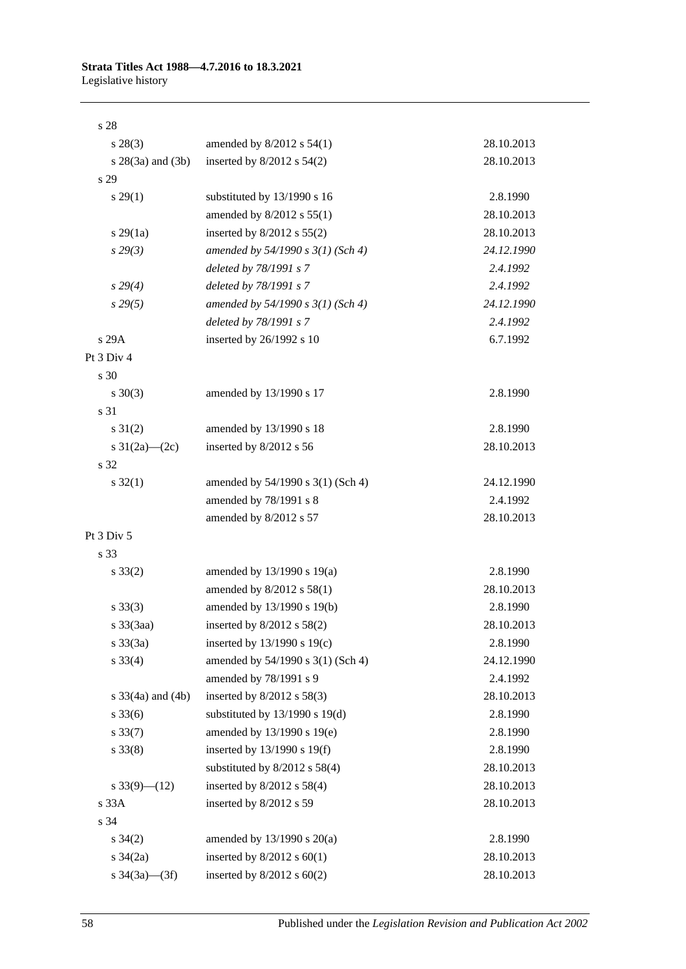#### **Strata Titles Act 1988—4.7.2016 to 18.3.2021** Legislative history

| s 28                     |                                     |            |
|--------------------------|-------------------------------------|------------|
| $s\,28(3)$               | amended by $8/2012$ s $54(1)$       | 28.10.2013 |
| $s \; 28(3a)$ and $(3b)$ | inserted by $8/2012$ s $54(2)$      | 28.10.2013 |
| s 29                     |                                     |            |
| $s\,29(1)$               | substituted by 13/1990 s 16         | 2.8.1990   |
|                          | amended by 8/2012 s 55(1)           | 28.10.2013 |
| $s\,29(1a)$              | inserted by $8/2012$ s $55(2)$      | 28.10.2013 |
| $s\,29(3)$               | amended by $54/1990 s 3(1)$ (Sch 4) | 24.12.1990 |
|                          | deleted by 78/1991 s 7              | 2.4.1992   |
| $s\,29(4)$               | deleted by 78/1991 s 7              | 2.4.1992   |
| s29(5)                   | amended by $54/1990 s 3(1)$ (Sch 4) | 24.12.1990 |
|                          | deleted by 78/1991 s 7              | 2.4.1992   |
| s 29A                    | inserted by 26/1992 s 10            | 6.7.1992   |
| Pt 3 Div 4               |                                     |            |
| s 30                     |                                     |            |
| $s \ 30(3)$              | amended by 13/1990 s 17             | 2.8.1990   |
| s 31                     |                                     |            |
| $s \, 31(2)$             | amended by 13/1990 s 18             | 2.8.1990   |
| s $31(2a)$ (2c)          | inserted by 8/2012 s 56             | 28.10.2013 |
| s 32                     |                                     |            |
| $s \, 32(1)$             | amended by 54/1990 s 3(1) (Sch 4)   | 24.12.1990 |
|                          | amended by 78/1991 s 8              | 2.4.1992   |
|                          | amended by 8/2012 s 57              | 28.10.2013 |
| Pt 3 Div 5               |                                     |            |
| s 33                     |                                     |            |
| $s \, 33(2)$             | amended by 13/1990 s 19(a)          | 2.8.1990   |
|                          | amended by $8/2012$ s $58(1)$       | 28.10.2013 |
| $s \, 33(3)$             | amended by 13/1990 s 19(b)          | 2.8.1990   |
| s 33(3aa)                | inserted by $8/2012$ s $58(2)$      | 28.10.2013 |
| s 33(3a)                 | inserted by 13/1990 s 19(c)         | 2.8.1990   |
| $s \, 33(4)$             | amended by 54/1990 s 3(1) (Sch 4)   | 24.12.1990 |
|                          | amended by 78/1991 s 9              | 2.4.1992   |
| s $33(4a)$ and $(4b)$    | inserted by $8/2012$ s $58(3)$      | 28.10.2013 |
| $s \, 33(6)$             | substituted by $13/1990$ s $19(d)$  | 2.8.1990   |
| $s \, 33(7)$             | amended by 13/1990 s 19(e)          | 2.8.1990   |
| $s \, 33(8)$             | inserted by $13/1990$ s $19(f)$     | 2.8.1990   |
|                          | substituted by $8/2012$ s $58(4)$   | 28.10.2013 |
| s $33(9)$ - $(12)$       | inserted by $8/2012$ s $58(4)$      | 28.10.2013 |
| s 33A                    | inserted by 8/2012 s 59             | 28.10.2013 |
| s 34                     |                                     |            |
| $s \; 34(2)$             | amended by $13/1990$ s $20(a)$      | 2.8.1990   |
| $s \frac{34}{2a}$        | inserted by $8/2012$ s $60(1)$      | 28.10.2013 |
| s $34(3a)$ — $(3f)$      | inserted by $8/2012$ s $60(2)$      | 28.10.2013 |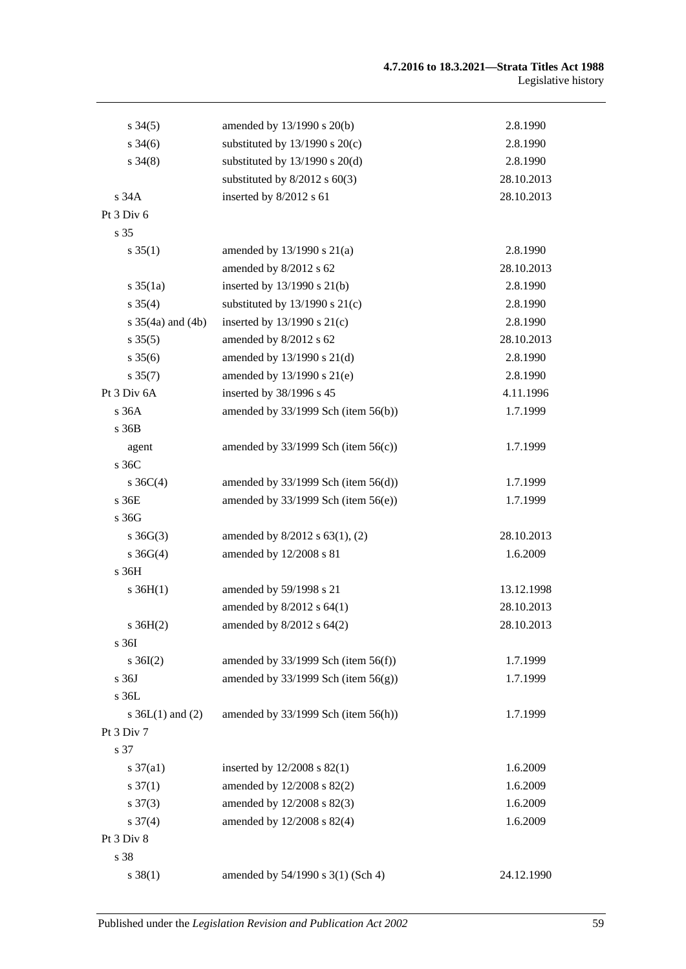| $s \, 34(5)$          | amended by 13/1990 s 20(b)               | 2.8.1990   |
|-----------------------|------------------------------------------|------------|
| $s \frac{34(6)}{2}$   | substituted by $13/1990$ s $20(c)$       | 2.8.1990   |
| $s\,34(8)$            | substituted by $13/1990$ s $20(d)$       | 2.8.1990   |
|                       | substituted by $8/2012$ s $60(3)$        | 28.10.2013 |
| s 34A                 | inserted by 8/2012 s 61                  | 28.10.2013 |
| Pt 3 Div 6            |                                          |            |
| s 35                  |                                          |            |
| $s \, 35(1)$          | amended by $13/1990$ s $21(a)$           | 2.8.1990   |
|                       | amended by 8/2012 s 62                   | 28.10.2013 |
| $s \, 35(1a)$         | inserted by $13/1990$ s $21(b)$          | 2.8.1990   |
| $s \, 35(4)$          | substituted by $13/1990$ s $21(c)$       | 2.8.1990   |
| s $35(4a)$ and $(4b)$ | inserted by $13/1990$ s $21(c)$          | 2.8.1990   |
| $s \, 35(5)$          | amended by 8/2012 s 62                   | 28.10.2013 |
| $s \, 35(6)$          | amended by 13/1990 s 21(d)               | 2.8.1990   |
| $s \, 35(7)$          | amended by 13/1990 s 21(e)               | 2.8.1990   |
| Pt 3 Div 6A           | inserted by 38/1996 s 45                 | 4.11.1996  |
| s 36A                 | amended by $33/1999$ Sch (item $56(b)$ ) | 1.7.1999   |
| s 36B                 |                                          |            |
| agent                 | amended by $33/1999$ Sch (item $56(c)$ ) | 1.7.1999   |
| s 36C                 |                                          |            |
| s $36C(4)$            | amended by $33/1999$ Sch (item $56(d)$ ) | 1.7.1999   |
| s 36E                 | amended by $33/1999$ Sch (item $56(e)$ ) | 1.7.1999   |
| s 36G                 |                                          |            |
| $s \, 36G(3)$         | amended by 8/2012 s 63(1), (2)           | 28.10.2013 |
| $s \; 36G(4)$         | amended by 12/2008 s 81                  | 1.6.2009   |
| s 36H                 |                                          |            |
| $s \, 36H(1)$         | amended by 59/1998 s 21                  | 13.12.1998 |
|                       | amended by $8/2012$ s $64(1)$            | 28.10.2013 |
| s $36H(2)$            | amended by $8/2012$ s $64(2)$            | 28.10.2013 |
| s 36I                 |                                          |            |
| $s \, 36I(2)$         | amended by $33/1999$ Sch (item $56(f)$ ) | 1.7.1999   |
| s 36J                 | amended by $33/1999$ Sch (item $56(g)$ ) | 1.7.1999   |
| s 36L                 |                                          |            |
| s $36L(1)$ and $(2)$  | amended by $33/1999$ Sch (item $56(h)$ ) | 1.7.1999   |
| Pt 3 Div 7            |                                          |            |
| s 37                  |                                          |            |
| $s \frac{37}{a1}$     | inserted by 12/2008 s 82(1)              | 1.6.2009   |
| $s \frac{37(1)}{2}$   | amended by 12/2008 s 82(2)               | 1.6.2009   |
| $s \frac{37(3)}{2}$   | amended by 12/2008 s 82(3)               | 1.6.2009   |
| $s \frac{37(4)}{4}$   | amended by 12/2008 s 82(4)               | 1.6.2009   |
| Pt 3 Div 8            |                                          |            |
| s 38                  |                                          |            |
| $s \ 38(1)$           | amended by 54/1990 s 3(1) (Sch 4)        | 24.12.1990 |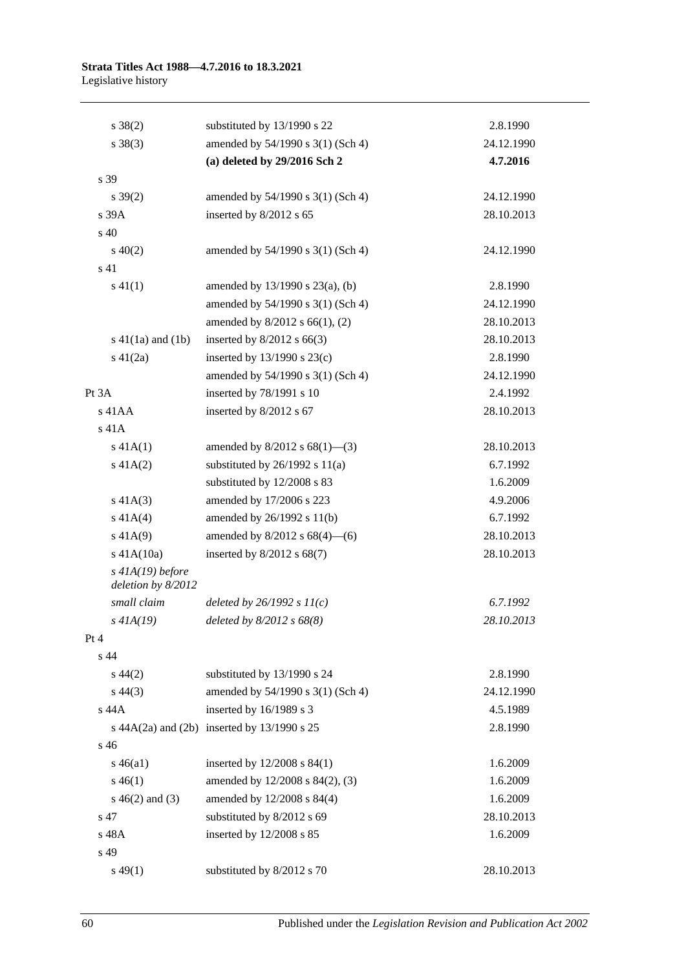#### **Strata Titles Act 1988—4.7.2016 to 18.3.2021** Legislative history

| $s \ 38(2)$                              | substituted by 13/1990 s 22                 | 2.8.1990   |
|------------------------------------------|---------------------------------------------|------------|
| $s \ 38(3)$                              | amended by 54/1990 s 3(1) (Sch 4)           | 24.12.1990 |
|                                          | (a) deleted by 29/2016 Sch 2                | 4.7.2016   |
| s 39                                     |                                             |            |
| $s \, 39(2)$                             | amended by 54/1990 s 3(1) (Sch 4)           | 24.12.1990 |
| s 39A                                    | inserted by 8/2012 s 65                     | 28.10.2013 |
| s 40                                     |                                             |            |
| $s\ 40(2)$                               | amended by 54/1990 s 3(1) (Sch 4)           | 24.12.1990 |
| s 41                                     |                                             |            |
| $s\ 41(1)$                               | amended by 13/1990 s 23(a), (b)             | 2.8.1990   |
|                                          | amended by 54/1990 s 3(1) (Sch 4)           | 24.12.1990 |
|                                          | amended by 8/2012 s 66(1), (2)              | 28.10.2013 |
| $s\ 41(1a)$ and $(1b)$                   | inserted by $8/2012$ s 66(3)                | 28.10.2013 |
| $s\ 41(2a)$                              | inserted by $13/1990$ s $23(c)$             | 2.8.1990   |
|                                          | amended by 54/1990 s 3(1) (Sch 4)           | 24.12.1990 |
| Pt 3A                                    | inserted by 78/1991 s 10                    | 2.4.1992   |
| $s$ 41AA                                 | inserted by 8/2012 s 67                     | 28.10.2013 |
| s 41A                                    |                                             |            |
| $s\ 41A(1)$                              | amended by $8/2012$ s $68(1)$ —(3)          | 28.10.2013 |
| $s\ 41A(2)$                              | substituted by $26/1992$ s $11(a)$          | 6.7.1992   |
|                                          | substituted by 12/2008 s 83                 | 1.6.2009   |
| $s\ 41A(3)$                              | amended by 17/2006 s 223                    | 4.9.2006   |
| $s\ 41A(4)$                              | amended by 26/1992 s 11(b)                  | 6.7.1992   |
| $s\ 41A(9)$                              | amended by $8/2012$ s $68(4)$ —(6)          | 28.10.2013 |
| $s$ 41A(10a)                             | inserted by $8/2012$ s $68(7)$              | 28.10.2013 |
| $s$ 41A(19) before<br>deletion by 8/2012 |                                             |            |
| small claim                              | deleted by $26/1992 s 11(c)$                | 6.7.1992   |
| $s$ 41A(19)                              | deleted by 8/2012 s 68(8)                   | 28.10.2013 |
| Pt 4                                     |                                             |            |
| s <sub>44</sub>                          |                                             |            |
| $s\,44(2)$                               | substituted by 13/1990 s 24                 | 2.8.1990   |
| $s\,44(3)$                               | amended by 54/1990 s 3(1) (Sch 4)           | 24.12.1990 |
| s 44A                                    | inserted by 16/1989 s 3                     | 4.5.1989   |
|                                          | s 44A(2a) and (2b) inserted by 13/1990 s 25 | 2.8.1990   |
| s 46                                     |                                             |            |
| $s\,46(a1)$                              | inserted by $12/2008$ s $84(1)$             | 1.6.2009   |
| $s\,46(1)$                               | amended by 12/2008 s 84(2), (3)             | 1.6.2009   |
| $s\ 46(2)$ and (3)                       | amended by 12/2008 s 84(4)                  | 1.6.2009   |
| s 47                                     | substituted by 8/2012 s 69                  | 28.10.2013 |
| s 48A                                    | inserted by 12/2008 s 85                    | 1.6.2009   |
| s 49                                     |                                             |            |
| $s\,49(1)$                               | substituted by 8/2012 s 70                  | 28.10.2013 |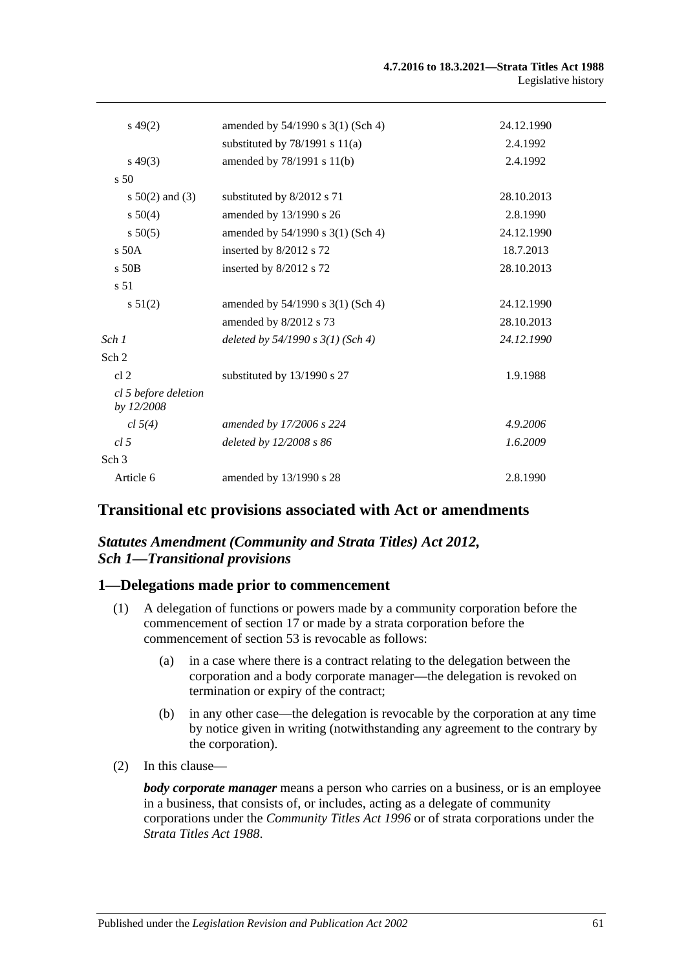| $s\,49(2)$                         | amended by 54/1990 s 3(1) (Sch 4)     | 24.12.1990 |
|------------------------------------|---------------------------------------|------------|
|                                    | substituted by $78/1991$ s $11(a)$    | 2.4.1992   |
| $s\,49(3)$                         | amended by 78/1991 s 11(b)            | 2.4.1992   |
| $\frac{1}{2}$ 50                   |                                       |            |
| s $50(2)$ and (3)                  | substituted by 8/2012 s 71            | 28.10.2013 |
| $s\,50(4)$                         | amended by 13/1990 s 26               | 2.8.1990   |
| $s\,50(5)$                         | amended by 54/1990 s 3(1) (Sch 4)     | 24.12.1990 |
| s 50A                              | inserted by 8/2012 s 72               | 18.7.2013  |
| $s$ 50 $B$                         | inserted by 8/2012 s 72               | 28.10.2013 |
| s <sub>51</sub>                    |                                       |            |
| $s\,51(2)$                         | amended by $54/1990$ s $3(1)$ (Sch 4) | 24.12.1990 |
|                                    | amended by 8/2012 s 73                | 28.10.2013 |
| Sch 1                              | deleted by $54/1990 s 3(1)$ (Sch 4)   | 24.12.1990 |
| Sch <sub>2</sub>                   |                                       |            |
| cl <sub>2</sub>                    | substituted by 13/1990 s 27           | 1.9.1988   |
| cl 5 before deletion<br>by 12/2008 |                                       |            |
| cl 5(4)                            | amended by 17/2006 s 224              | 4.9.2006   |
| cl.5                               | deleted by 12/2008 s 86               | 1.6.2009   |
| Sch <sub>3</sub>                   |                                       |            |
| Article 6                          | amended by 13/1990 s 28               | 2.8.1990   |

## **Transitional etc provisions associated with Act or amendments**

## *Statutes Amendment (Community and Strata Titles) Act 2012, Sch 1—Transitional provisions*

## **1—Delegations made prior to commencement**

- (1) A delegation of functions or powers made by a community corporation before the commencement of section 17 or made by a strata corporation before the commencement of section 53 is revocable as follows:
	- (a) in a case where there is a contract relating to the delegation between the corporation and a body corporate manager—the delegation is revoked on termination or expiry of the contract;
	- (b) in any other case—the delegation is revocable by the corporation at any time by notice given in writing (notwithstanding any agreement to the contrary by the corporation).
- (2) In this clause—

*body corporate manager* means a person who carries on a business, or is an employee in a business, that consists of, or includes, acting as a delegate of community corporations under the *[Community Titles Act](http://www.legislation.sa.gov.au/index.aspx?action=legref&type=act&legtitle=Community%20Titles%20Act%201996) 1996* or of strata corporations under the *[Strata Titles Act](http://www.legislation.sa.gov.au/index.aspx?action=legref&type=act&legtitle=Strata%20Titles%20Act%201988) 1988*.